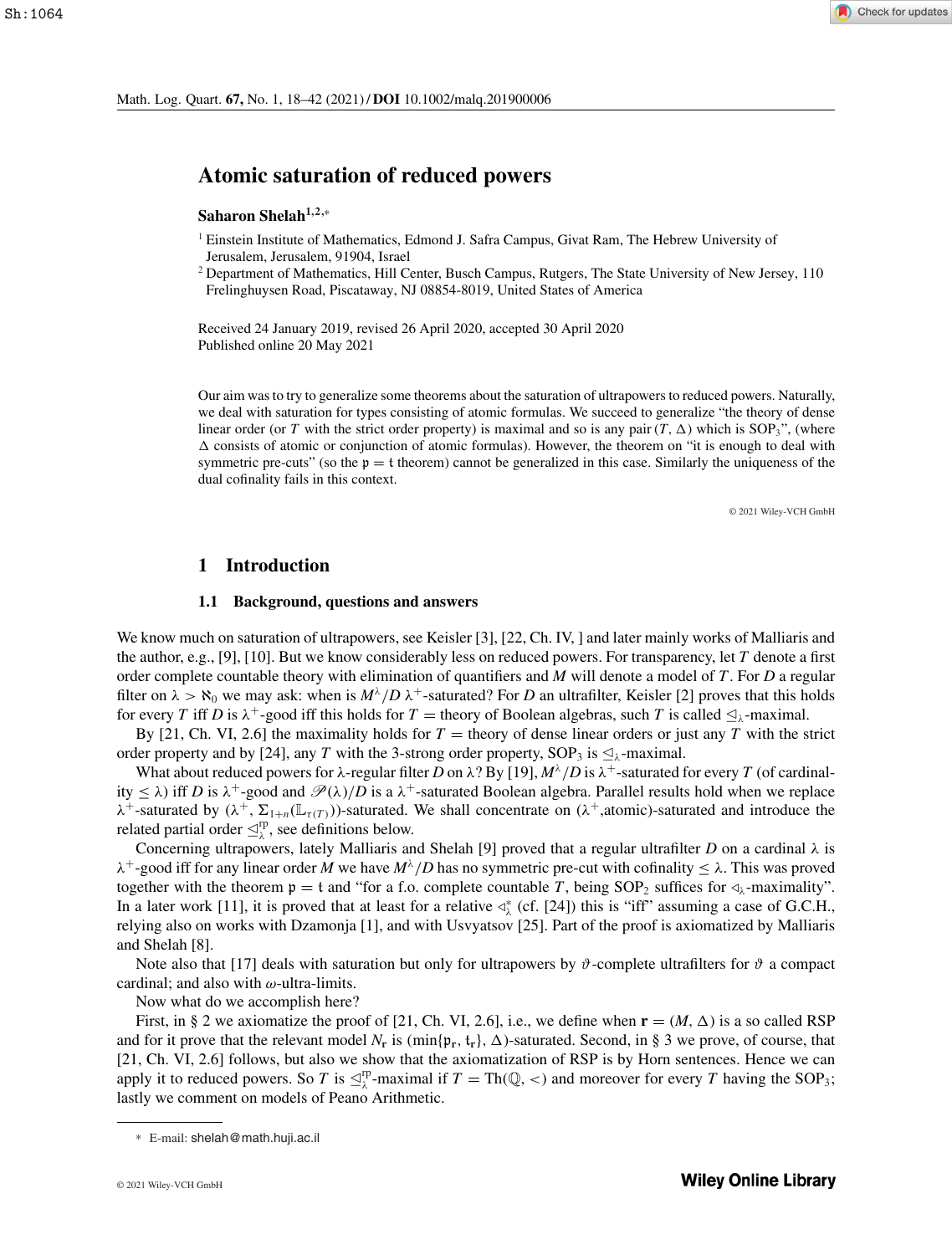# **Atomic saturation of reduced powers**

# **Saharon Shelah1,2,**<sup>∗</sup>

- <sup>1</sup> Einstein Institute of Mathematics, Edmond J. Safra Campus, Givat Ram, The Hebrew University of Jerusalem, Jerusalem, 91904, Israel
- <sup>2</sup> Department of Mathematics, Hill Center, Busch Campus, Rutgers, The State University of New Jersey, 110 Frelinghuysen Road, Piscataway, NJ 08854-8019, United States of America

Received 24 January 2019, revised 26 April 2020, accepted 30 April 2020 Published online 20 May 2021

Our aim was to try to generalize some theorems about the saturation of ultrapowers to reduced powers. Naturally, we deal with saturation for types consisting of atomic formulas. We succeed to generalize "the theory of dense linear order (or *T* with the strict order property) is maximal and so is any pair  $(T, \Delta)$  which is SOP<sub>3</sub>", (where  $\Delta$  consists of atomic or conjunction of atomic formulas). However, the theorem on "it is enough to deal with symmetric pre-cuts" (so the  $p = t$  theorem) cannot be generalized in this case. Similarly the uniqueness of the dual cofinality fails in this context.

© 2021 Wiley-VCH GmbH

#### **1 Introduction**

#### **1.1 Background, questions and answers**

We know much on saturation of ultrapowers, see Keisler [3], [22, Ch. IV, ] and later mainly works of Malliaris and the author, e.g., [9], [10]. But we know considerably less on reduced powers. For transparency, let *T* denote a first order complete countable theory with elimination of quantifiers and *M* will denote a model of *T*. For *D* a regular filter on  $\lambda > \aleph_0$  we may ask: when is  $M^{\lambda}/D \lambda^+$ -saturated? For *D* an ultrafilter, Keisler [2] proves that this holds for every *T* iff *D* is  $\lambda^+$ -good iff this holds for *T* = theory of Boolean algebras, such *T* is called  $\triangleq_\lambda$ -maximal.

By [21, Ch. VI, 2.6] the maximality holds for  $T =$  theory of dense linear orders or just any  $T$  with the strict order property and by [24], any *T* with the 3-strong order property, SOP<sub>3</sub> is  $\trianglelefteq_\lambda$ -maximal.

What about reduced powers for  $\lambda$ -regular filter *D* on  $\lambda$ ? By [19],  $M^{\lambda}/D$  is  $\lambda^+$ -saturated for every *T* (of cardinality  $\leq \lambda$ ) iff *D* is  $\lambda^+$ -good and  $\mathscr{P}(\lambda)/D$  is a  $\lambda^+$ -saturated Boolean algebra. Parallel results hold when we replace  $\lambda^+$ -saturated by  $(\lambda^+, \Sigma_{1+n}(\mathbb{L}_{\tau(T)}))$ -saturated. We shall concentrate on  $(\lambda^+,$ atomic)-saturated and introduce the related partial order  $\trianglelefteq^{\text{rp}}_{\lambda}$ , see definitions below.

Concerning ultrapowers, lately Malliaris and Shelah [9] proved that a regular ultrafilter *D* on a cardinal  $\lambda$  is  $\lambda^+$ -good iff for any linear order *M* we have  $M^{\lambda}/D$  has no symmetric pre-cut with cofinality  $\leq \lambda$ . This was proved together with the theorem  $p = t$  and "for a f.o. complete countable T, being SOP<sub>2</sub> suffices for  $\triangleleft_{\lambda}$ -maximality". In a later work [11], it is proved that at least for a relative  $\triangleleft^*_{\lambda}$  (cf. [24]) this is "iff" assuming a case of G.C.H., relying also on works with Dzamonja [1], and with Usvyatsov [25]. Part of the proof is axiomatized by Malliaris and Shelah [8].

Note also that [17] deals with saturation but only for ultrapowers by  $\vartheta$ -complete ultrafilters for  $\vartheta$  a compact cardinal; and also with  $\omega$ -ultra-limits.

Now what do we accomplish here?

First, in § 2 we axiomatize the proof of [21, Ch. VI, 2.6], i.e., we define when  $\mathbf{r} = (M, \Delta)$  is a so called RSP and for it prove that the relevant model  $N_r$  is (min{ $\mathfrak{p}_r$ ,  $\mathfrak{t}_r$ },  $\Delta$ )-saturated. Second, in § 3 we prove, of course, that [21, Ch. VI, 2.6] follows, but also we show that the axiomatization of RSP is by Horn sentences. Hence we can apply it to reduced powers. So *T* is  $\leq^{\text{rp}}_{\lambda}$ -maximal if  $T = \text{Th}(\mathbb{Q}, <)$  and moreover for every *T* having the SOP<sub>3</sub>; lastly we comment on models of Peano Arithmetic.

<sup>∗</sup> E-mail: shelah@math.huji.ac.il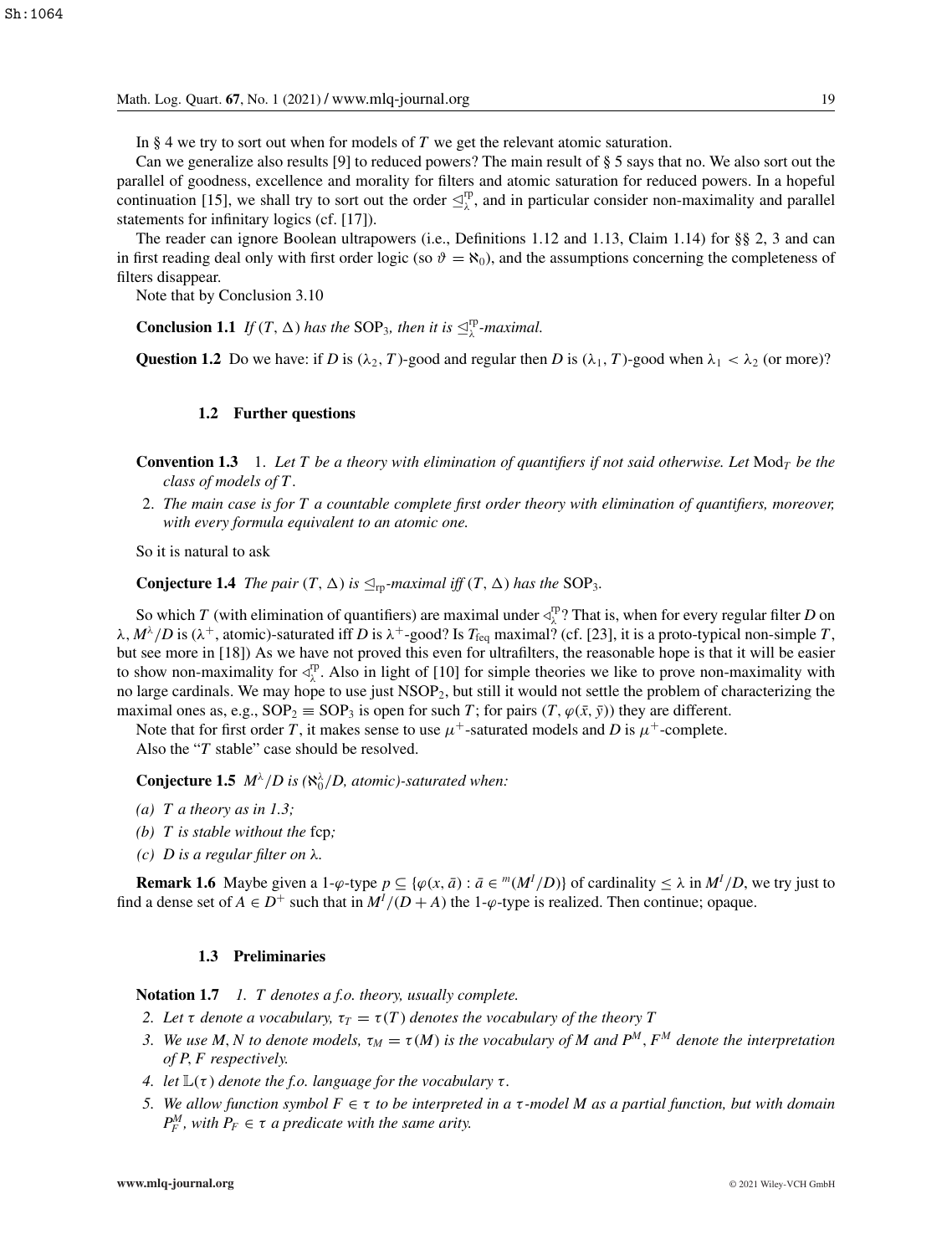In § 4 we try to sort out when for models of *T* we get the relevant atomic saturation.

Can we generalize also results [9] to reduced powers? The main result of § 5 says that no. We also sort out the parallel of goodness, excellence and morality for filters and atomic saturation for reduced powers. In a hopeful continuation [15], we shall try to sort out the order  $\trianglelefteq^{\text{rp}}_{\lambda}$ , and in particular consider non-maximality and parallel statements for infinitary logics (cf. [17]).

The reader can ignore Boolean ultrapowers (i.e., Definitions 1.12 and 1.13, Claim 1.14) for §§ 2, 3 and can in first reading deal only with first order logic (so  $\vartheta = \aleph_0$ ), and the assumptions concerning the completeness of filters disappear.

Note that by Conclusion 3.10

**Conclusion 1.1** *If*  $(T, \Delta)$  *has the* SOP<sub>3</sub>*, then it is*  $\mathcal{L}_{\lambda}^{\text{rp}}$ *-maximal.* 

**Question 1.2** Do we have: if *D* is  $(\lambda_2, T)$ -good and regular then *D* is  $(\lambda_1, T)$ -good when  $\lambda_1 < \lambda_2$  (or more)?

#### **1.2 Further questions**

- **Convention 1.3** 1. *Let T be a theory with elimination of quantifiers if not said otherwise. Let* Mod*<sup>T</sup> be the class of models of T*.
- 2. *The main case is for T a countable complete first order theory with elimination of quantifiers, moreover, with every formula equivalent to an atomic one.*

So it is natural to ask

**Conjecture 1.4** *The pair*  $(T, \Delta)$  *is*  $\leq_{\text{rp}}$ *-maximal iff*  $(T, \Delta)$  *has the* SOP<sub>3</sub>*.* 

So which *T* (with elimination of quantifiers) are maximal under  $\triangleleft^{\text{rp}}_{\lambda}$ ? That is, when for every regular filter *D* on  $\lambda$ ,  $M^{\lambda}/D$  is ( $\lambda^{+}$ , atomic)-saturated iff *D* is  $\lambda^{+}$ -good? Is  $T_{\text{feq}}$  maximal? (cf. [23], it is a proto-typical non-simple *T*, but see more in [18]) As we have not proved this even for ultrafilters, the reasonable hope is that it will be easier to show non-maximality for  $\triangle^{rp}_{\lambda}$ . Also in light of [10] for simple theories we like to prove non-maximality with no large cardinals. We may hope to use just NSOP2, but still it would not settle the problem of characterizing the maximal ones as, e.g.,  $SOP_2 \equiv SOP_3$  is open for such *T*; for pairs  $(T, \varphi(\bar{x}, \bar{y}))$  they are different.

Note that for first order *T*, it makes sense to use  $\mu^+$ -saturated models and *D* is  $\mu^+$ -complete. Also the "*T* stable" case should be resolved.

**Conjecture 1.5**  $M^{\lambda}/D$  is ( $\aleph_0^{\lambda}/D$ , atomic)-saturated when:

- *(a) T a theory as in 1.3;*
- *(b) T is stable without the* fcp*;*
- *(c) D is a regular filter on* λ*.*

**Remark 1.6** Maybe given a 1- $\varphi$ -type  $p \subseteq {\varphi(x, \bar{a}) : \bar{a} \in {^m(M^I/D)}}$  of cardinality  $\leq \lambda$  in  $M^I/D$ , we try just to find a dense set of  $A \in D^+$  such that in  $M^I/(D+A)$  the 1- $\varphi$ -type is realized. Then continue; opaque.

#### **1.3 Preliminaries**

**Notation 1.7** *1. T denotes a f.o. theory, usually complete.*

- *2. Let*  $\tau$  *denote a vocabulary,*  $\tau_T = \tau(T)$  *denotes the vocabulary of the theory*  $T$
- *3.* We use M, N to denote models,  $\tau_M = \tau(M)$  is the vocabulary of M and  $P^M$ ,  $F^M$  denote the interpretation *of P*, *F respectively.*
- *4. let*  $\mathbb{L}(\tau)$  *denote the f.o. language for the vocabulary*  $\tau$ *.*
- *5. We allow function symbol F* ∈ τ *to be interpreted in a* τ *-model M as a partial function, but with domain*  $P_F^M$ , with  $P_F \in \tau$  *a predicate with the same arity.*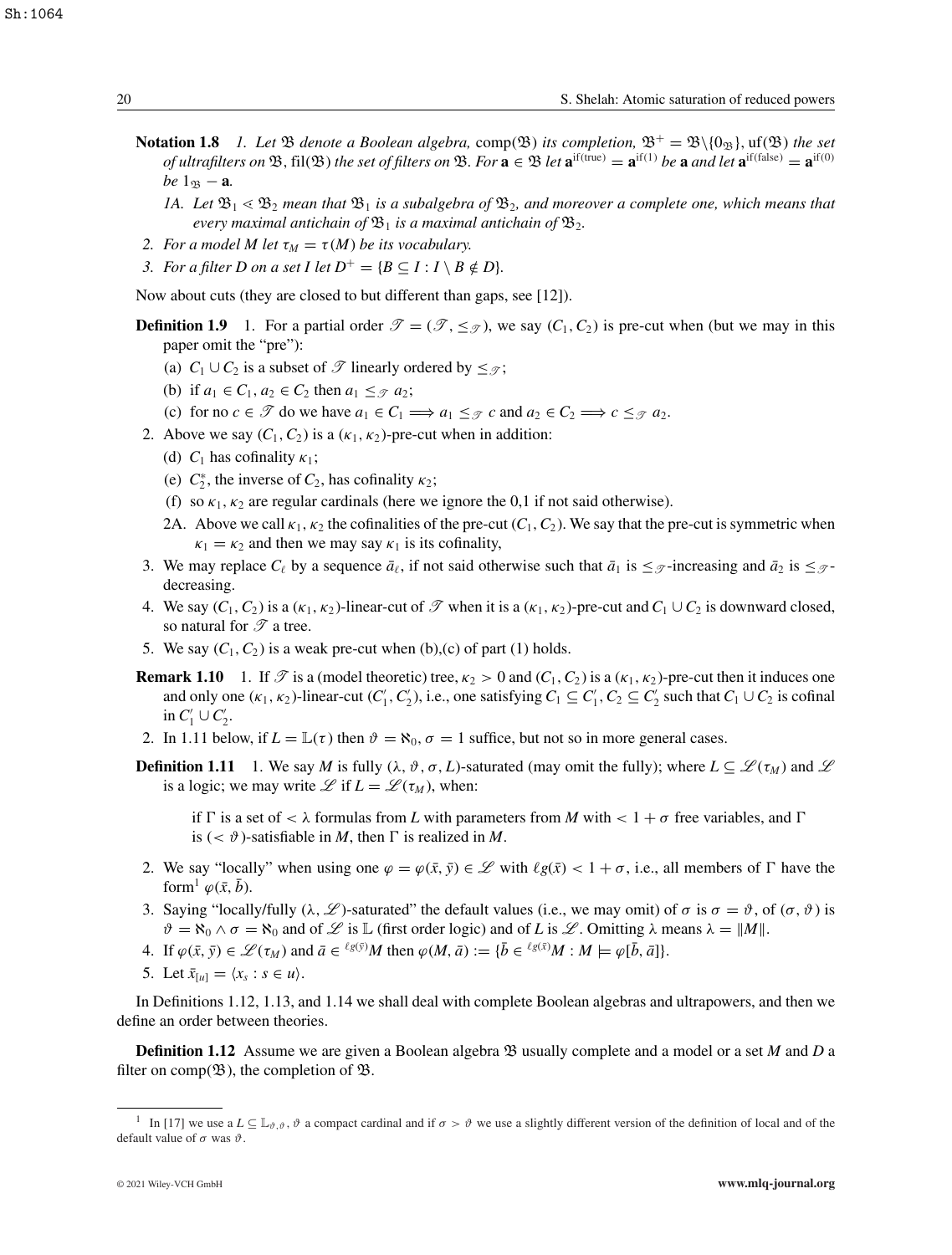Sh:1064

- **Notation 1.8** *1. Let*  $\mathfrak{B}$  *denote a Boolean algebra,* comp( $\mathfrak{B}$ ) *its completion,*  $\mathfrak{B}^+=\mathfrak{B}\setminus\{0_{\mathfrak{B}}\}$ ,  $\text{uf}(\mathfrak{B})$  *the set of ultrafilters on*  $\mathfrak{B}$ , fil( $\mathfrak{B}$ ) *the set of filters on*  $\mathfrak{B}$ *. For*  $\mathbf{a} \in \mathfrak{B}$  *let*  $\mathbf{a}^{\text{if(true)}} = \mathbf{a}^{\text{if(1)}}$  *be*  $\mathbf{a}$  *and let*  $\mathbf{a}^{\text{if(false)}} = \mathbf{a}^{\text{if(0)}}$  $be$  1<sub>B</sub> − **a***.* 
	- 1A. Let  $\mathfrak{B}_1 \leq \mathfrak{B}_2$  mean that  $\mathfrak{B}_1$  is a subalgebra of  $\mathfrak{B}_2$ , and moreover a complete one, which means that *every maximal antichain of*  $\mathfrak{B}_1$  *is a maximal antichain of*  $\mathfrak{B}_2$ *.*
- *2. For a model M let*  $\tau_M = \tau(M)$  *be its vocabulary.*
- *3. For a filter D on a set I let*  $D^+ = {B \subseteq I : I \setminus B \notin D}$ .

Now about cuts (they are closed to but different than gaps, see [12]).

- **Definition 1.9** 1. For a partial order  $\mathcal{T} = (\mathcal{T}, \leq_{\mathcal{T}})$ , we say  $(C_1, C_2)$  is pre-cut when (but we may in this paper omit the "pre"):
	- (a)  $C_1 \cup C_2$  is a subset of  $\mathscr T$  linearly ordered by  $\leq_{\mathscr T}$ ;
	- (b) if  $a_1 \in C_1$ ,  $a_2 \in C_2$  then  $a_1 \leq_{\mathcal{T}} a_2$ ;
	- (c) for no  $c \in \mathcal{T}$  do we have  $a_1 \in C_1 \Longrightarrow a_1 \leq \mathcal{T}$  *c* and  $a_2 \in C_2 \Longrightarrow c \leq \mathcal{T}$   $a_2$ .
- 2. Above we say  $(C_1, C_2)$  is a  $(\kappa_1, \kappa_2)$ -pre-cut when in addition:
	- (d)  $C_1$  has cofinality  $\kappa_1$ ;
	- (e)  $C_2^*$ , the inverse of  $C_2$ , has cofinality  $\kappa_2$ ;
	- (f) so  $\kappa_1, \kappa_2$  are regular cardinals (here we ignore the 0,1 if not said otherwise).
	- 2A. Above we call  $\kappa_1$ ,  $\kappa_2$  the cofinalities of the pre-cut  $(C_1, C_2)$ . We say that the pre-cut is symmetric when  $\kappa_1 = \kappa_2$  and then we may say  $\kappa_1$  is its cofinality,
- 3. We may replace  $C_{\ell}$  by a sequence  $\bar{a}_{\ell}$ , if not said otherwise such that  $\bar{a}_1$  is  $\leq_{\mathcal{T}}$ -increasing and  $\bar{a}_2$  is  $\leq_{\mathcal{T}}$ decreasing.
- 4. We say  $(C_1, C_2)$  is a  $(\kappa_1, \kappa_2)$ -linear-cut of  $\mathscr T$  when it is a  $(\kappa_1, \kappa_2)$ -pre-cut and  $C_1 \cup C_2$  is downward closed, so natural for  $\mathscr T$  a tree.
- 5. We say  $(C_1, C_2)$  is a weak pre-cut when (b),(c) of part (1) holds.
- **Remark 1.10** 1. If  $\mathcal{T}$  is a (model theoretic) tree,  $\kappa_2 > 0$  and  $(C_1, C_2)$  is a  $(\kappa_1, \kappa_2)$ -pre-cut then it induces one and only one  $(\kappa_1, \kappa_2)$ -linear-cut  $(C'_1, C'_2)$ , i.e., one satisfying  $C_1 \subseteq C'_1, C_2 \subseteq C'_2$  such that  $C_1 \cup C_2$  is cofinal in  $C_1' \cup C_2'$ .
- 2. In 1.11 below, if  $L = \mathbb{L}(\tau)$  then  $\vartheta = \aleph_0, \sigma = 1$  suffice, but not so in more general cases.
- **Definition 1.11** 1. We say *M* is fully ( $\lambda$ ,  $\vartheta$ ,  $\sigma$ , *L*)-saturated (may omit the fully); where  $L \subseteq \mathcal{L}(\tau_M)$  and  $\mathcal{L}$ is a logic; we may write  $\mathscr L$  if  $L = \mathscr L(\tau_M)$ , when:

if  $\Gamma$  is a set of  $\lt \lambda$  formulas from *L* with parameters from *M* with  $\lt 1 + \sigma$  free variables, and  $\Gamma$ is  $( $\vartheta$ )-satisfiable in M, then  $\Gamma$  is realized in M.$ 

- 2. We say "locally" when using one  $\varphi = \varphi(\bar{x}, \bar{y}) \in \mathcal{L}$  with  $\ell g(\bar{x}) < 1 + \sigma$ , i.e., all members of  $\Gamma$  have the form<sup>1</sup>  $\varphi(\bar{x}, \bar{b})$ .
- 3. Saying "locally/fully ( $\lambda$ ,  $\mathscr{L}$ )-saturated" the default values (i.e., we may omit) of  $\sigma$  is  $\sigma = \vartheta$ , of  $(\sigma, \vartheta)$  is  $\vartheta = \aleph_0 \wedge \sigma = \aleph_0$  and of L is  $\mathcal L$  is  $\mathbb L$  (first order logic) and of L is  $\mathcal L$ . Omitting  $\lambda$  means  $\lambda = ||M||$ .
- 4. If  $\varphi(\bar{x}, \bar{y}) \in \mathcal{L}(\tau_M)$  and  $\bar{a} \in {}^{\ell g(\bar{y})}M$  then  $\varphi(M, \bar{a}) := {\bar{b} \in {}^{\ell g(\bar{x})}}M : M \models \varphi[\bar{b}, \bar{a}]\}.$
- 5. Let  $\bar{x}_{[u]} = \langle x_s : s \in u \rangle$ .

In Definitions 1.12, 1.13, and 1.14 we shall deal with complete Boolean algebras and ultrapowers, and then we define an order between theories.

**Definition 1.12** Assume we are given a Boolean algebra B usually complete and a model or a set *M* and *D* a filter on comp( $\mathfrak{B}$ ), the completion of  $\mathfrak{B}$ .

<sup>&</sup>lt;sup>1</sup> In [17] we use a  $L \subseteq \mathbb{L}_{\vartheta, \vartheta}$ ,  $\vartheta$  a compact cardinal and if  $\sigma > \vartheta$  we use a slightly different version of the definition of local and of the default value of  $\sigma$  was  $\vartheta$ .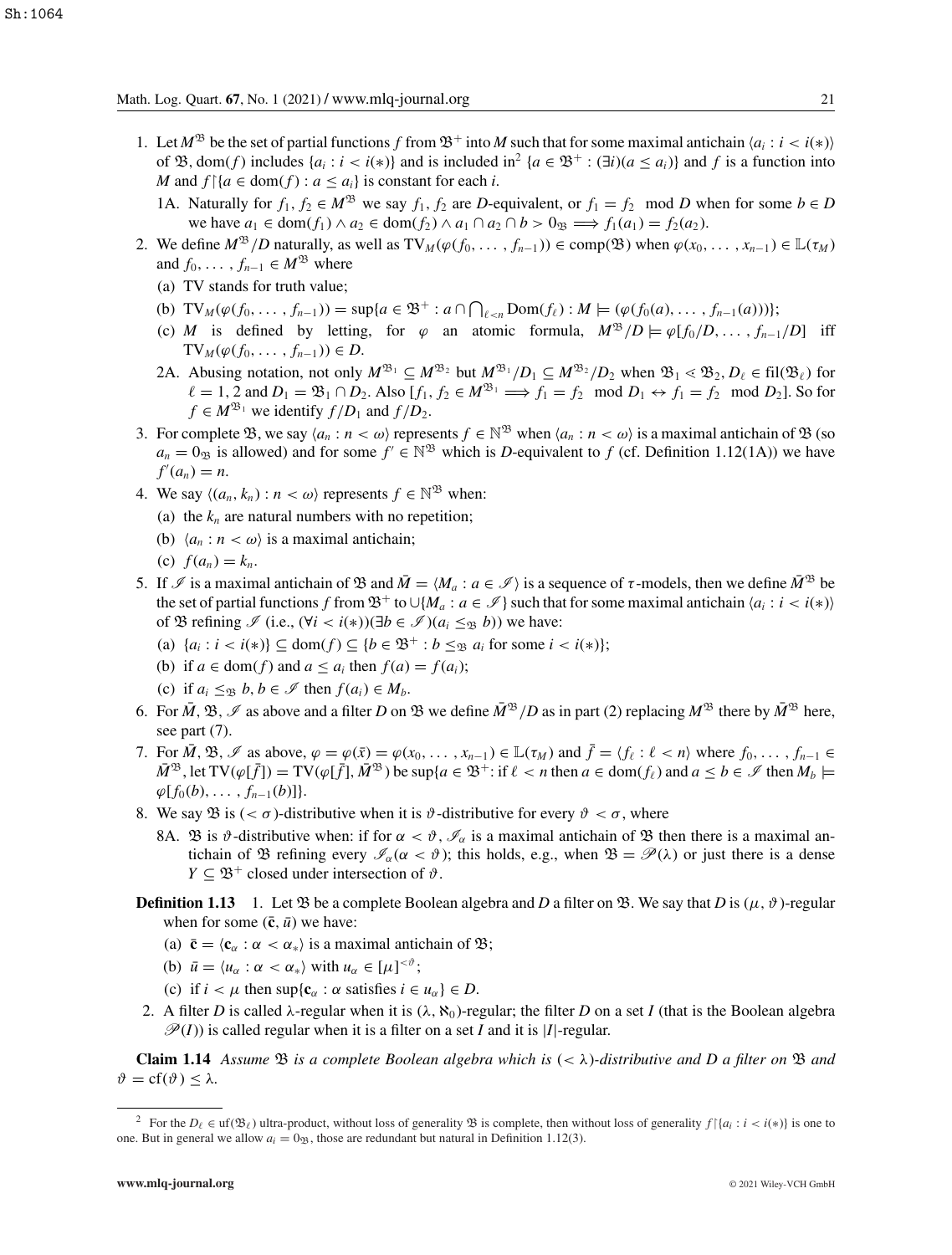- 1. Let  $M^{\mathfrak{B}}$  be the set of partial functions *f* from  $\mathfrak{B}^+$  into *M* such that for some maximal antichain  $\langle a_i : i < i(*) \rangle$ of  $\mathfrak{B}$ , dom(*f*) includes  $\{a_i : i < i(*)\}$  and is included in<sup>2</sup>  $\{a \in \mathfrak{B}^+ : (\exists i)(a \leq a_i)\}$  and *f* is a function into *M* and  $f$  { $a \in \text{dom}(f)$  :  $a \leq a_i$ } is constant for each *i*.
	- 1A. Naturally for  $f_1, f_2 \in M^{\mathfrak{B}}$  we say  $f_1, f_2$  are *D*-equivalent, or  $f_1 = f_2 \mod D$  when for some  $b \in D$ we have  $a_1 \in \text{dom}(f_1) \land a_2 \in \text{dom}(f_2) \land a_1 \cap a_2 \cap b > 0$   $\implies f_1(a_1) = f_2(a_2)$ .
- 2. We define  $M^{\mathfrak{B}}/D$  naturally, as well as  $\text{TV}_M(\varphi(f_0, \ldots, f_{n-1})) \in \text{comp}(\mathfrak{B})$  when  $\varphi(x_0, \ldots, x_{n-1}) \in \mathbb{L}(\tau_M)$ and  $f_0, \ldots, f_{n-1} \in M^{\mathfrak{B}}$  where
	- (a) TV stands for truth value;
	- (b)  $\text{TV}_M(\varphi(f_0, ..., f_{n-1})) = \sup\{a \in \mathfrak{B}^+ : a \cap \bigcap_{\ell < n} \text{Dom}(f_\ell) : M \models (\varphi(f_0(a), ..., f_{n-1}(a)))\};$
	- (c) *M* is defined by letting, for  $\varphi$  an atomic formula,  $M^{\mathfrak{B}}/D \models \varphi[f_0/D, \ldots, f_{n-1}/D]$  iff TV<sub>*M*</sub>( $\phi$ (*f*<sub>0</sub>, ..., *f*<sub>*n*−1</sub>)) ∈ *D*.
	- 2A. Abusing notation, not only  $M^{\mathfrak{B}_1} \subseteq M^{\mathfrak{B}_2}$  but  $M^{\mathfrak{B}_1}/D_1 \subseteq M^{\mathfrak{B}_2}/D_2$  when  $\mathfrak{B}_1 \lessdot \mathfrak{B}_2, D_\ell \in \text{fil}(\mathfrak{B}_\ell)$  for  $\ell = 1, 2$  and  $D_1 = \mathfrak{B}_1 \cap D_2$ . Also  $[f_1, f_2 \in M^{\mathfrak{B}_1} \Longrightarrow f_1 = f_2 \mod D_1 \leftrightarrow f_1 = f_2 \mod D_2$ . So for  $f \in M^{\mathfrak{B}_1}$  we identify  $f/D_1$  and  $f/D_2$ .
- 3. For complete  $\mathfrak{B}$ , we say  $\langle a_n : n \langle \omega \rangle$  represents  $f \in \mathbb{N}^{\mathfrak{B}}$  when  $\langle a_n : n \langle \omega \rangle$  is a maximal antichain of  $\mathfrak{B}$  (so  $a_n = 0$ <sub>B</sub> is allowed) and for some  $f' \in \mathbb{N}^{\mathfrak{B}}$  which is *D*-equivalent to *f* (cf. Definition 1.12(1A)) we have  $f'(a_n) = n.$
- 4. We say  $\langle (a_n, k_n) : n < \omega \rangle$  represents  $f \in \mathbb{N}^{\mathfrak{B}}$  when:
	- (a) the  $k_n$  are natural numbers with no repetition;
	- (b)  $\langle a_n : n \rangle \leq \omega$  is a maximal antichain;
	- (c)  $f(a_n) = k_n$ .
- 5. If  $\mathcal{I}$  is a maximal antichain of  $\mathfrak{B}$  and  $\overline{M} = \langle M_a : a \in \mathcal{I} \rangle$  is a sequence of  $\tau$ -models, then we define  $\overline{M}^{\mathfrak{B}}$  be the set of partial functions *f* from  $\mathfrak{B}^+$  to  $\cup$ {*M<sub>a</sub>* :  $a \in \mathcal{I}$ } such that for some maximal antichain  $\langle a_i : i \leq i \langle * \rangle$ } of  $\mathfrak{B}$  refining  $\mathscr{I}$  (i.e.,  $(\forall i < i(*))(\exists b \in \mathscr{I})(a_i \leq_{\mathfrak{B}} b)$ ) we have:
	- (a)  $\{a_i : i < i(*)\} \subseteq \text{dom}(f) \subseteq \{b \in \mathfrak{B}^+ : b \leq_{\mathfrak{B}} a_i \text{ for some } i < i(*)\};$
	- (b) if  $a \in \text{dom}(f)$  and  $a \leq a_i$  then  $f(a) = f(a_i)$ ;
	- (c) if  $a_i \leq_B b, b \in \mathcal{I}$  then  $f(a_i) \in M_b$ .
- 6. For  $\overline{M}$ ,  $\mathfrak{B}$ ,  $\mathfrak{B}$  as above and a filter *D* on  $\mathfrak{B}$  we define  $\overline{M}^{\mathfrak{B}}$  /*D* as in part (2) replacing  $M^{\mathfrak{B}}$  there by  $\overline{M}^{\mathfrak{B}}$  here, see part  $(7)$ .
- 7. For  $\overline{M}$ ,  $\mathfrak{B}$ ,  $\mathscr{I}$  as above,  $\varphi = \varphi(\overline{x}) = \varphi(x_0, \ldots, x_{n-1}) \in \mathbb{L}(\tau_M)$  and  $\overline{f} = \langle f_\ell : \ell < n \rangle$  where  $f_0, \ldots, f_{n-1} \in$  $\overline{M}^{33}$ , let  $\text{TV}(\varphi[\overline{f}]) = \text{TV}(\varphi[\overline{f}], \overline{M}^{33})$  be sup $\{a \in \mathfrak{B}^+ : \text{if } \ell < n \text{ then } a \in \text{dom}(f_\ell) \text{ and } a \leq b \in \mathcal{I} \text{ then } M_b \models$  $\varphi[f_0(b), \ldots, f_{n-1}(b)]$ .
- 8. We say  $\mathfrak{B}$  is  $( $\sigma$ )-distributive when it is  $\vartheta$ -distributive for every  $\vartheta < \sigma$ , where$ 
	- 8A.  $\mathfrak B$  is  $\vartheta$ -distributive when: if for  $\alpha < \vartheta$ ,  $\mathscr I_\alpha$  is a maximal antichain of  $\mathfrak B$  then there is a maximal antichain of  $\mathfrak B$  refining every  $\mathscr I_\alpha(\alpha < \vartheta)$ ; this holds, e.g., when  $\mathfrak B = \mathscr P(\lambda)$  or just there is a dense *Y*  $\subset \mathfrak{B}^+$  closed under intersection of  $\vartheta$ .
- **Definition 1.13** 1. Let  $\mathfrak{B}$  be a complete Boolean algebra and *D* a filter on  $\mathfrak{B}$ . We say that *D* is  $(\mu, \vartheta)$ -regular when for some  $(\bar{c}, \bar{u})$  we have:
	- (a)  $\bar{\mathbf{c}} = \langle \mathbf{c}_{\alpha} : \alpha < \alpha_* \rangle$  is a maximal antichain of  $\mathfrak{B}$ ;
	- (b)  $\bar{u} = \langle u_{\alpha} : \alpha < \alpha_* \rangle$  with  $u_{\alpha} \in [\mu]^{<\vartheta}$ ;
	- (c) if  $i < \mu$  then sup $\{c_{\alpha} : \alpha \text{ satisfies } i \in u_{\alpha}\} \in D$ .
- 2. A filter *D* is called  $\lambda$ -regular when it is  $(\lambda, \aleph_0)$ -regular; the filter *D* on a set *I* (that is the Boolean algebra  $\mathcal{P}(I)$ ) is called regular when it is a filter on a set *I* and it is |*I*|-regular.

**Claim 1.14** *Assume*  $\mathcal{B}$  *is a complete Boolean algebra which is*  $( $\lambda$ )$ -distributive and D a filter on  $\mathcal{B}$  and  $\vartheta = cf(\vartheta) \leq \lambda$ .

<sup>&</sup>lt;sup>2</sup> For the  $D_{\ell} \in \text{uf}(\mathfrak{B}_{\ell})$  ultra-product, without loss of generality  $\mathfrak{B}$  is complete, then without loss of generality  $f\vert \{a_i : i < i(*)\}$  is one to one. But in general we allow  $a_i = 0$ <sub>33</sub>, those are redundant but natural in Definition 1.12(3).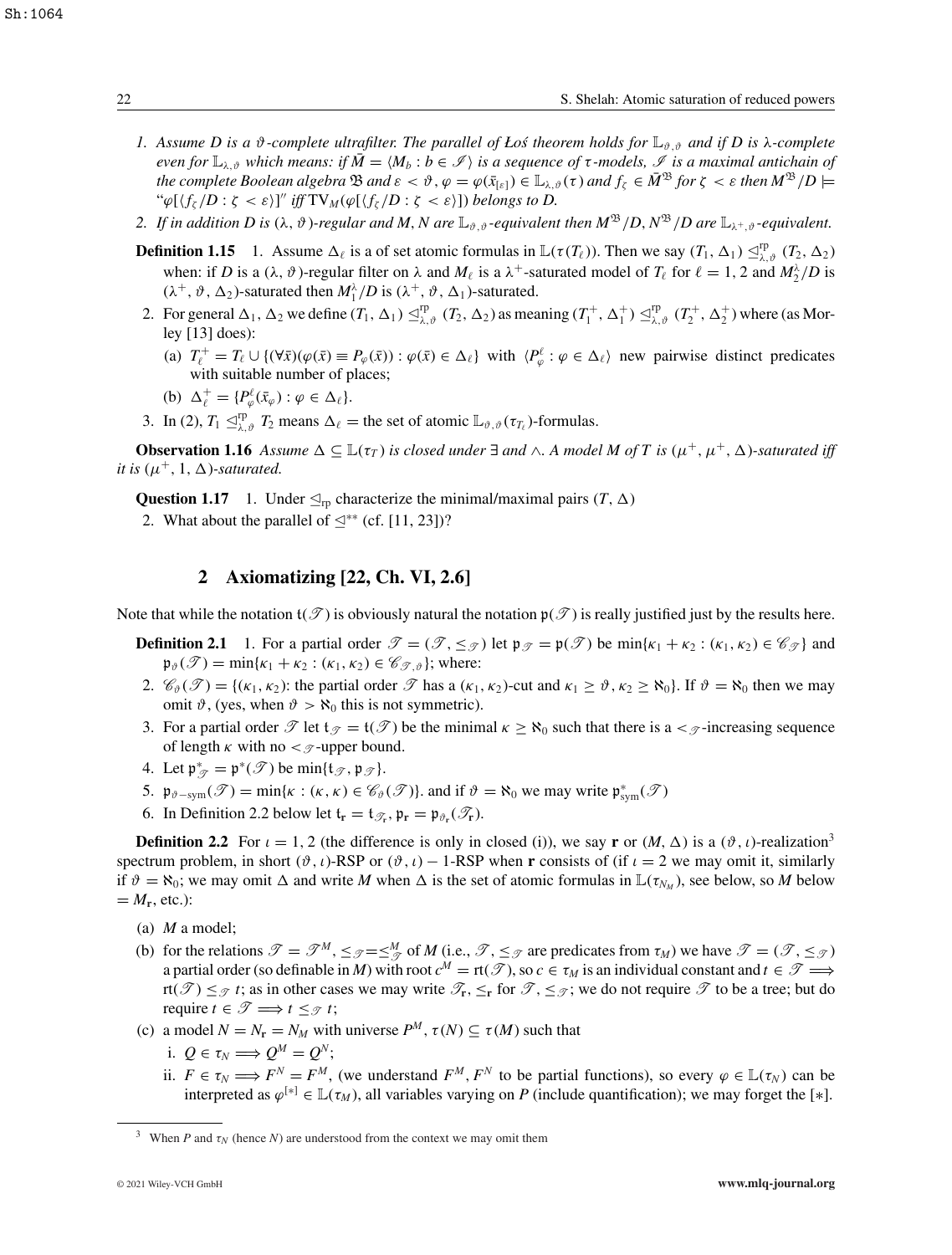- *1. Assume D is a θ-complete ultrafilter. The parallel of Łoś theorem holds for*  $\mathbb{L}_{\vartheta, \vartheta}$  *and if D is* λ-complete *even for*  $\mathbb{L}_{\lambda,\vartheta}$  *which means: if*  $\overline{M} = \langle M_b : b \in \mathcal{I} \rangle$  *is a sequence of*  $\tau$ *-models,*  $\mathcal{I}$  *is a maximal antichain of the complete Boolean algebra*  $\mathfrak{B}$  *and*  $\varepsilon < \vartheta$ ,  $\varphi = \varphi(\bar{x}_{\lceil \varepsilon \rceil}) \in \mathbb{L}_{\lambda, \vartheta}(\tau)$  *and*  $f_{\zeta} \in M^{\mathfrak{B}}$  *for*  $\zeta < \varepsilon$  *then*  $M^{\mathfrak{B}}/D \models$ " $\varphi[\langle f_{\zeta}/D : \zeta \langle \varepsilon \rangle]$ " iff  $TV_M(\varphi[\langle f_{\zeta}/D : \zeta \langle \varepsilon \rangle])$  belongs to D.
- 2. If in addition D is  $(\lambda, \vartheta)$ -regular and M, N are  $\mathbb{L}_{\vartheta, \vartheta}$ -equivalent then  $M^{\mathfrak{B}}/D$ ,  $N^{\mathfrak{B}}/D$  are  $\mathbb{L}_{\lambda^+, \vartheta}$ -equivalent.
- **Definition 1.15** 1. Assume  $\Delta_{\ell}$  is a of set atomic formulas in  $\mathbb{L}(\tau(T_{\ell}))$ . Then we say  $(T_1, \Delta_1) \leq_{\lambda, \vartheta}^{\text{rp}} (T_2, \Delta_2)$ when: if *D* is a ( $\lambda$ ,  $\vartheta$ )-regular filter on  $\lambda$  and  $M_{\ell}$  is a  $\lambda^+$ -saturated model of  $T_{\ell}$  for  $\ell = 1, 2$  and  $M_2^{\lambda}/D$  is  $(\lambda^+, \vartheta, \Delta_2)$ -saturated then  $M_1^{\lambda}/D$  is  $(\lambda^+, \vartheta, \Delta_1)$ -saturated.
- 2. For general  $\Delta_1$ ,  $\Delta_2$  we define  $(T_1, \Delta_1) \leq_{\lambda, \vartheta}^{\text{rp}} (T_2, \Delta_2)$  as meaning  $(T_1^+, \Delta_1^+) \leq_{\lambda, \vartheta}^{\text{rp}} (T_2^+, \Delta_2^+)$  where (as Morley [13] does):
	- (a)  $T_{\ell}^{+} = T_{\ell} \cup \{ (\forall \bar{x}) (\varphi(\bar{x}) \equiv P_{\varphi}(\bar{x})) : \varphi(\bar{x}) \in \Delta_{\ell} \}$  with  $\langle P_{\varphi}^{\ell} : \varphi \in \Delta_{\ell} \rangle$  new pairwise distinct predicates with suitable number of places;
	- (b)  $\Delta_{\ell}^{+} = \{ P_{\varphi}^{\ell}(\bar{x}_{\varphi}) : \varphi \in \Delta_{\ell} \}.$
- 3. In (2),  $T_1 \leq_{\lambda,\vartheta}^{\text{rp}} T_2$  means  $\Delta_{\ell}$  = the set of atomic  $\mathbb{L}_{\vartheta,\vartheta}(\tau_{T_{\ell}})$ -formulas.

**Observation 1.16** Assume  $\Delta \subseteq \mathbb{L}(\tau_T)$  is closed under  $\exists$  and  $\wedge$ . A model M of T is  $(\mu^+, \mu^+, \Delta)$ -saturated iff *it is*  $(\mu^+, 1, \Delta)$ -saturated.

**Question 1.17** 1. Under  $\leq_{\text{rp}}$  characterize the minimal/maximal pairs  $(T, \Delta)$ 

2. What about the parallel of  $\leq^*$  (cf. [11, 23])?

# **2 Axiomatizing [22, Ch. VI, 2.6]**

Note that while the notation  $t(\mathcal{T})$  is obviously natural the notation  $p(\mathcal{T})$  is really justified just by the results here.

- **Definition 2.1** 1. For a partial order  $\mathcal{T} = (\mathcal{T}, \leq_{\mathcal{T}})$  let  $\mathfrak{p}_{\mathcal{T}} = \mathfrak{p}(\mathcal{T})$  be  $\min\{k_1 + k_2 : (k_1, k_2) \in \mathcal{C}_{\mathcal{T}}\}$  and  $\mathfrak{p}_{\vartheta}(\mathscr{T}) = \min\{\kappa_1 + \kappa_2 : (\kappa_1, \kappa_2) \in \mathscr{C}_{\mathscr{T}, \vartheta}\};$  where:
- 2.  $\mathcal{C}_{\vartheta}(\mathcal{T}) = \{(\kappa_1, \kappa_2) : \text{the partial order } \mathcal{T} \text{ has a } (\kappa_1, \kappa_2) \text{-cut and } \kappa_1 \geq \vartheta, \kappa_2 \geq \aleph_0 \}.$  If  $\vartheta = \aleph_0$  then we may omit  $\vartheta$ , (yes, when  $\vartheta > \aleph_0$  this is not symmetric).
- 3. For a partial order  $\mathscr T$  let  $f_{\mathscr T} = f(\mathscr T)$  be the minimal  $\kappa \geq \aleph_0$  such that there is a  $\lt_{\mathscr T}$ -increasing sequence of length  $\kappa$  with no  $\lt_{\mathscr{T}}$ -upper bound.
- 4. Let  $\mathfrak{p}_{\mathscr{T}}^* = \mathfrak{p}^*(\mathscr{T})$  be  $\min\{\mathfrak{t}_{\mathscr{T}}, \mathfrak{p}_{\mathscr{T}}\}.$
- 5.  $\mathfrak{p}_{\vartheta\text{-sym}}(\mathscr{T}) = \min\{\kappa : (\kappa, \kappa) \in \mathscr{C}_{\vartheta}(\mathscr{T})\}\)$  and if  $\vartheta = \aleph_0$  we may write  $\mathfrak{p}_{sym}^*(\mathscr{T})$
- 6. In Definition 2.2 below let  $\mathfrak{t}_r = \mathfrak{t}_{\mathcal{R}}$ ,  $\mathfrak{p}_r = \mathfrak{p}_{\vartheta_r}(\mathcal{T}_r)$ .

**Definition 2.2** For  $\iota = 1, 2$  (the difference is only in closed (i)), we say **r** or  $(M, \Delta)$  is a  $(\vartheta, \iota)$ -realization<sup>3</sup> spectrum problem, in short  $(\vartheta, \iota)$ -RSP or  $(\vartheta, \iota)$  – 1-RSP when **r** consists of (if  $\iota = 2$  we may omit it, similarly if  $\vartheta = \aleph_0$ ; we may omit  $\Delta$  and write *M* when  $\Delta$  is the set of atomic formulas in  $\mathbb{L}(\tau_{N_M})$ , see below, so *M* below  $= M_{\rm r}$ , etc.):

- (a) *M* a model;
- (b) for the relations  $\mathcal{T} = \mathcal{T}^M$ ,  $\leq_{\mathcal{T}} = \leq_{\mathcal{T}}^M$  of *M* (i.e.,  $\mathcal{T}$ ,  $\leq_{\mathcal{T}}$  are predicates from  $\tau_M$ ) we have  $\mathcal{T} = (\mathcal{T}, \leq_{\mathcal{T}})$ a partial order (so definable in *M*) with root  $c^M = rt(\mathcal{T})$ , so  $c \in \tau_M$  is an individual constant and  $t \in \mathcal{T} \Longrightarrow$ rt( $\mathcal{T}$ )  $\leq_{\mathcal{T}} t$ ; as in other cases we may write  $\mathcal{T}_r$ ,  $\leq_r$  for  $\mathcal{T}, \leq_{\mathcal{T}}$ ; we do not require  $\mathcal{T}$  to be a tree; but do require  $t \in \mathcal{T} \Longrightarrow t \leq_{\mathcal{T}} t$ ;
- (c) a model  $N = N_r = N_M$  with universe  $P^M$ ,  $\tau(N) \subseteq \tau(M)$  such that
	- i.  $Q \in \tau_N \Longrightarrow Q^M = Q^N;$
	- ii.  $F \in \tau_N \Longrightarrow F^N = F^M$ , (we understand  $F^M$ ,  $F^N$  to be partial functions), so every  $\varphi \in \mathbb{L}(\tau_N)$  can be interpreted as  $\varphi^{[*]} \in \mathbb{L}(\tau_M)$ , all variables varying on *P* (include quantification); we may forget the [∗].

<sup>&</sup>lt;sup>3</sup> When *P* and  $\tau_N$  (hence *N*) are understood from the context we may omit them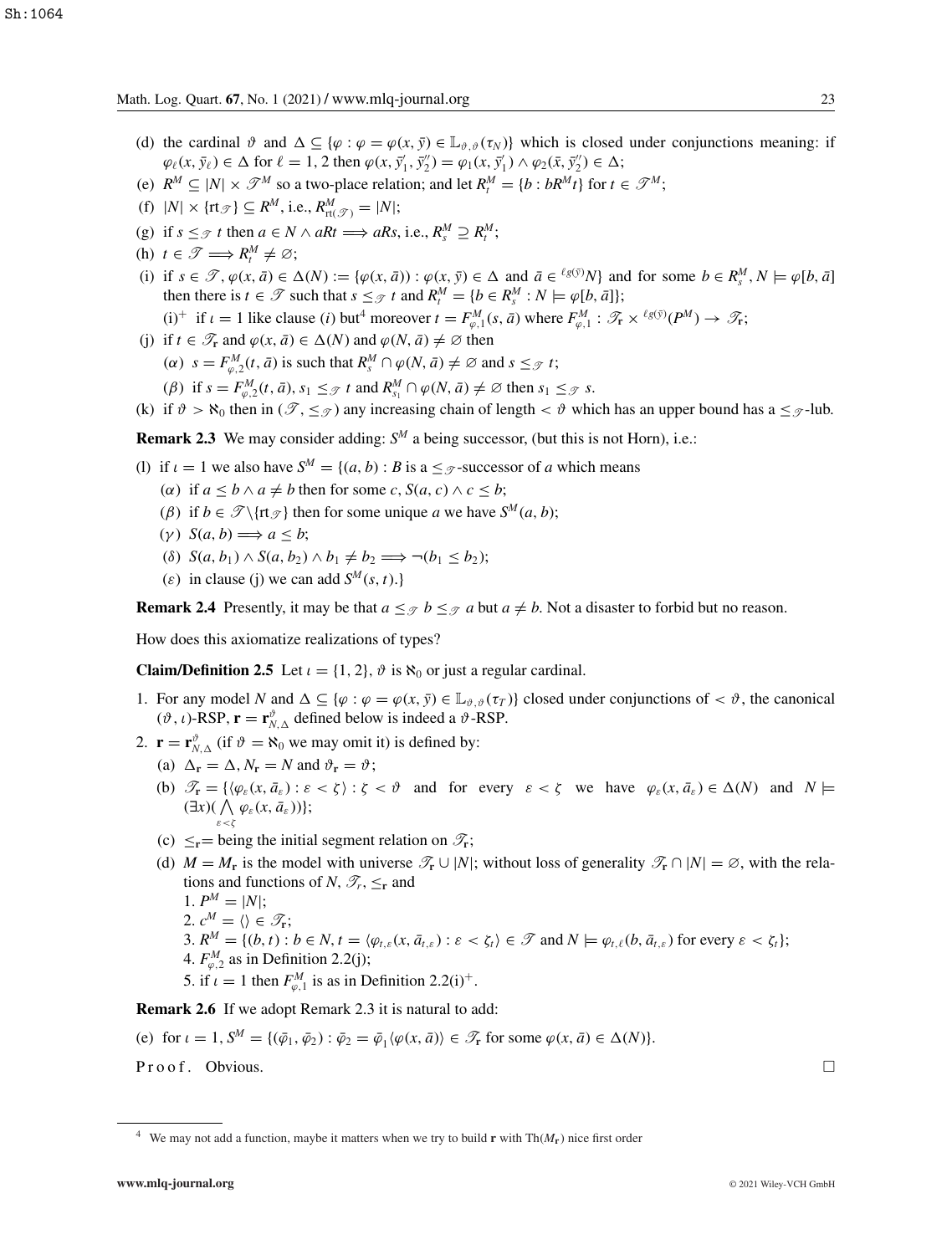- (d) the cardinal  $\vartheta$  and  $\Delta \subseteq {\varphi : \varphi = \varphi(x, \bar{y}) \in \mathbb{L}_{\vartheta, \vartheta}(\tau_N)}$  which is closed under conjunctions meaning: if  $\varphi_{\ell}(x, \bar{y}_{\ell}) \in \Delta$  for  $\ell = 1, 2$  then  $\varphi(x, \bar{y}'_1, \bar{y}''_2) = \varphi_1(x, \bar{y}'_1) \wedge \varphi_2(\bar{x}, \bar{y}''_2) \in \Delta$ ;
- (e)  $R^M \subseteq |N| \times \mathcal{T}^M$  so a two-place relation; and let  $R_t^M = \{b : bR^Mt\}$  for  $t \in \mathcal{T}^M$ ;
- (f)  $|N| \times \{\text{rt}_{\mathcal{T}}\} \subseteq R^M$ , i.e.,  $R^M_{\text{rt}(\mathcal{T})} = |N|$ ;
- (g) if  $s \leq \mathcal{F}$  *t* then  $a \in N \wedge aRt \Longrightarrow aRs$ , i.e.,  $R_s^M \supseteq R_t^M$ ;
- (h)  $t \in \mathcal{T} \Longrightarrow R_t^M \neq \emptyset;$
- (i) if  $s \in \mathcal{T}$ ,  $\varphi(x, \bar{a}) \in \Delta(N) := \{ \varphi(x, \bar{a}) : \varphi(x, \bar{y}) \in \Delta \text{ and } \bar{a} \in {^{l_g(\bar{y})}}N \}$  and for some  $b \in R_s^M$ ,  $N \models \varphi[b, \bar{a}]$ then there is  $t \in \mathcal{T}$  such that  $s \leq_{\mathcal{T}} t$  and  $R_t^M = \{b \in R_s^M : N \models \varphi[b, \bar{a}]\};$ 
	- (i)<sup>+</sup> if  $\iota = 1$  like clause (*i*) but<sup>4</sup> moreover  $t = F_{\varphi,1}^M(s, \bar{a})$  where  $F_{\varphi,1}^M : \mathcal{F}_{\mathbf{r}} \times {}^{\ell g(\bar{y})}(P^M) \to \mathcal{F}_{\mathbf{r}}$ ;
- (j) if  $t \in \mathcal{T}_r$  and  $\varphi(x, \bar{a}) \in \Delta(N)$  and  $\varphi(N, \bar{a}) \neq \emptyset$  then
	- $(\alpha)$   $s = F_{\varphi,2}^{M}(t, \bar{a})$  is such that  $R_s^M \cap \varphi(N, \bar{a}) \neq \emptyset$  and  $s \leq_{\mathcal{T}} t$ ;
	- $(\beta)$  if  $s = F_{\varphi,2}^M(t, \bar{a}), s_1 \leq_{\mathcal{T}} t$  and  $R_{s_1}^M \cap \varphi(N, \bar{a}) \neq \emptyset$  then  $s_1 \leq_{\mathcal{T}} s$ .
- (k) if  $\vartheta > \aleph_0$  then in  $(\mathscr{T}, \leq_{\mathscr{T}})$  any increasing chain of length  $\lt \vartheta$  which has an upper bound has a  $\leq_{\mathscr{T}}$ -lub.

**Remark 2.3** We may consider adding: *S<sup>M</sup>* a being successor, (but this is not Horn), i.e.:

- (1) if  $\iota = 1$  we also have  $S^M = \{(a, b) : B \text{ is a} \leq \mathcal{F}\}$ -successor of *a* which means
	- ( $\alpha$ ) if  $a \leq b \land a \neq b$  then for some  $c, S(a, c) \land c \leq b$ ;
	- (*β*) if  $b \in \mathcal{T} \setminus \{rt_{\mathcal{T}}\}$  then for some unique *a* we have  $S^M(a, b)$ ;
	- $(y)$   $S(a, b) \Longrightarrow a < b;$
	- (δ)  $S(a, b_1) \wedge S(a, b_2) \wedge b_1 \neq b_2 \implies \neg(b_1 \leq b_2);$
	- ( $\varepsilon$ ) in clause (j) we can add  $S^M(s, t)$ .}

**Remark 2.4** Presently, it may be that  $a \leq \mathcal{D}$   $b \leq \mathcal{D}$  *a* but  $a \neq b$ . Not a disaster to forbid but no reason.

How does this axiomatize realizations of types?

**Claim/Definition 2.5** Let  $\iota = \{1, 2\}$ ,  $\vartheta$  is  $\aleph_0$  or just a regular cardinal.

- 1. For any model *N* and  $\Delta \subseteq {\varphi : \varphi = \varphi(x, \bar{y}) \in \mathbb{L}_{\vartheta, \vartheta}(\tau)}$  closed under conjunctions of  $\langle \vartheta, \vartheta \rangle$ , the canonical  $(\vartheta, \iota)$ -RSP,  $\mathbf{r} = \mathbf{r}_{N, \Delta}^{\vartheta}$  defined below is indeed a  $\vartheta$ -RSP.
- 2.  $\mathbf{r} = \mathbf{r}_{N,\Delta}^{\vartheta}$  (if  $\vartheta = \aleph_0$  we may omit it) is defined by:
	- (a)  $\Delta_{\mathbf{r}} = \Delta, N_{\mathbf{r}} = N$  and  $\vartheta_{\mathbf{r}} = \vartheta$ ;
	- (b)  $\mathcal{T}_{\mathbf{r}} = \{ \langle \varphi_{\varepsilon}(x, \bar{a}_{\varepsilon}) : \varepsilon < \zeta \rangle : \zeta < \vartheta \text{ and for every } \varepsilon < \zeta \text{ we have } \varphi_{\varepsilon}(x, \bar{a}_{\varepsilon}) \in \Delta(N) \text{ and } N \models$  $(\exists x)(\bigwedge \varphi_{\varepsilon}(x,\bar{a}_{\varepsilon}))\};$ ε<ζ
	- (c)  $\leq$ **r**= being the initial segment relation on  $\mathcal{T}_r$ ;
	- (d)  $M = M_r$  is the model with universe  $\mathcal{T}_r \cup |N|$ ; without loss of generality  $\mathcal{T}_r \cap |N| = \emptyset$ , with the relations and functions of *N*,  $\mathscr{T}_r$ ,  $\leq_\text{r}$  and
		- 1.  $P^M = |N|$ ;
		- 2.  $c^M = \langle \rangle \in \mathscr{T}_r$ ;
		- 3.  $R^M = \{(b, t) : b \in N, t = \langle \varphi_{t,\varepsilon}(x, \bar{a}_{t,\varepsilon}) : \varepsilon < \zeta_t \rangle \in \mathcal{T} \text{ and } N \models \varphi_{t,\ell}(b, \bar{a}_{t,\varepsilon}) \text{ for every } \varepsilon < \zeta_t \};$
		- 4.  $F_{\varphi,2}^M$  as in Definition 2.2(j);
		- 5. if  $\iota = 1$  then  $F_{\varphi,1}^M$  is as in Definition 2.2(i)<sup>+</sup>.

**Remark 2.6** If we adopt Remark 2.3 it is natural to add:

(e) for 
$$
\iota = 1
$$
,  $S^M = \{(\bar{\varphi}_1, \bar{\varphi}_2) : \bar{\varphi}_2 = \bar{\varphi}_1 \langle \varphi(x, \bar{a}) \rangle \in \mathcal{T}_r \text{ for some } \varphi(x, \bar{a}) \in \Delta(N)\}.$ 

 $Proof.$  Obvious.  $\Box$ 

<sup>&</sup>lt;sup>4</sup> We may not add a function, maybe it matters when we try to build **r** with  $Th(M_r)$  nice first order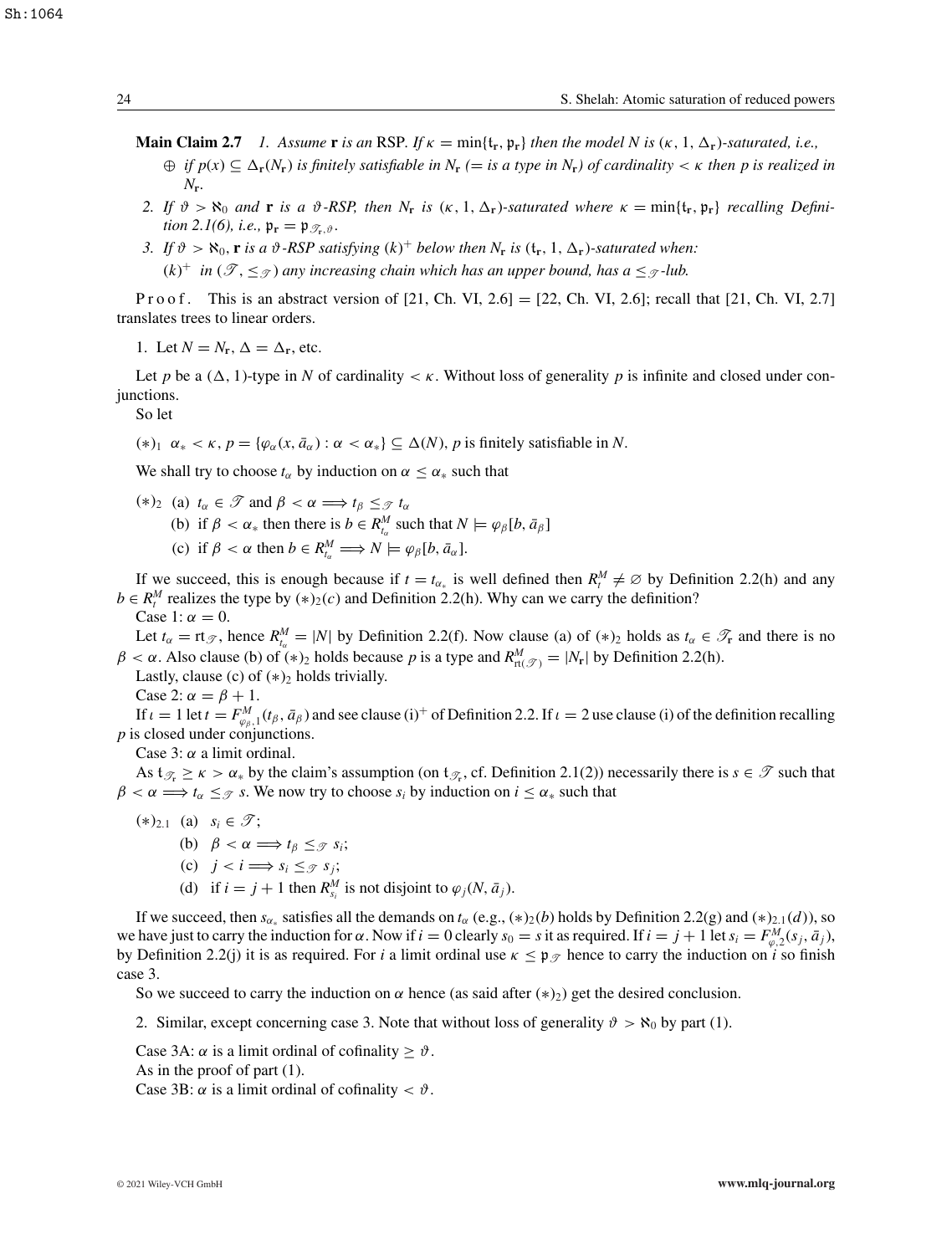- **Main Claim 2.7** *1.* Assume **r** *is an* RSP. If  $\kappa = \min\{t_r, \mathfrak{p}_r\}$  then the model N is  $(\kappa, 1, \Delta_r)$ -saturated, i.e.,
	- $\oplus$  *if*  $p(x) \subseteq \Delta_{\mathbf{r}}(N_{\mathbf{r}})$  *is finitely satisfiable in*  $N_{\mathbf{r}}$  (= *is a type in*  $N_{\mathbf{r}}$ ) *of cardinality* <  $\kappa$  *then* p *is realized in N***r***.*
- *2.* If  $\vartheta > \aleph_0$  and **r** is a  $\vartheta$ -RSP, then  $N_r$  is  $(\kappa, 1, \Delta_r)$ -saturated where  $\kappa = \min\{t_r, \mathfrak{p}_r\}$  recalling Defini*tion 2.1(6), i.e.,*  $\mathfrak{p}_r = \mathfrak{p}_{\mathscr{T}_r, \vartheta}$ *.*
- *3.* If  $\vartheta > \aleph_0$ , **r** *is a*  $\vartheta$ *-RSP satisfying*  $(k)^+$  *below then*  $N_r$  *is*  $(\mathbf{t}_r, 1, \Delta_r)$ *-saturated when:*  $(k)^+$  *in*  $(\mathscr{T}, \leq_{\mathscr{T}})$  *any increasing chain which has an upper bound, has a*  $\leq_{\mathscr{T}}$ -lub.

P r o o f. This is an abstract version of  $[21, Ch. VI, 2.6] = [22, Ch. VI, 2.6]$ ; recall that  $[21, Ch. VI, 2.7]$ translates trees to linear orders.

1. Let  $N = N_r$ ,  $\Delta = \Delta_r$ , etc.

Let *p* be a  $(\Delta, 1)$ -type in *N* of cardinality  $\lt \kappa$ . Without loss of generality *p* is infinite and closed under conjunctions.

So let

 $(*)_1 \alpha_* < \kappa$ ,  $p = \{\varphi_\alpha(x, \bar{a}_\alpha) : \alpha < \alpha_*\} \subseteq \Delta(N)$ , p is finitely satisfiable in N.

We shall try to choose  $t_\alpha$  by induction on  $\alpha \leq \alpha_*$  such that

(\*)<sub>2</sub> (a)  $t_\alpha \in \mathcal{T}$  and  $\beta < \alpha \Longrightarrow t_\beta \leq \mathcal{T} t_\alpha$ (b) if  $\beta < \alpha_*$  then there is  $b \in R_{t_\alpha}^M$  such that  $N \models \varphi_\beta[b, \bar{a}_\beta]$ (c) if  $\beta < \alpha$  then  $b \in R_{t_\alpha}^M \Longrightarrow N \models \varphi_\beta[b, \bar{a}_\alpha].$ 

If we succeed, this is enough because if  $t = t_{\alpha_*}$  is well defined then  $R_t^M \neq \emptyset$  by Definition 2.2(h) and any *b*  $\in$  *R*<sup>*M*</sup> realizes the type by (\*)<sub>2</sub>(*c*) and Definition 2.2(h). Why can we carry the definition?

Case 1:  $\alpha = 0$ .

Let  $t_{\alpha} = r t_{\mathcal{T}}$ , hence  $R_{t_{\alpha}}^M = |N|$  by Definition 2.2(f). Now clause (a) of  $(*)_2$  holds as  $t_{\alpha} \in \mathcal{T}_{r}$  and there is no  $\beta < \alpha$ . Also clause (b) of (\*)<sub>2</sub> holds because *p* is a type and  $R_{\text{rt}(\mathcal{T})}^M = |N_{\text{r}}|$  by Definition 2.2(h).

Lastly, clause (c) of  $(*)_2$  holds trivially.

Case 2:  $\alpha = \beta + 1$ .

If  $\iota = 1$  let  $t = F_{\varphi_{\beta},1}^M(t_\beta, \bar{a}_\beta)$  and see clause (i)<sup>+</sup> of Definition 2.2. If  $\iota = 2$  use clause (i) of the definition recalling *p* is closed under conjunctions.

Case 3:  $\alpha$  a limit ordinal.

As  $t_{\mathscr{T}_r} \geq \kappa > \alpha_*$  by the claim's assumption (on  $t_{\mathscr{T}_r}$ , cf. Definition 2.1(2)) necessarily there is  $s \in \mathscr{T}$  such that  $\beta < \alpha \Longrightarrow t_{\alpha} \leq \beta$  *s*. We now try to choose  $s_i$  by induction on  $i \leq \alpha_*$  such that

- $(*)_{2,1}$  (a) *s<sub>i</sub>* ∈  $\mathscr{T}$ ; (b)  $\beta < \alpha \Longrightarrow t_{\beta} \leq_{\mathcal{T}} s_i;$ (c)  $j < i \Longrightarrow s_i \leq_{\mathcal{F}} s_j;$ 
	- (d) if  $i = j + 1$  then  $R_{s_i}^M$  is not disjoint to  $\varphi_j(N, \bar{a}_j)$ .

If we succeed, then  $s_{\alpha_*}$  satisfies all the demands on  $t_{\alpha}$  (e.g.,  $(*)_2(b)$  holds by Definition 2.2(g) and  $(*)_{2,1}(d)$ ), so we have just to carry the induction for  $\alpha$ . Now if  $i = 0$  clearly  $s_0 = s$  it as required. If  $i = j + 1$  let  $s_i = F_{\varphi,2}^M(s_j, \bar{a}_j)$ , by Definition 2.2(j) it is as required. For *i* a limit ordinal use  $\kappa \leq \mathfrak{p}_{\mathscr{T}}$  hence to carry the induction on *i* so finish case 3.

So we succeed to carry the induction on  $\alpha$  hence (as said after  $(*)_2$ ) get the desired conclusion.

2. Similar, except concerning case 3. Note that without loss of generality  $\vartheta > \aleph_0$  by part (1).

Case 3A:  $\alpha$  is a limit ordinal of cofinality  $\geq \vartheta$ .

As in the proof of part (1).

Case 3B:  $\alpha$  is a limit ordinal of cofinality  $\langle \vartheta \rangle$ .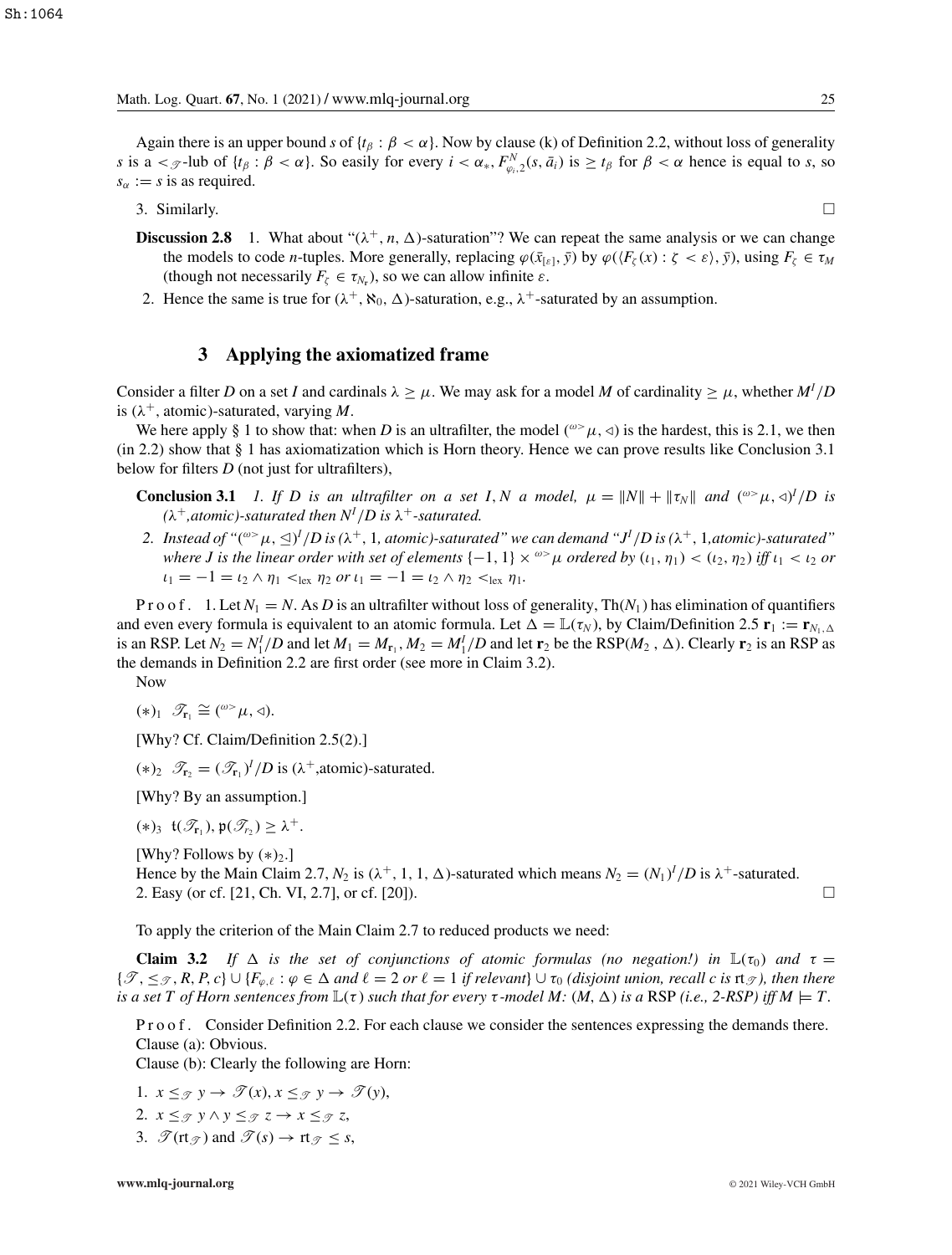Again there is an upper bound *s* of  $\{t_\beta : \beta < \alpha\}$ . Now by clause (k) of Definition 2.2, without loss of generality *s* is a  $\lt$   $\lt$  -lub of  $\{t_\beta : \beta < \alpha\}$ . So easily for every  $i < \alpha_*, F^N_{\varphi_i,2}(s, \bar{a}_i)$  is  $\geq t_\beta$  for  $\beta < \alpha$  hence is equal to *s*, so  $s_\alpha := s$  is as required.

3. Similarly.  $\square$ 

- **Discussion 2.8** 1. What about " $(\lambda^+, n, \Delta)$ -saturation"? We can repeat the same analysis or we can change the models to code *n*-tuples. More generally, replacing  $\varphi(\bar{x}_{\lbrack \varepsilon \rbrack}, \bar{y})$  by  $\varphi(\langle F_{\zeta}(x) : \zeta < \varepsilon \rangle, \bar{y})$ , using  $F_{\zeta} \in \tau_M$ (though not necessarily  $F_{\zeta} \in \tau_{N_r}$ ), so we can allow infinite  $\varepsilon$ .
- 2. Hence the same is true for  $(\lambda^+, \aleph_0, \Delta)$ -saturation, e.g.,  $\lambda^+$ -saturated by an assumption.

## **3 Applying the axiomatized frame**

Consider a filter *D* on a set *I* and cardinals  $\lambda \geq \mu$ . We may ask for a model *M* of cardinality  $\geq \mu$ , whether  $M^I/D$ is  $(\lambda^+$ , atomic)-saturated, varying *M*.

We here apply § 1 to show that: when *D* is an ultrafilter, the model ( $\omega > \mu$ ,  $\triangleleft$ ) is the hardest, this is 2.1, we then (in 2.2) show that § 1 has axiomatization which is Horn theory. Hence we can prove results like Conclusion 3.1 below for filters *D* (not just for ultrafilters),

**Conclusion 3.1** *1. If D is an ultrafilter on a set I, N a model,*  $\mu = ||N|| + ||\tau_N||$  *and*  $({}^{\omega} > \mu, \triangleleft)^I/D$  *is*  $(\lambda^+,$ atomic)-saturated then  $N^I/D$  is  $\lambda^+$ -saturated.

2. Instead of "( $^{\omega>} \mu$ ,  $\trianglelefteq$ )<sup>I</sup>/D is ( $\lambda^+$ , 1, atomic)-saturated" we can demand "J<sup>I</sup>/D is ( $\lambda^+$ , 1,atomic)-saturated" *where J is the linear order with set of elements*  $\{-1, 1\} \times \infty$  *μ ordered by*  $(\iota_1, \eta_1) < (\iota_2, \eta_2)$  *iff*  $\iota_1 < \iota_2$  *or*  $\iota_1 = -1 = \iota_2 \wedge \eta_1 <_{\text{lex}} \eta_2 \text{ or } \iota_1 = -1 = \iota_2 \wedge \eta_2 <_{\text{lex}} \eta_1.$ 

P r o o f . 1. Let  $N_1 = N$ . As D is an ultrafilter without loss of generality,  $Th(N_1)$  has elimination of quantifiers and even every formula is equivalent to an atomic formula. Let  $\Delta = \mathbb{L}(\tau_N)$ , by Claim/Definition 2.5  $\mathbf{r}_1 := \mathbf{r}_{N_1,\Delta}$ is an RSP. Let  $N_2 = N_1^I/D$  and let  $M_1 = M_{r_1}$ ,  $M_2 = M_1^I/D$  and let  $r_2$  be the RSP( $M_2$ ,  $\Delta$ ). Clearly  $r_2$  is an RSP as the demands in Definition 2.2 are first order (see more in Claim 3.2).

Now

$$
(*)_1 \ \mathscr{T}_{r_1} \cong ({}^{\omega>} \mu, \triangleleft).
$$

[Why? Cf. Claim/Definition 2.5(2).]

 $(*)_2$   $\mathcal{T}_{r_2} = (\mathcal{T}_{r_1})^I/D$  is  $(\lambda^+,$ atomic)-saturated.

[Why? By an assumption.]

 $(\ast)_3$  **t** $(\mathscr{T}_{r_1}), \mathfrak{p}(\mathscr{T}_{r_2}) \geq \lambda^+$ .

[Why? Follows by  $(*)_2$ .] Hence by the Main Claim 2.7,  $N_2$  is  $(\lambda^+, 1, 1, \Delta)$ -saturated which means  $N_2 = (N_1)^I/D$  is  $\lambda^+$ -saturated. 2. Easy (or cf. [21, Ch. VI, 2.7], or cf. [20]).

To apply the criterion of the Main Claim 2.7 to reduced products we need:

**Claim 3.2** *If*  $\Delta$  *is the set of conjunctions of atomic formulas (no negation!) in*  $\mathbb{L}(\tau_0)$  *and*  $\tau =$  $\{\mathscr{T},\leq_{\mathscr{T}},R,P,c\}\cup\{F_{\varphi,\ell}:\varphi\in\Delta\text{ and }\ell=2\text{ or }\ell=1\text{ if relevant}\}\cup\tau_0\text{ (disjoint union, recall }c\text{ is rt}_{\mathscr{T}}\text{), then there}$ *is a set T of Horn sentences from*  $\mathbb{L}(\tau)$  *such that for every*  $\tau$ *-model M:*  $(M, \Delta)$  *is a* RSP *(i.e., 2-RSP) iff*  $M \models T$ *.* 

P r o o f . Consider Definition 2.2. For each clause we consider the sentences expressing the demands there. Clause (a): Obvious.

Clause (b): Clearly the following are Horn:

- 1.  $x \leq_{\mathcal{T}} y \rightarrow \mathcal{T}(x), x \leq_{\mathcal{T}} y \rightarrow \mathcal{T}(y),$
- 2.  $x \leq_{\mathcal{T}} y \wedge y \leq_{\mathcal{T}} z \rightarrow x \leq_{\mathcal{T}} z$ ,
- 3.  $\mathscr{T}(\text{rt}_{\mathscr{T}})$  and  $\mathscr{T}(s) \to \text{rt}_{\mathscr{T}} < s$ ,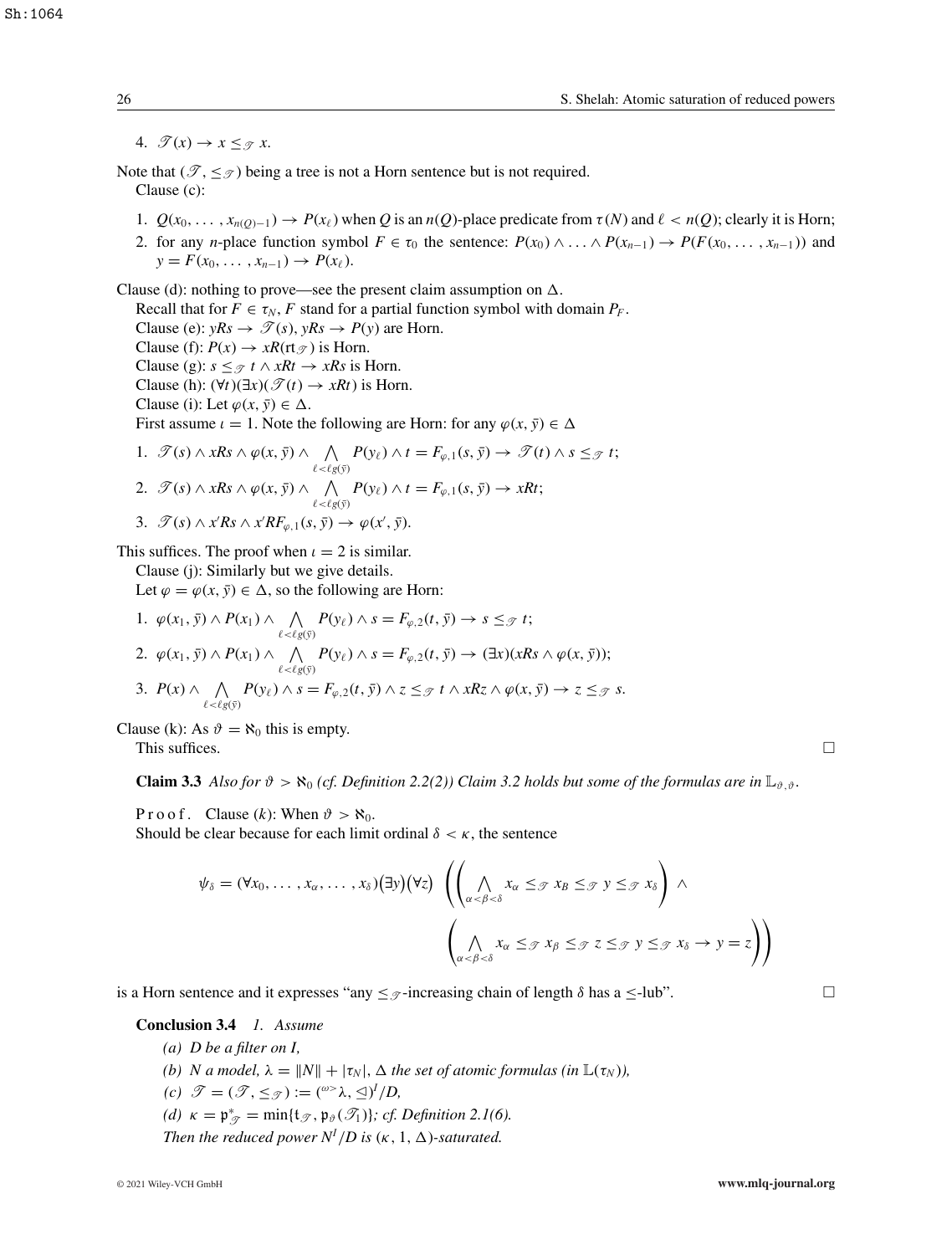4.  $\mathscr{T}(x) \rightarrow x \leq_{\mathscr{T}} x$ .

Note that  $(\mathscr{T}, \leq_{\mathscr{T}})$  being a tree is not a Horn sentence but is not required. Clause (c):

- 1.  $Q(x_0, \ldots, x_{n(Q)-1}) \to P(x_\ell)$  when Q is an  $n(Q)$ -place predicate from  $\tau(N)$  and  $\ell < n(Q)$ ; clearly it is Horn;
- 2. for any *n*-place function symbol  $F \in \tau_0$  the sentence:  $P(x_0) \wedge \ldots \wedge P(x_{n-1}) \rightarrow P(F(x_0, \ldots, x_{n-1}))$  and  $y = F(x_0, \ldots, x_{n-1}) \to P(x_\ell).$

Clause (d): nothing to prove—see the present claim assumption on  $\Delta$ .

Recall that for  $F \in \tau_N$ , *F* stand for a partial function symbol with domain  $P_F$ .

Clause (e):  $yRs \rightarrow \mathcal{T}(s)$ ,  $yRs \rightarrow P(y)$  are Horn.

Clause (f):  $P(x) \rightarrow xR(\text{rt}_{\mathcal{T}})$  is Horn.

Clause (g):  $s \leq \mathcal{F} t \wedge xRt \rightarrow xRs$  is Horn.

Clause (h):  $(\forall t)(\exists x)(\mathcal{T}(t) \rightarrow xRt)$  is Horn.

Clause (i): Let  $\varphi(x, \bar{y}) \in \Delta$ .

First assume  $\iota = 1$ . Note the following are Horn: for any  $\varphi(x, \bar{y}) \in \Delta$ 

1. 
$$
\mathscr{T}(s) \wedge xRs \wedge \varphi(x, \bar{y}) \wedge \bigwedge_{\ell < \ell g(\bar{y})} P(y_{\ell}) \wedge t = F_{\varphi, 1}(s, \bar{y}) \rightarrow \mathscr{T}(t) \wedge s \leq_{\mathscr{T}} t;
$$
  
\n2.  $\mathscr{T}(s) \wedge xRs \wedge \varphi(x, \bar{y}) \wedge \bigwedge_{\ell < \ell g(\bar{y})} P(y_{\ell}) \wedge t = F_{\varphi, 1}(s, \bar{y}) \rightarrow xRt;$   
\n3.  $\mathscr{T}(s) \wedge xRs \wedge x'RF_{\varphi, 1}(s, \bar{y}) \rightarrow \varphi(x', \bar{y}).$ 

This suffices. The proof when  $\iota = 2$  is similar.

Clause (j): Similarly but we give details.

Let  $\varphi = \varphi(x, \bar{y}) \in \Delta$ , so the following are Horn:

1.  $\varphi(x_1, \bar{y}) \wedge P(x_1) \wedge \bigwedge_{\ell < \ell g(\bar{y})} P(y_\ell) \wedge s = F_{\varphi,2}(t, \bar{y}) \rightarrow s \leq_{\mathcal{T}} t;$ 2.  $\varphi(x_1, \bar{y}) \wedge P(x_1) \wedge \bigwedge_{\ell < \ell g(\bar{y})} P(y_\ell) \wedge s = F_{\varphi,2}(t, \bar{y}) \rightarrow (\exists x)(xRs \wedge \varphi(x, \bar{y}));$ 3.  $P(x)$  ∧  $\wedge$  $\bigwedge_{\ell \prec \ell g(\bar{y})} P(y_{\ell}) \wedge s = F_{\varphi,2}(t, \bar{y}) \wedge z \leq_{\mathcal{F}} t \wedge xRz \wedge \varphi(x, \bar{y}) \rightarrow z \leq_{\mathcal{F}} s.$ 

Clause (k): As  $\vartheta = \aleph_0$  this is empty.

This suffices.  $\Box$ 

**Claim 3.3** *Also for*  $\vartheta > \aleph_0$  *(cf. Definition 2.2(2)) Claim 3.2 holds but some of the formulas are in*  $\mathbb{L}_{\vartheta, \vartheta}$ .

P r o o f. Clause (*k*): When  $\vartheta > \aleph_0$ . Should be clear because for each limit ordinal  $\delta < \kappa$ , the sentence

$$
\psi_{\delta} = (\forall x_0, \ldots, x_{\alpha}, \ldots, x_{\delta}) (\exists y) (\forall z) \ \left( \left( \bigwedge_{\alpha < \beta < \delta} x_{\alpha} \leq_{\mathcal{F}} x_{\beta} \leq_{\mathcal{F}} y \leq_{\mathcal{F}} x_{\delta} \right) \land \left( \bigwedge_{\alpha < \beta < \delta} x_{\alpha} \leq_{\mathcal{F}} x_{\beta} \leq_{\mathcal{F}} z \leq_{\mathcal{F}} y \leq_{\mathcal{F}} x_{\delta} \rightarrow y = z \right) \right)
$$

is a Horn sentence and it expresses "any  $\leq \mathcal{D}$ -increasing chain of length  $\delta$  has a  $\leq$ -lub".

**Conclusion 3.4** *1. Assume*

- *(a) D be a filter on I,*
- *(b) N* a model,  $\lambda = ||N|| + |\tau_N|$ ,  $\Delta$  the set of atomic formulas (in  $\mathbb{L}(\tau_N)$ ),
- $(c)$   $\mathscr{T} = (\mathscr{T}, \leq_{\mathscr{T}}) := ({}^{\omega>}\lambda, \trianglelefteq)^I/D$ ,

*(d)*  $\kappa = \mathfrak{p}_{\mathcal{T}}^* = \min\{\mathfrak{t}_{\mathcal{T}}, \mathfrak{p}_{\vartheta}(\mathcal{T}_1)\};$  *cf. Definition 2.1(6).* 

*Then the reduced power*  $N^I/D$  *is* ( $\kappa$ , 1,  $\Delta$ )-saturated.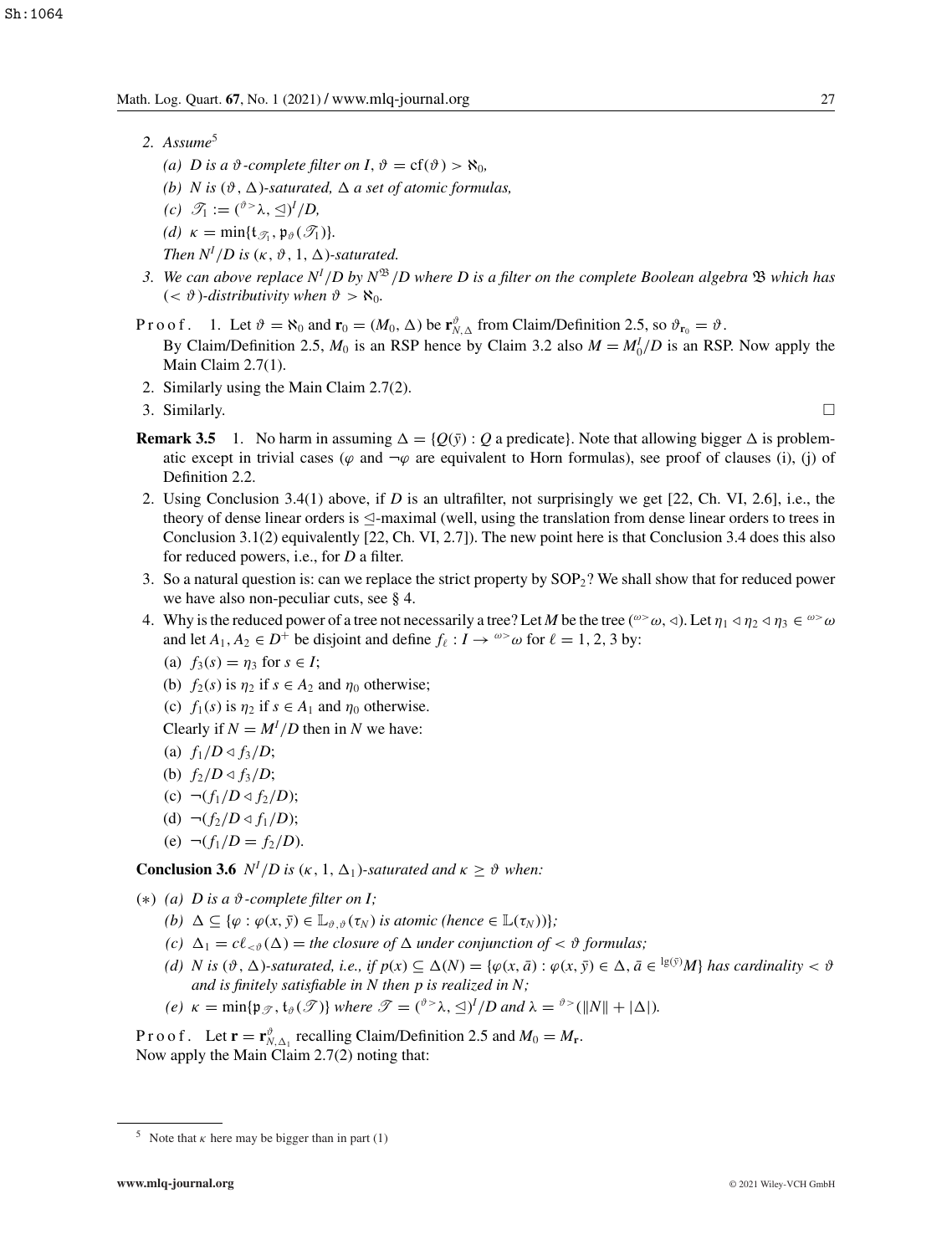- 2. Assume<sup>5</sup>
	- *(a) D* is a  $\vartheta$ -complete filter on *I*,  $\vartheta = cf(\vartheta) > \aleph_0$ ,
	- (b) *N* is  $(\vartheta, \Delta)$ -saturated,  $\Delta$  a set of atomic formulas,
	- $(c)$   $\mathscr{T}_1 := ({}^{\vartheta >} \lambda, \leq)^I/D$ ,
	- *(d)*  $\kappa = \min\{t_{\mathcal{F}_1}, \mathfrak{p}_{\vartheta}(\mathcal{F}_1)\}.$

*Then*  $N^I/D$  *is* ( $\kappa$ ,  $\vartheta$ , 1,  $\Delta$ )-saturated.

- *3. We can above replace N<sup>I</sup>* /*D by N*<sup>B</sup>/*D where D is a filter on the complete Boolean algebra* B *which has*  $( $\vartheta$ )-*distributivity when*  $\vartheta > \aleph_0$ .$
- P r o o f. 1. Let  $\vartheta = \aleph_0$  and  $\mathbf{r}_0 = (M_0, \Delta)$  be  $\mathbf{r}_{N,\Delta}^{\vartheta}$  from Claim/Definition 2.5, so  $\vartheta_{\mathbf{r}_0} = \vartheta$ . By Claim/Definition 2.5,  $M_0$  is an RSP hence by Claim 3.2 also  $M = M_0^I/D$  is an RSP. Now apply the Main Claim 2.7(1).
- 2. Similarly using the Main Claim 2.7(2).
- 3. Similarly.  $\square$ 
	-
- **Remark 3.5** 1. No harm in assuming  $\Delta = \{Q(\bar{y}) : Q \text{ a predicate}\}\$ . Note that allowing bigger  $\Delta$  is problematic except in trivial cases ( $\varphi$  and  $\neg \varphi$  are equivalent to Horn formulas), see proof of clauses (i), (j) of Definition 2.2.
- 2. Using Conclusion 3.4(1) above, if *D* is an ultrafilter, not surprisingly we get [22, Ch. VI, 2.6], i.e., the theory of dense linear orders is  $\trianglelefteq$ -maximal (well, using the translation from dense linear orders to trees in Conclusion 3.1(2) equivalently [22, Ch. VI, 2.7]). The new point here is that Conclusion 3.4 does this also for reduced powers, i.e., for *D* a filter.
- 3. So a natural question is: can we replace the strict property by SOP2? We shall show that for reduced power we have also non-peculiar cuts, see § 4.
- 4. Why is the reduced power of a tree not necessarily a tree? Let M be the tree  $({}^{\omega\geq}\omega,\triangleleft)$ . Let  $\eta_1\triangleleft\eta_2\triangleleft\eta_3\in{}^{\omega\geq}\omega$ and let  $A_1, A_2 \in D^+$  be disjoint and define  $f_\ell : I \to \infty$  for  $\ell = 1, 2, 3$  by:
	- (a)  $f_3(s) = \eta_3$  for  $s \in I$ ;
	- (b)  $f_2(s)$  is  $\eta_2$  if  $s \in A_2$  and  $\eta_0$  otherwise;
	- (c)  $f_1(s)$  is  $\eta_2$  if  $s \in A_1$  and  $\eta_0$  otherwise.

Clearly if  $N = M^{I}/D$  then in *N* we have:

- (a)  $f_1/D \triangleleft f_3/D;$
- (b)  $f_2/D \triangleleft f_3/D;$
- (c)  $\neg(f_1/D \triangleleft f_2/D);$
- (d)  $\neg(f_2/D \triangleleft f_1/D);$
- (e)  $\neg(f_1/D = f_2/D)$ .

**Conclusion 3.6**  $N^I/D$  is  $(\kappa, 1, \Delta_1)$ *-saturated and*  $\kappa \geq \vartheta$  *when:* 

- (∗) *(a) D is a* ϑ*-complete filter on I;*
	- $(b)$   $\Delta \subseteq {\varphi : \varphi(x, \bar{y}) \in \mathbb{L}_{\vartheta, \vartheta}(\tau_N) \text{ is atomic (hence } \in \mathbb{L}(\tau_N)) }$ ;
	- (*c*)  $\Delta_1 = c \ell_{\leq \vartheta}(\Delta) =$  *the closure of*  $\Delta$  *under conjunction of*  $\lt \vartheta$  *formulas;*
	- (*d*) *N* is  $(\vartheta, \Delta)$ -saturated, i.e., if  $p(x) \subseteq \Delta(N) = \{\varphi(x, \bar{a}) : \varphi(x, \bar{y}) \in \Delta, \bar{a} \in {}^{\lg(\bar{y})}M\}$  has cardinality  $< \vartheta$ *and is finitely satisfiable in N then p is realized in N;*
	- *(e)*  $\kappa = \min\{\mathfrak{p}_{\mathscr{T}}, \mathfrak{t}_{\vartheta}(\mathscr{T})\}$  *where*  $\mathscr{T} = (\mathfrak{d}^> \lambda, \leq)^I/D$  *and*  $\lambda = \mathfrak{d}^>(||N|| + |\Delta|)$ *.*

P r o o f. Let  $\mathbf{r} = \mathbf{r}_{N,\Delta_1}^{\vartheta}$  recalling Claim/Definition 2.5 and  $M_0 = M_{\mathbf{r}}$ . Now apply the Main Claim 2.7(2) noting that:

<sup>&</sup>lt;sup>5</sup> Note that  $\kappa$  here may be bigger than in part (1)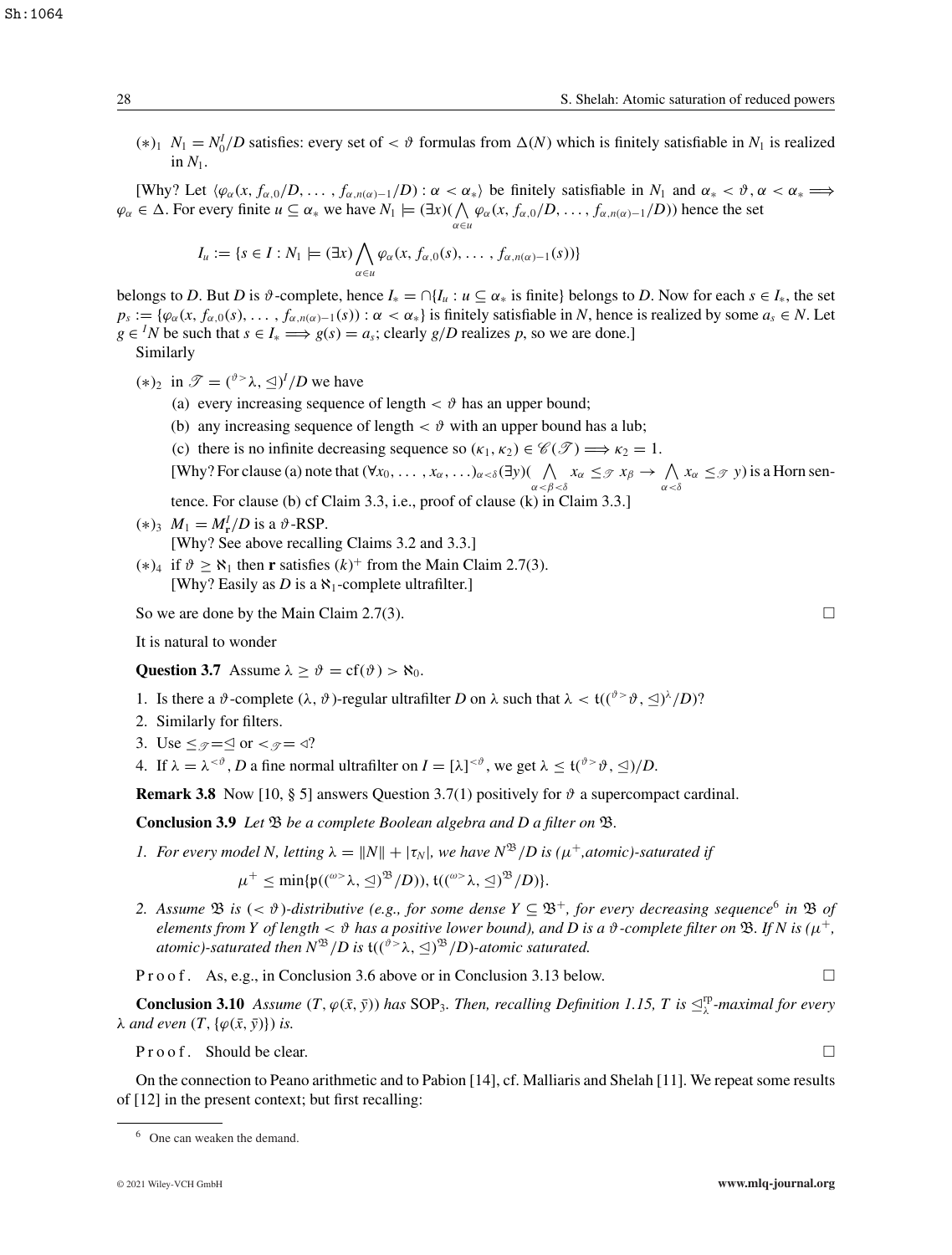$(*)_1$  *N*<sub>1</sub> = *N*<sup>*I*</sup><sub>0</sub>*/D* satisfies: every set of < *θ* formulas from Δ(*N*) which is finitely satisfiable in *N*<sub>1</sub> is realized in  $N_1$ .

[Why? Let  $\langle \varphi_\alpha(x, f_{\alpha,0}/D, \ldots, f_{\alpha,n(\alpha)-1}/D) : \alpha < \alpha_* \rangle$  be finitely satisfiable in  $N_1$  and  $\alpha_* < \vartheta, \alpha < \alpha_* \Longrightarrow$  $\varphi_{\alpha} \in \Delta$ . For every finite  $u \subseteq \alpha_*$  we have  $N_1 \models (\exists x)(\bigwedge_{\alpha \in u} \varphi_{\alpha}(x, f_{\alpha,0}/D, \dots, f_{\alpha,n(\alpha)-1}/D))$  hence the set

$$
I_u := \{s \in I : N_1 \models (\exists x) \bigwedge_{\alpha \in u} \varphi_\alpha(x, f_{\alpha,0}(s), \dots, f_{\alpha,n(\alpha)-1}(s))\}
$$

belongs to *D*. But *D* is  $\vartheta$ -complete, hence  $I_* = \bigcap \{I_u : u \subseteq \alpha_* \text{ is finite} \}$  belongs to *D*. Now for each  $s \in I_*,$  the set  $p_s := \{\varphi_\alpha(x, f_{\alpha,0}(s), \ldots, f_{\alpha,n(\alpha)-1}(s)) : \alpha < \alpha_*\}$  is finitely satisfiable in *N*, hence is realized by some  $a_s \in N$ . Let *g* ∈ <sup>*I</sup>N* be such that *s* ∈ *I*<sub>\*</sub> ⇒ *g*(*s*) = *a<sub>s</sub>*; clearly *g*/*D* realizes *p*, so we are done.]</sup>

Similarly

- $(*)_2$  in  $\mathscr{T} = ({}^{\vartheta > \lambda}, \leq)^I/D$  we have
	- (a) every increasing sequence of length  $\langle \vartheta \rangle$  has an upper bound;
	- (b) any increasing sequence of length  $\langle \vartheta \rangle$  with an upper bound has a lub;
	- (c) there is no infinite decreasing sequence so  $(\kappa_1, \kappa_2) \in \mathscr{C}(\mathscr{T}) \Longrightarrow \kappa_2 = 1$ .

[Why? For clause (a) note that 
$$
(\forall x_0, ..., x_\alpha, ... )_{\alpha < \delta}(\exists y)
$$
 ( $\bigwedge_{\alpha < \beta < \delta} x_\alpha \leq_{\mathcal{T}} x_\beta \to \bigwedge_{\alpha < \delta} x_\alpha \leq_{\mathcal{T}} y$ ) is a Horn sen-

- tence. For clause (b) cf Claim 3.3, i.e., proof of clause (k) in Claim 3.3.]
- $(*)_3$   $M_1 = M_{\rm r}^I/D$  is a  $\vartheta$ -RSP.
	- [Why? See above recalling Claims 3.2 and 3.3.]
- (\*)<sub>4</sub> if  $\vartheta$  ≥  $\aleph_1$  then **r** satisfies (k)<sup>+</sup> from the Main Claim 2.7(3). [Why? Easily as *D* is a  $\aleph_1$ -complete ultrafilter.]

So we are done by the Main Claim 2.7(3).

It is natural to wonder

**Question 3.7** Assume  $\lambda \ge \vartheta = cf(\vartheta) > \aleph_0$ .

- 1. Is there a  $\vartheta$ -complete  $(\lambda, \vartheta)$ -regular ultrafilter *D* on  $\lambda$  such that  $\lambda < \mathfrak{t}((\vartheta > \vartheta, \leq)$ <sup> $\lambda$ </sup>/*D*)?
- 2. Similarly for filters.
- 3. Use  $\leq$   $\mathcal{F}=\leq$  or  $\lt$   $\mathcal{F}=\triangleleft$ ?
- 4. If  $\lambda = \lambda^{<\vartheta}$ , *D* a fine normal ultrafilter on  $I = [\lambda]^{<\vartheta}$ , we get  $\lambda \leq t({}^{\vartheta>} \vartheta, \leq)/D$ .

**Remark 3.8** Now [10, § 5] answers Question 3.7(1) positively for  $\vartheta$  a supercompact cardinal.

**Conclusion 3.9** *Let*  $\mathfrak{B}$  *be a complete Boolean algebra and D a filter on*  $\mathfrak{B}$ *.* 

*1. For every model N, letting*  $\lambda = ||N|| + |\tau_N|$ *, we have*  $N^{\mathfrak{B}}/D$  *is* ( $\mu^+$ *,atomic)-saturated if* 

 $\mu^+ \leq \min{\{\mathfrak{p}(({}^{\omega>}\lambda, \trianglelefteq)^{\mathfrak{B}}/D)\}, \mathfrak{t}(({}^{\omega>}\lambda, \trianglelefteq)^{\mathfrak{B}}/D)\}}.$ 

2. Assume  $\mathfrak{B}$  is  $( $\vartheta$ )-distributive (e.g., for some dense  $Y \subseteq \mathfrak{B}^+$ , for every decreasing sequence<sup>6</sup> in  $\mathfrak{B}$  of$ *elements from Y of length*  $\lt \vartheta$  *has a positive lower bound*), and D is a  $\vartheta$ -complete filter on  $\mathfrak{B}$ . If N is ( $\mu^+$ , atomic)-saturated then  $N^{\mathfrak{B}}/D$  is  $\mathfrak{t}((\mathfrak{d}^>\lambda,\trianglelefteq)^{\mathfrak{B}}/D)$ -atomic saturated.

P r o o f . As, e.g., in Conclusion 3.6 above or in Conclusion 3.13 below.

**Conclusion 3.10** *Assume*  $(T, \varphi(\bar{x}, \bar{y}))$  *has* SOP<sub>3</sub>. *Then, recalling Definition 1.15, T is*  $\leq^{\text{rp}}_{\lambda}$ *-maximal for every*  $\lambda$  *and even*  $(T, \{\varphi(\bar{x}, \bar{y})\})$  *is.* 

 $Proof.$  Should be clear.

On the connection to Peano arithmetic and to Pabion [14], cf. Malliaris and Shelah [11]. We repeat some results of [12] in the present context; but first recalling:

<sup>6</sup> One can weaken the demand.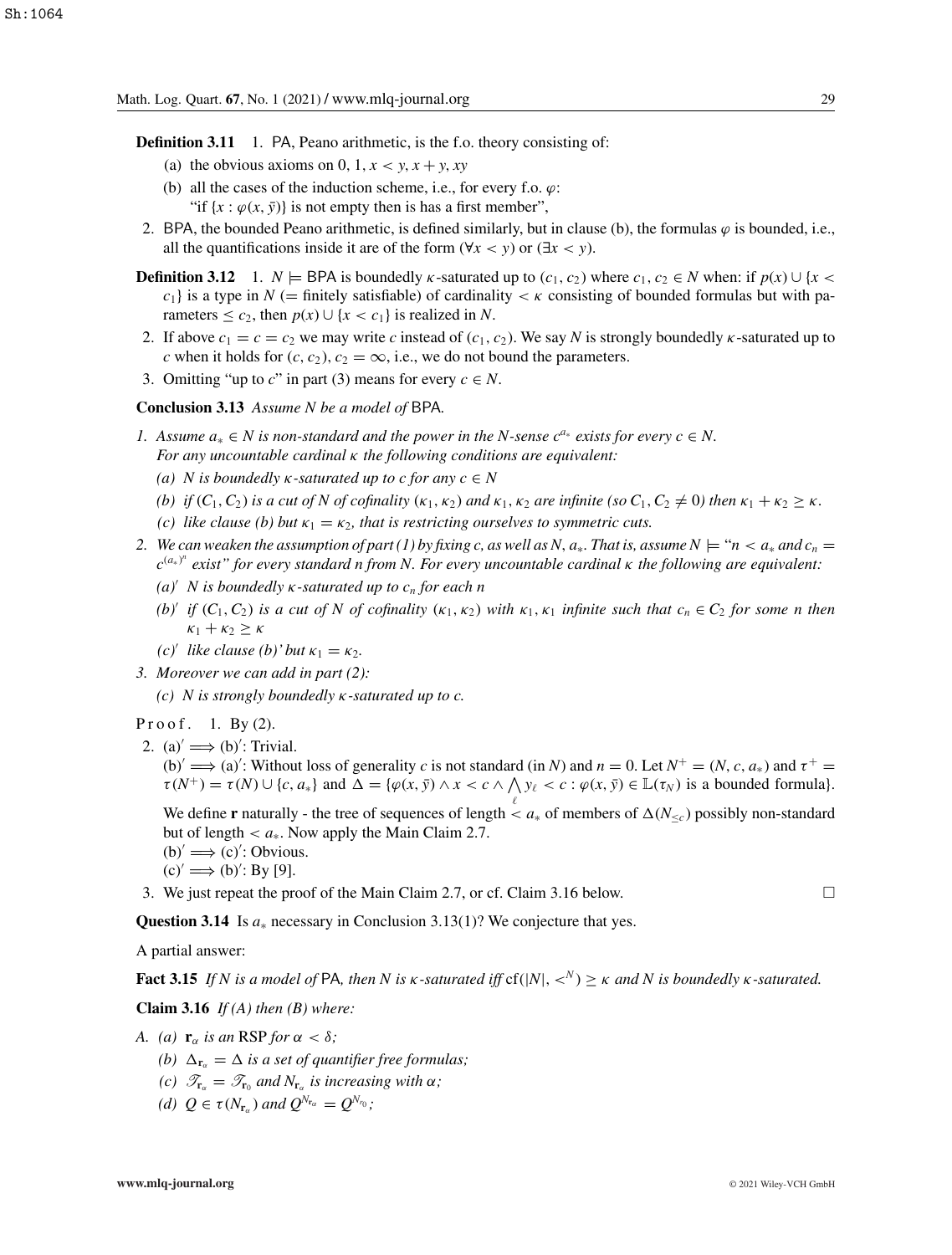- **Definition 3.11** 1. PA, Peano arithmetic, is the f.o. theory consisting of:
	- (a) the obvious axioms on 0, 1,  $x < y$ ,  $x + y$ ,  $xy$
	- (b) all the cases of the induction scheme, i.e., for every f.o.  $\varphi$ : "if  $\{x : \varphi(x, \bar{y})\}$  is not empty then is has a first member",
- 2. BPA, the bounded Peano arithmetic, is defined similarly, but in clause (b), the formulas  $\varphi$  is bounded, i.e., all the quantifications inside it are of the form ( $\forall x < y$ ) or ( $\exists x < y$ ).
- **Definition 3.12** 1. *N*  $\models$  BPA is boundedly *k*-saturated up to  $(c_1, c_2)$  where  $c_1, c_2 \in N$  when: if  $p(x) \cup \{x \leq x \leq x \}$ *c*<sub>1</sub>} is a type in *N* (= finitely satisfiable) of cardinality  $\lt k$  consisting of bounded formulas but with parameters  $\leq c_2$ , then  $p(x) \cup \{x < c_1\}$  is realized in *N*.
- 2. If above  $c_1 = c = c_2$  we may write *c* instead of  $(c_1, c_2)$ . We say *N* is strongly boundedly *k*-saturated up to *c* when it holds for  $(c, c_2)$ ,  $c_2 = \infty$ , i.e., we do not bound the parameters.
- 3. Omitting "up to c" in part (3) means for every  $c \in N$ .

**Conclusion 3.13** *Assume N be a model of* BPA*.*

- *1.* Assume  $a_* \in N$  is non-standard and the power in the N-sense  $c^{a_*}$  exists for every  $c \in N$ . *For any uncountable cardinal* κ *the following conditions are equivalent:*
	- *(a) N* is boundedly  $κ$ -saturated up to c for any  $c ∈ N$
	- *(b) if*  $(C_1, C_2)$  *is a cut of N of cofinality*  $(\kappa_1, \kappa_2)$  *and*  $\kappa_1, \kappa_2$  *are infinite* (so  $C_1, C_2 \neq 0$ ) *then*  $\kappa_1 + \kappa_2 \geq \kappa$ *.*
	- *(c) like clause (b) but*  $\kappa_1 = \kappa_2$ , that is restricting ourselves to symmetric cuts.
- 2. We can weaken the assumption of part (1) by fixing c, as well as N,  $a_*$ . That is, assume  $N \models "n \lt a_*$  and  $c_n =$ *c*(*a*<sup>∗</sup> ) *n exist" for every standard n from N. For every uncountable cardinal* κ *the following are equivalent:*
	- *(a) N is boundedly* κ*-saturated up to cn for each n*
	- *(b)' if*  $(C_1, C_2)$  *is a cut of N of cofinality*  $(\kappa_1, \kappa_2)$  *with*  $\kappa_1, \kappa_1$  *infinite such that*  $c_n \in C_2$  *for some n then*  $\kappa_1 + \kappa_2 \geq \kappa$
	- *(c)*<sup> $\prime$ </sup> *like clause (b)* $\prime$  *but*  $\kappa_1 = \kappa_2$ *.*
- *3. Moreover we can add in part (2):*

*(c) N is strongly boundedly* κ*-saturated up to c.*

#### Proof. 1. By  $(2)$ .

2. (a)  $\implies$  (b)': Trivial.

(b)'  $\implies$  (a)': Without loss of generality *c* is not standard (in *N*) and *n* = 0. Let *N*<sup>+</sup> = (*N*, *c*, *a*<sub>\*</sub>) and  $\tau$ <sup>+</sup> =  $\tau(N^+) = \tau(N) \cup \{c, a_*\}$  and  $\Delta = \{\varphi(x, \bar{y}) \wedge x < c \wedge \Lambda \}$   $y_\ell < c : \varphi(x, \bar{y}) \in \mathbb{L}(\tau_N)$  is a bounded formula).

We define **r** naturally - the tree of sequences of length  $\lt a_*$  of members of  $\Delta(N_{\leq c})$  possibly non-standard but of length  $\langle a_*$ . Now apply the Main Claim 2.7.

- $(b)' \implies (c)'$ : Obvious.
- $(c)' \Longrightarrow (b)'$ : By [9].
- 3. We just repeat the proof of the Main Claim 2.7, or cf. Claim 3.16 below.

**Question 3.14** Is *a*<sup>∗</sup> necessary in Conclusion 3.13(1)? We conjecture that yes.

A partial answer:

**Fact 3.15** *If N* is a model of PA, then N is  $\kappa$ -saturated iff cf(|*N*|,  $\langle \kappa^N \rangle \ge \kappa$  and N is boundedly  $\kappa$ -saturated.

**Claim 3.16** *If (A) then (B) where:*

- *A.* (a)  $\mathbf{r}_{\alpha}$  *is an* RSP *for*  $\alpha < \delta$ ;
	- *(b)*  $\Delta_{\mathbf{r}_{\alpha}} = \Delta$  *is a set of quantifier free formulas;*
	- *(c)*  $\mathscr{T}_{\mathbf{r}_{\alpha}} = \mathscr{T}_{\mathbf{r}_0}$  *and*  $N_{\mathbf{r}_{\alpha}}$  *is increasing with*  $\alpha$ *;*
	- *(d)*  $Q \in \tau(N_{\mathbf{r}_{\alpha}})$  *and*  $Q^{N_{\mathbf{r}_{\alpha}}} = Q^{N_{r_0}}$ *;*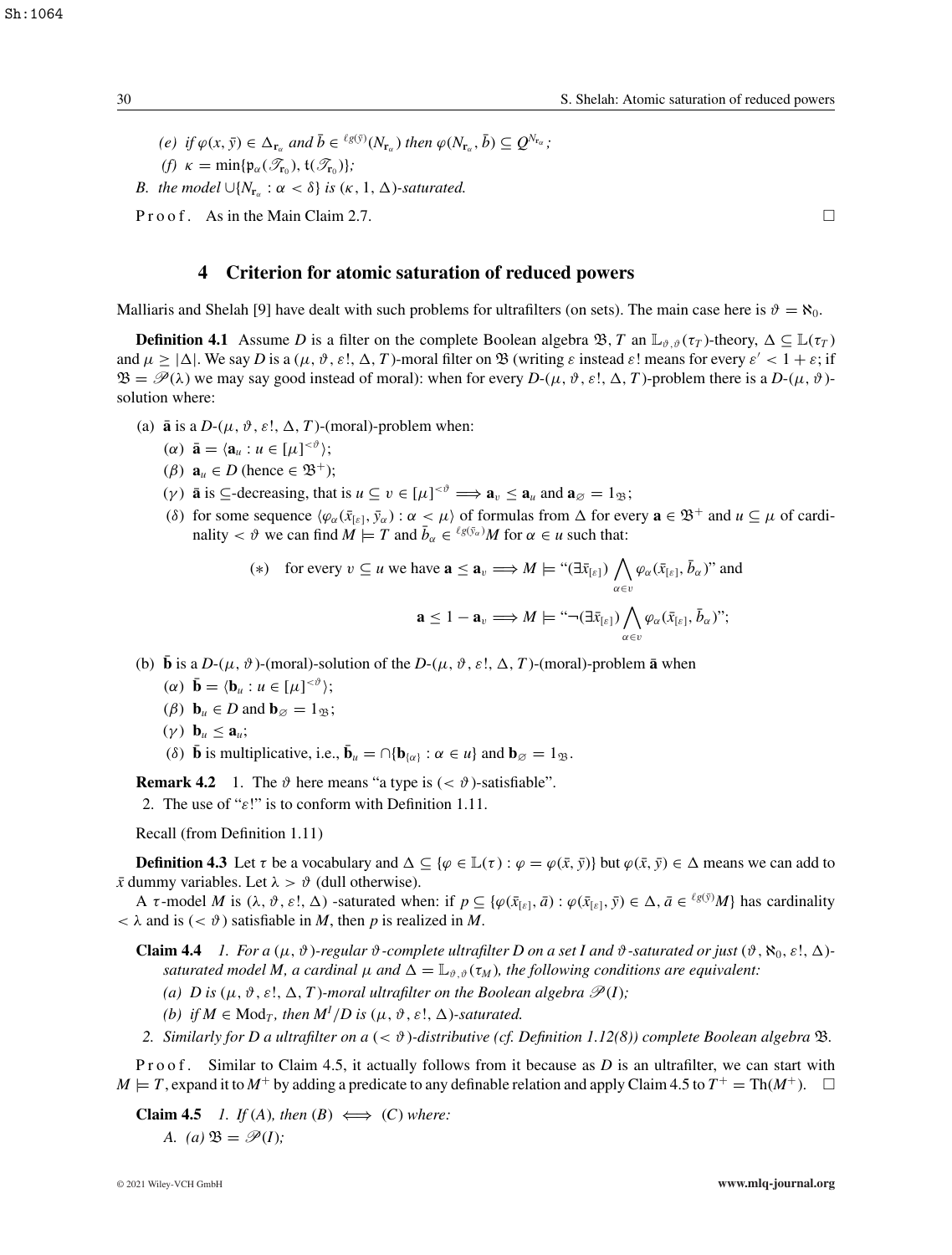$(e)$  if  $\varphi(x, \bar{y}) \in \Delta_{\mathbf{r}_\alpha}$  and  $\bar{b} \in {}^{\ell g(\bar{y})}(N_{\mathbf{r}_\alpha})$  then  $\varphi(N_{\mathbf{r}_\alpha}, \bar{b}) \subseteq Q^{N_{\mathbf{r}_\alpha}}$ ; *(f)*  $\kappa = \min\{\mathfrak{p}_{\alpha}(\mathscr{T}_{\mathbf{r}_0}), \mathfrak{t}(\mathscr{T}_{\mathbf{r}_0})\};$ *B.* the model  $\cup \{N_{\mathbf{r}_{\alpha}} : \alpha < \delta\}$  is  $(\kappa, 1, \Delta)$ -saturated.

P r o o f . As in the Main Claim 2.7.

# **4 Criterion for atomic saturation of reduced powers**

Malliaris and Shelah [9] have dealt with such problems for ultrafilters (on sets). The main case here is  $\vartheta = \aleph_0$ .

**Definition 4.1** Assume *D* is a filter on the complete Boolean algebra  $\mathcal{B}, T$  an  $\mathbb{L}_{\vartheta,\vartheta}(\tau)$ -theory,  $\Delta \subseteq \mathbb{L}(\tau)$ and  $\mu \ge |\Delta|$ . We say *D* is a  $(\mu, \vartheta, \varepsilon!, \Delta, T)$ -moral filter on  $\mathfrak{B}$  (writing  $\varepsilon$  instead  $\varepsilon$ ! means for every  $\varepsilon' < 1 + \varepsilon$ ; if  $\mathfrak{B} = \mathscr{P}(\lambda)$  we may say good instead of moral): when for every  $D-(\mu, \vartheta, \varepsilon!, \Delta, T)$ -problem there is a  $D-(\mu, \vartheta)$ solution where:

- (a)  $\bar{a}$  is a *D*-( $\mu$ ,  $\vartheta$ ,  $\varepsilon$ !,  $\Delta$ , *T*)-(moral)-problem when:
	- $(\alpha) \ \bar{\mathbf{a}} = \langle \mathbf{a}_u : u \in [\mu]^{<\vartheta} \rangle;$
	- ( $\beta$ )  $\mathbf{a}_u \in D$  (hence  $\in \mathfrak{B}^+$ );
	- (*γ*) **a** is  $\subseteq$ -decreasing, that is  $u \subseteq v \in [\mu]^{<\vartheta} \Longrightarrow \mathbf{a}_v \leq \mathbf{a}_u$  and  $\mathbf{a}_{\varnothing} = 1_{\mathfrak{B}};$
	- (δ) for some sequence  $\langle \varphi_\alpha(\bar{x}_{[\varepsilon]}, \bar{y}_\alpha) : \alpha < \mu \rangle$  of formulas from  $\Delta$  for every  $\mathbf{a} \in \mathfrak{B}^+$  and  $u \subseteq \mu$  of cardinality  $< \vartheta$  we can find  $M \models T$  and  $\bar{b}_{\alpha} \in {}^{\ell g(\bar{y}_{\alpha})}M$  for  $\alpha \in u$  such that:

$$
(*) \quad \text{for every } v \subseteq u \text{ we have } \mathbf{a} \le \mathbf{a}_v \Longrightarrow M \models \text{``}(\exists \bar{x}_{[\varepsilon]}) \bigwedge_{\alpha \in v} \varphi_\alpha(\bar{x}_{[\varepsilon]}, \bar{b}_\alpha)\text{''} \text{ and}
$$
\n
$$
\mathbf{a} \le 1 - \mathbf{a}_v \Longrightarrow M \models \text{``} \neg(\exists \bar{x}_{[\varepsilon]}) \bigwedge_{\alpha \in v} \varphi_\alpha(\bar{x}_{[\varepsilon]}, \bar{b}_\alpha)\text{''};
$$

- (b)  $\bar{\mathbf{b}}$  is a *D*-( $\mu$ ,  $\vartheta$ )-(moral)-solution of the *D*-( $\mu$ ,  $\vartheta$ ,  $\varepsilon$ !,  $\Delta$ , *T*)-(moral)-problem  $\bar{\mathbf{a}}$  when
	- $(\alpha) \ \bar{\mathbf{b}} = \langle \mathbf{b}_u : u \in [\mu]^{<\vartheta} \rangle;$
	- ( $\beta$ ) **b**<sub>*u*</sub>  $\in$  *D* and **b**<sub> $\emptyset$ </sub> = 1<sub>B</sub>;
	- $(\gamma)$  **b**<sub>*u*</sub>  $\leq$  **a**<sub>*u*</sub>;

(δ) **b** is multiplicative, i.e.,  $\bar{\mathbf{b}}_u = \bigcap {\mathbf{b}}_{\{\alpha\}} : \alpha \in u$  and  $\mathbf{b}_{\emptyset} = 1_{\mathfrak{B}}$ .

**Remark 4.2** 1. The  $\vartheta$  here means "a type is  $( $\vartheta$ )$ -satisfiable".

2. The use of " $\varepsilon$ !" is to conform with Definition 1.11.

Recall (from Definition 1.11)

**Definition 4.3** Let  $\tau$  be a vocabulary and  $\Delta \subseteq {\varphi \in \mathbb{L}(\tau) : \varphi = \varphi(\bar{x}, \bar{y})}$  but  $\varphi(\bar{x}, \bar{y}) \in \Delta$  means we can add to  $\bar{x}$  dummy variables. Let  $\lambda > \vartheta$  (dull otherwise).

A  $\tau$ -model *M* is  $(\lambda, \vartheta, \varepsilon!, \Delta)$  -saturated when: if  $p \subseteq {\varphi(\bar{x}_{[\varepsilon]}, \bar{a}) : \varphi(\bar{x}_{[\varepsilon]}, \bar{y}) \in \Delta, \bar{a} \in {^{l_g(\bar{y})}}M}$  has cardinality  $< \lambda$  and is ( $< \vartheta$ ) satisfiable in *M*, then *p* is realized in *M*.

- **Claim 4.4** *1. For a* ( $\mu$ ,  $\vartheta$ )*-regular*  $\vartheta$ *-complete ultrafilter D on a set I and*  $\vartheta$ *-saturated or just* ( $\vartheta$ ,  $\aleph_0$ ,  $\varepsilon$ !,  $\triangle$ )*saturated model M, a cardinal*  $\mu$  *and*  $\Delta = \mathbb{L}_{\vartheta, \vartheta}(\tau_M)$ , the following conditions are equivalent:
	- (a) D is  $(\mu, \vartheta, \varepsilon!, \Delta, T)$ *-moral ultrafilter on the Boolean algebra*  $\mathscr{P}(I)$ *;*
	- *(b)* if  $M \in \text{Mod}_T$ , then  $M^I/D$  is  $(\mu, \vartheta, \varepsilon!, \Delta)$ -saturated.
- *2. Similarly for D a ultrafilter on a* (< ϑ)*-distributive (cf. Definition 1.12(8)) complete Boolean algebra* B*.*

P r o o f. Similar to Claim 4.5, it actually follows from it because as D is an ultrafilter, we can start with  $M \models T$ , expand it to  $M^+$  by adding a predicate to any definable relation and apply Claim 4.5 to  $T^+ = \text{Th}(M^+)$ .

**Claim 4.5** *1. If* (*A*)*, then* (*B*)  $\iff$  (*C*) *where: A.* (a)  $\mathfrak{B} = \mathscr{P}(I)$ ;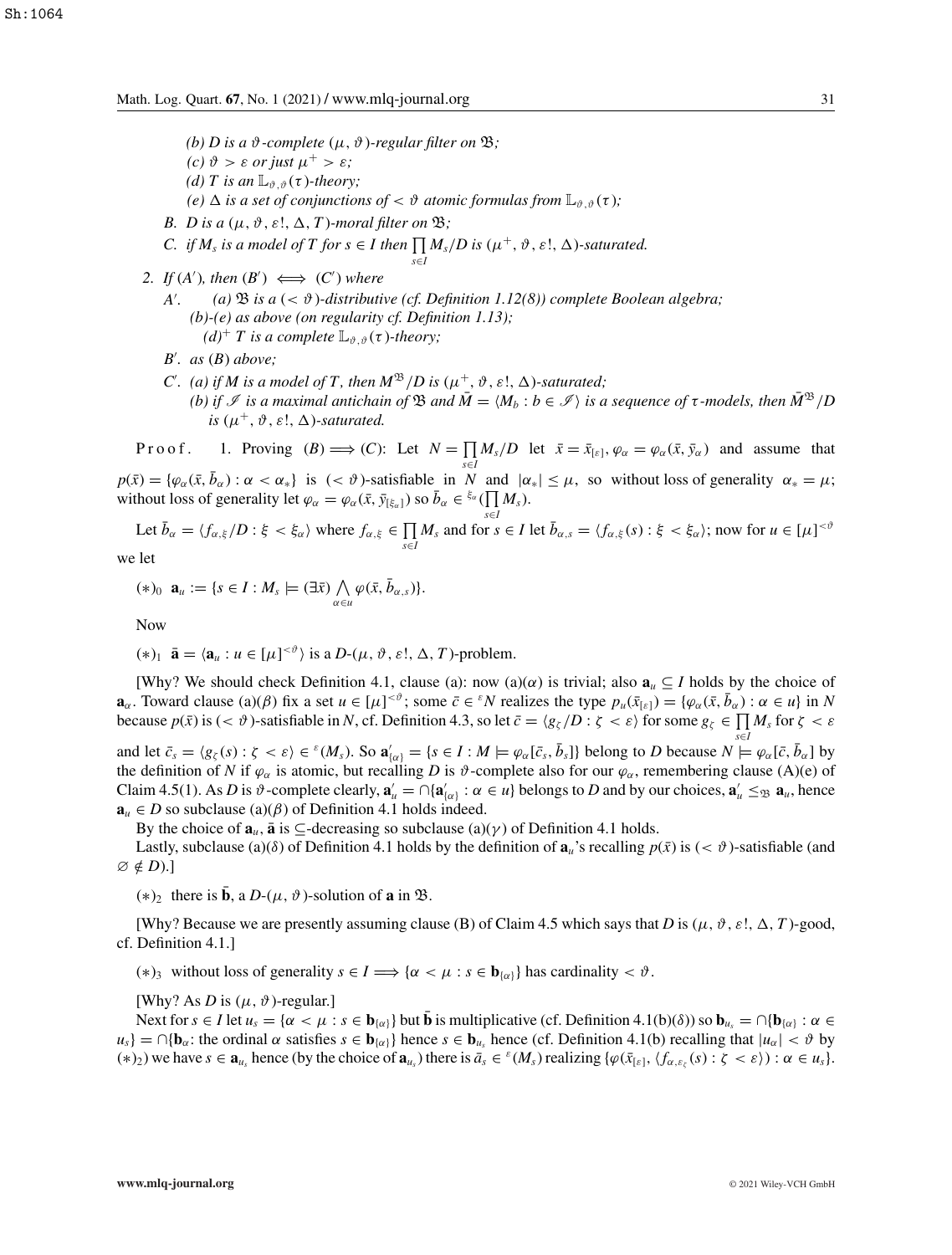*(b) D* is a  $\vartheta$ -complete  $(\mu, \vartheta)$ -regular filter on  $\mathfrak{B}$ ;

- *(c)*  $\vartheta > \varepsilon$  *or just*  $\mu^+ > \varepsilon$ ;
- *(d) T* is an  $\mathbb{L}_{\vartheta, \vartheta}(\tau)$ -theory;
- *(e)*  $\Delta$  *is a set of conjunctions of*  $<$   $\vartheta$  *atomic formulas from*  $\mathbb{L}_{\vartheta, \vartheta}(\tau)$ *;*
- *B. D* is a  $(\mu, \vartheta, \varepsilon!, \Delta, T)$ *-moral filter on*  $\mathfrak{B}$ *;*
- *C. if*  $M_s$  *is a model of*  $T$  *for*  $s \in I$  *then*  $\prod M_s/D$  *is*  $(\mu^+, \vartheta, \varepsilon!, \Delta)$ *-saturated. s*∈*I*
- 2. If  $(A')$ , then  $(B') \iff (C')$  where
	- *A (a)*  $\mathfrak{B}$  *is a* ( $\lt$   $\vartheta$ )-distributive (cf. Definition 1.12(8)) complete Boolean algebra; *(b)-(e) as above (on regularity cf. Definition 1.13);*  $(d)^+$  *T* is a complete  $\mathbb{L}_{\vartheta,\vartheta}(\tau)$ -theory;
	- *B . as* (*B*) *above;*
	- *C*'. (a) if *M* is a model of *T*, then  $M^{\mathfrak{B}}/D$  is  $(\mu^+, \vartheta, \varepsilon!, \Delta)$ -saturated; *(b)* if *I* is a maximal antichain of B and  $\overline{M} = (M_b : b \in \mathcal{I})$  is a sequence of  $\tau$ -models, then  $\overline{M}^{\mathfrak{B}}/D$ *is*  $(\mu^+, \vartheta, \varepsilon!, \Delta)$ -saturated.

Proof. 1. Proving  $(B) \Longrightarrow (C)$ : Let  $N = \prod$  $\prod_{s \in I} M_s/D$  let  $\bar{x} = \bar{x}_{[\varepsilon]}, \varphi_\alpha = \varphi_\alpha(\bar{x}, \bar{y}_\alpha)$  and assume that  $p(\bar{x}) = {\varphi_\alpha(\bar{x}, \bar{b}_\alpha) : \alpha < \alpha_*}$  is (<  $\vartheta$ )-satisfiable in *N* and  $|\alpha_*| \leq \mu$ , so without loss of generality  $\alpha_* = \mu$ ; without loss of generality let  $\varphi_{\alpha} = \varphi_{\alpha}(\bar{x}, \bar{y}_{[\xi_{\alpha}]})$  so  $\bar{b}_{\alpha} \in {}^{\xi_{\alpha}}(\prod M_{s})$ .

Let  $\bar{b}_{\alpha} = \langle f_{\alpha,\xi}/D : \xi < \xi_{\alpha} \rangle$  where  $f_{\alpha,\xi} \in \prod_{s \in I} M_s$  and for  $s \in I$  let  $\bar{b}_{\alpha,s} = \langle f_{\alpha,\xi}(s) : \xi < \xi_{\alpha} \rangle$ ; now for  $u \in [\mu]^{< \vartheta}$ 

we let

$$
(*)_0 \mathbf{a}_{u} := \{s \in I : M_s \models (\exists \bar{x}) \bigwedge_{\alpha \in u} \varphi(\bar{x}, \bar{b}_{\alpha, s})\}.
$$

Now

 $(*)_1$   $\bar{\mathbf{a}} = \langle \mathbf{a}_u : u \in [\mu]^{<\vartheta} \rangle$  is a  $D-(\mu, \vartheta, \varepsilon!, \Delta, T)$ -problem.

[Why? We should check Definition 4.1, clause (a): now (a)( $\alpha$ ) is trivial; also  $\mathbf{a}_u \subseteq I$  holds by the choice of **a**<sub>α</sub>. Toward clause (a)( $\beta$ ) fix a set  $u \in [\mu]^{<\vartheta}$ ; some  $\bar{c} \in {}^{\varepsilon}N$  realizes the type  $p_u(\bar{x}_{\lbrack \varepsilon \rbrack}) = {\varphi_\alpha(\bar{x}, \bar{b}_\alpha) : \alpha \in u}$  in N because  $p(\bar{x})$  is  $( $\vartheta$ )$ -satisfiable in *N*, cf. Definition 4.3, so let  $\bar{c} = \langle g_{\zeta}/D : \zeta < \varepsilon \rangle$  for some  $g_{\zeta} \in \prod M_s$  for  $\zeta < \varepsilon$ 

and let  $\bar{c}_s = \langle g_{\zeta}(s) : \zeta < \varepsilon \rangle \in {^s(M_s)}$ . So  $\mathbf{a}'_{\{\alpha\}} = \{s \in I : M \models \varphi_\alpha[\bar{c}_s, \bar{b}_s]\}\$  belong to D because  $N \models \varphi_\alpha[\bar{c}, \bar{b}_\alpha]$  by the definition of *N* if  $\varphi_{\alpha}$  is atomic, but recalling *D* is  $\vartheta$ -complete also for our  $\varphi_{\alpha}$ , remembering clause (A)(e) of Claim 4.5(1). As *D* is  $\vartheta$ -complete clearly,  $\mathbf{a}'_u = \bigcap \{\mathbf{a}'_{\{\alpha\}} : \alpha \in u\}$  belongs to *D* and by our choices,  $\mathbf{a}'_u \leq_{\mathfrak{B}} \mathbf{a}_u$ , hence  $a_u \in D$  so subclause (a)( $\beta$ ) of Definition 4.1 holds indeed.

By the choice of  $\mathbf{a}_u$ ,  $\bar{\mathbf{a}}$  is  $\subseteq$ -decreasing so subclause (a)( $\gamma$ ) of Definition 4.1 holds.

Lastly, subclause (a)( $\delta$ ) of Definition 4.1 holds by the definition of  $\mathbf{a}_u$ 's recalling  $p(\bar{x})$  is ( $\lt \vartheta$ )-satisfiable (and  $\varnothing \notin D$ .]

 $(*)_2$  there is **b**, a *D*-( $\mu$ ,  $\vartheta$ )-solution of **a** in  $\mathfrak{B}$ .

[Why? Because we are presently assuming clause (B) of Claim 4.5 which says that *D* is ( $\mu$ ,  $\vartheta$ ,  $\varepsilon$ !,  $\Delta$ , *T*)-good, cf. Definition 4.1.]

(\*)<sub>3</sub> without loss of generality  $s \in I \Longrightarrow \{\alpha < \mu : s \in \mathbf{b}_{\{\alpha\}}\}$  has cardinality  $< \vartheta$ .

[Why? As *D* is  $(\mu, \vartheta)$ -regular.]

Next for  $s \in I$  let  $u_s = \{\alpha < \mu : s \in \mathbf{b}_{\{\alpha\}}\}$  but **b** is multiplicative (cf. Definition 4.1(b)( $\delta$ )) so  $\mathbf{b}_{u_s} = \bigcap \{\mathbf{b}_{\{\alpha\}} : \alpha \in \mathbb{C}\}$  $u_s$ } =  $\cap$ {**b**<sub>α</sub>: the ordinal  $\alpha$  satisfies  $s \in$  **b**<sub>*us*}</sub> hence  $s \in$  **b**<sub>*u<sub>s</sub>*</sub> hence (cf. Definition 4.1(b) recalling that  $|u_\alpha| < \vartheta$  by  $(*)_2$ ) we have  $s \in \mathbf{a}_{u_s}$  hence (by the choice of  $\mathbf{a}_{u_s}$ ) there is  $\bar{a}_s \in {^{\varepsilon}(M_s)}$  realizing  $\{\varphi(\bar{x}_{[\varepsilon]}, \langle f_{\alpha,\varepsilon_{\varepsilon}}(s) : \zeta \langle \varepsilon \rangle) : \alpha \in u_s\}$ .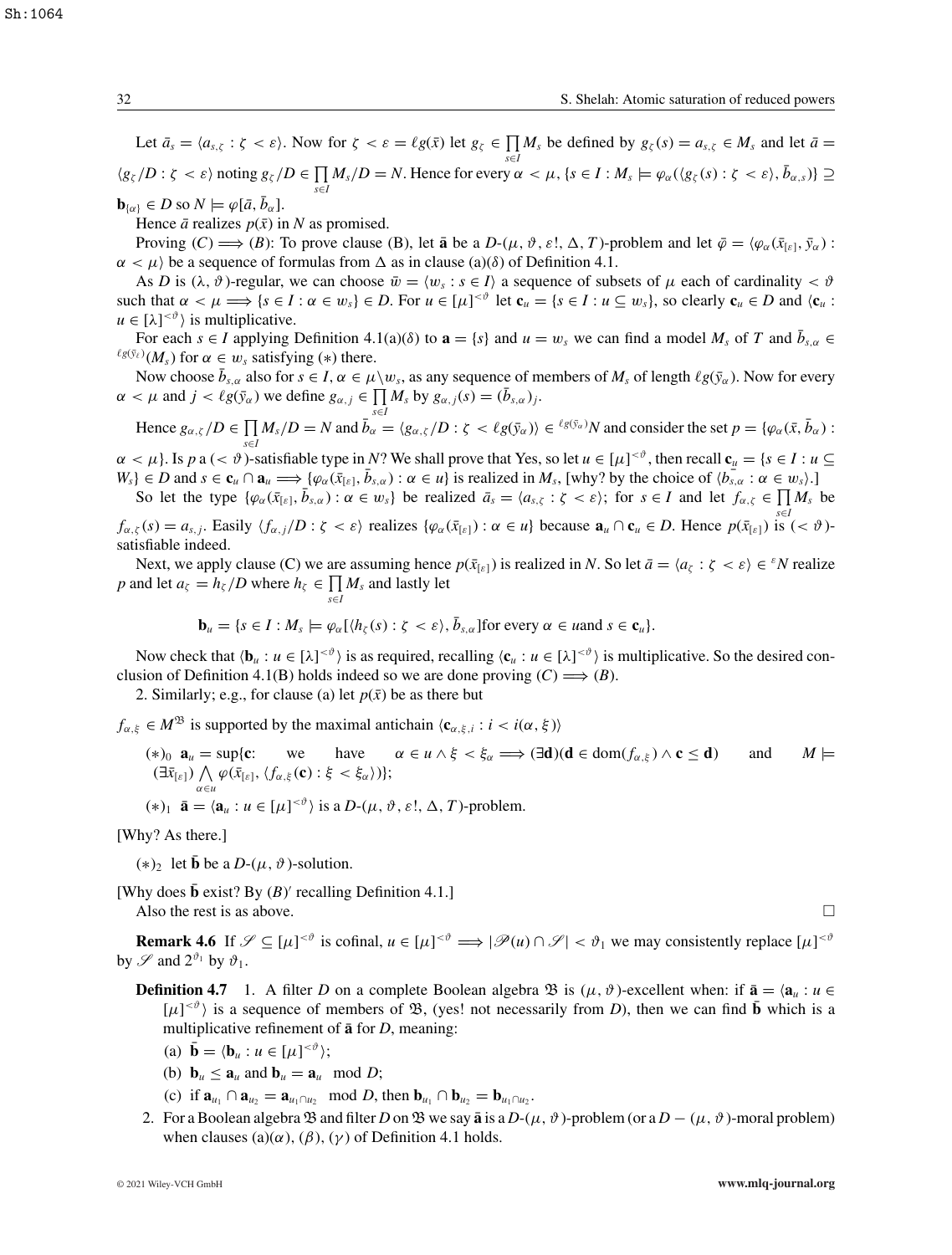Sh:1064

Let  $\bar{a}_s = \langle a_{s,\zeta} : \zeta < \varepsilon \rangle$ . Now for  $\zeta < \varepsilon = \ell g(\bar{x})$  let  $g_{\zeta} \in \prod M_s$  be defined by  $g_{\zeta}(s) = a_{s,\zeta} \in M_s$  and let  $\bar{a} =$  $\langle g_{\zeta}/D : \zeta < \varepsilon \rangle$  noting  $g_{\zeta}/D \in \prod M_s/D = N$ . Hence for every  $\alpha < \mu$ ,  $\{s \in I : M_s \models \varphi_\alpha(\langle g_{\zeta}(s) : \zeta < \varepsilon \rangle, \bar{b}_{\alpha, s})\} \supseteq$ *s*∈*I*

 $\mathbf{b}_{\{\alpha\}} \in D$  so  $N \models \varphi[\bar{a}, \bar{b}_{\alpha}].$ 

Hence  $\bar{a}$  realizes  $p(\bar{x})$  in *N* as promised.

Proving  $(C) \Longrightarrow (B)$ : To prove clause (B), let **a** be a  $D-(\mu, \vartheta, \varepsilon!, \Delta, T)$ -problem and let  $\bar{\varphi} = \langle \varphi_{\alpha}(\bar{x}_{[\varepsilon]}, \bar{y}_{\alpha}) :$  $\alpha < \mu$ ) be a sequence of formulas from  $\Delta$  as in clause (a)( $\delta$ ) of Definition 4.1.

As *D* is  $(\lambda, \vartheta)$ -regular, we can choose  $\bar{w} = \langle w_s : s \in I \rangle$  a sequence of subsets of  $\mu$  each of cardinality  $\langle \vartheta \rangle$ such that  $\alpha < \mu \Longrightarrow \{s \in I : \alpha \in w_s\} \in D$ . For  $u \in [\mu]^{<\vartheta}$  let  $\mathbf{c}_u = \{s \in I : u \subseteq w_s\}$ , so clearly  $\mathbf{c}_u \in D$  and  $\langle \mathbf{c}_u : u \in W_s\}$  $u \in [\lambda]^{<\vartheta}$  is multiplicative.

For each  $s \in I$  applying Definition 4.1(a)( $\delta$ ) to  $\mathbf{a} = \{s\}$  and  $u = w_s$  we can find a model  $M_s$  of *T* and  $\bar{b}_{s,q} \in I$  $\ell g(\bar{y}_\ell)(M_s)$  for  $\alpha \in w_s$  satisfying (\*) there.

Now choose  $\bar{b}_{s,\alpha}$  also for  $s \in I$ ,  $\alpha \in \mu \setminus w_s$ , as any sequence of members of  $M_s$  of length  $\ell g(\bar{y}_\alpha)$ . Now for every  $\alpha < \mu$  and  $j < \ell g(\bar{y}_\alpha)$  we define  $g_{\alpha,j} \in \prod M_s$  by  $g_{\alpha,j}(s) = (\bar{b}_{s,\alpha})_j$ .

*s*∈*I* Hence  $g_{\alpha,\zeta}/D \in \prod_{s \in I} M_s/D = N$  and  $\bar{b}_{\alpha} = \langle g_{\alpha,\zeta}/D : \zeta \langle \log(\bar{y}_{\alpha}) \rangle \in {^{\ell g(\bar{y}_{\alpha})}}N$  and consider the set  $p = {\varphi_{\alpha}(\bar{x}, \bar{b}_{\alpha}) : \Delta}$ 

 $\alpha < \mu$ . Is p a (<  $\vartheta$ )-satisfiable type in N? We shall prove that Yes, so let  $u \in [\mu]^{< \vartheta}$ , then recall  $c_u = \{s \in I : u \subseteq u\}$  $W_s$ }  $\in$  *D* and  $s \in \mathbf{c}_u \cap \mathbf{a}_u \Longrightarrow \{\varphi_\alpha(\bar{x}_{[\varepsilon]}, \bar{b}_{s,\alpha}) : \alpha \in u\}$  is realized in  $M_s$ , [why? by the choice of  $\langle \bar{b}_{s,\alpha} : \alpha \in w_s \rangle$ .]

So let the type  $\{\varphi_\alpha(\bar{x}_{[\varepsilon]}, \bar{b}_{s,\alpha}) : \alpha \in w_s\}$  be realized  $\bar{a}_s = \langle a_{s,\zeta} : \zeta \langle \varepsilon \rangle$ ; for  $s \in I$  and let  $f_{\alpha,\zeta} \in \prod M_s$  be  $f_{\alpha,\zeta}(s) = a_{s,j}$ . Easily  $\langle f_{\alpha,j}/D : \zeta < \varepsilon \rangle$  realizes  $\{\varphi_\alpha(\bar{x}_{[\varepsilon]}) : \alpha \in u\}$  because  $\mathbf{a}_u \cap \mathbf{c}_u \in D$ . Hence  $p(\bar{x}_{[\varepsilon]})$  is  $(< \vartheta)$ satisfiable indeed.

Next, we apply clause (C) we are assuming hence  $p(\bar{x}_{[s]})$  is realized in *N*. So let  $\bar{a} = \langle a_{\zeta} : \zeta < \varepsilon \rangle \in {}^{\varepsilon}N$  realize *p* and let  $a_{\zeta} = h_{\zeta}/D$  where  $h_{\zeta} \in \prod M_s$  and lastly let

$$
\mathbf{b}_u = \{s \in I : M_s \models \varphi_\alpha[\langle h_\zeta(s) : \zeta < \varepsilon \rangle, \bar{b}_{s,\alpha}] \text{ for every } \alpha \in \text{uand } s \in \mathbf{c}_u\}.
$$

Now check that  $\langle \mathbf{b}_u : u \in [\lambda]^{<\vartheta} \rangle$  is as required, recalling  $\langle \mathbf{c}_u : u \in [\lambda]^{<\vartheta} \rangle$  is multiplicative. So the desired conclusion of Definition 4.1(B) holds indeed so we are done proving  $(C) \Longrightarrow (B)$ .

2. Similarly; e.g., for clause (a) let  $p(\bar{x})$  be as there but

 $f_{\alpha,\xi} \in M^{\mathfrak{B}}$  is supported by the maximal antichain  $\langle \mathbf{c}_{\alpha,\xi,i} : i \langle \alpha, \xi \rangle$ 

*s*∈*I*

 $(*)_0$  **a**<sub>*u*</sub> = sup{**c**: we have  $\alpha \in u \wedge \xi < \xi_\alpha \implies (\exists \mathbf{d})(\mathbf{d} \in \text{dom}(f_{\alpha,\xi}) \wedge \mathbf{c} \leq \mathbf{d})$  and  $M \models$  $(\exists \bar{x}_{[\varepsilon]}) \bigwedge_{\alpha \in u} \varphi(\bar{x}_{[\varepsilon]}, \langle f_{\alpha,\xi}(\mathbf{c}) : \xi \langle \xi_{\alpha} \rangle) \};$ 

 $(*)_1$   $\bar{\mathbf{a}} = \langle \mathbf{a}_u : u \in [\mu]^{<\vartheta} \rangle$  is a  $D-(\mu, \vartheta, \varepsilon!, \Delta, T)$ -problem.

[Why? As there.]

(\*)<sub>2</sub> let **b** be a *D*-( $\mu$ ,  $\vartheta$ )-solution.

[Why does  $\bar{\mathbf{b}}$  exist? By  $(B)'$  recalling Definition 4.1.]

Also the rest is as above.  $\Box$ 

**Remark 4.6** If  $\mathscr{S} \subseteq [\mu]^{<\vartheta}$  is cofinal,  $u \in [\mu]^{<\vartheta} \Longrightarrow |\mathscr{P}(u) \cap \mathscr{S}| < \vartheta_1$  we may consistently replace  $[\mu]^{<\vartheta}$ by  $\mathscr S$  and  $2^{\vartheta_1}$  by  $\vartheta_1$ .

- **Definition 4.7** 1. A filter *D* on a complete Boolean algebra  $\mathfrak{B}$  is  $(\mu, \vartheta)$ -excellent when: if  $\bar{\mathbf{a}} = \langle \mathbf{a}_{\mu} : \mu \in \mathbb{R}$  $[\mu]^{<\vartheta}$  is a sequence of members of  $\mathfrak{B}$ , (yes! not necessarily from *D*), then we can find  $\bar{\mathbf{b}}$  which is a multiplicative refinement of  $\bar{a}$  for *D*, meaning:
	- (a)  $\mathbf{\bar{b}} = \langle \mathbf{b}_u : u \in [\mu]^{<\vartheta} \rangle;$
	- (b)  $\mathbf{b}_u \leq \mathbf{a}_u$  and  $\mathbf{b}_u = \mathbf{a}_u \mod D$ ;
	- (c) if  $\mathbf{a}_{u_1} \cap \mathbf{a}_{u_2} = \mathbf{a}_{u_1 \cap u_2} \mod D$ , then  $\mathbf{b}_{u_1} \cap \mathbf{b}_{u_2} = \mathbf{b}_{u_1 \cap u_2}$ .
- 2. For a Boolean algebra  $\mathfrak B$  and filter *D* on  $\mathfrak B$  we say  $\bar{\mathbf a}$  is a *D*-( $\mu$ ,  $\vartheta$ )-problem (or a  $D (\mu, \vartheta)$ -moral problem) when clauses (a)( $\alpha$ ), ( $\beta$ ), ( $\gamma$ ) of Definition 4.1 holds.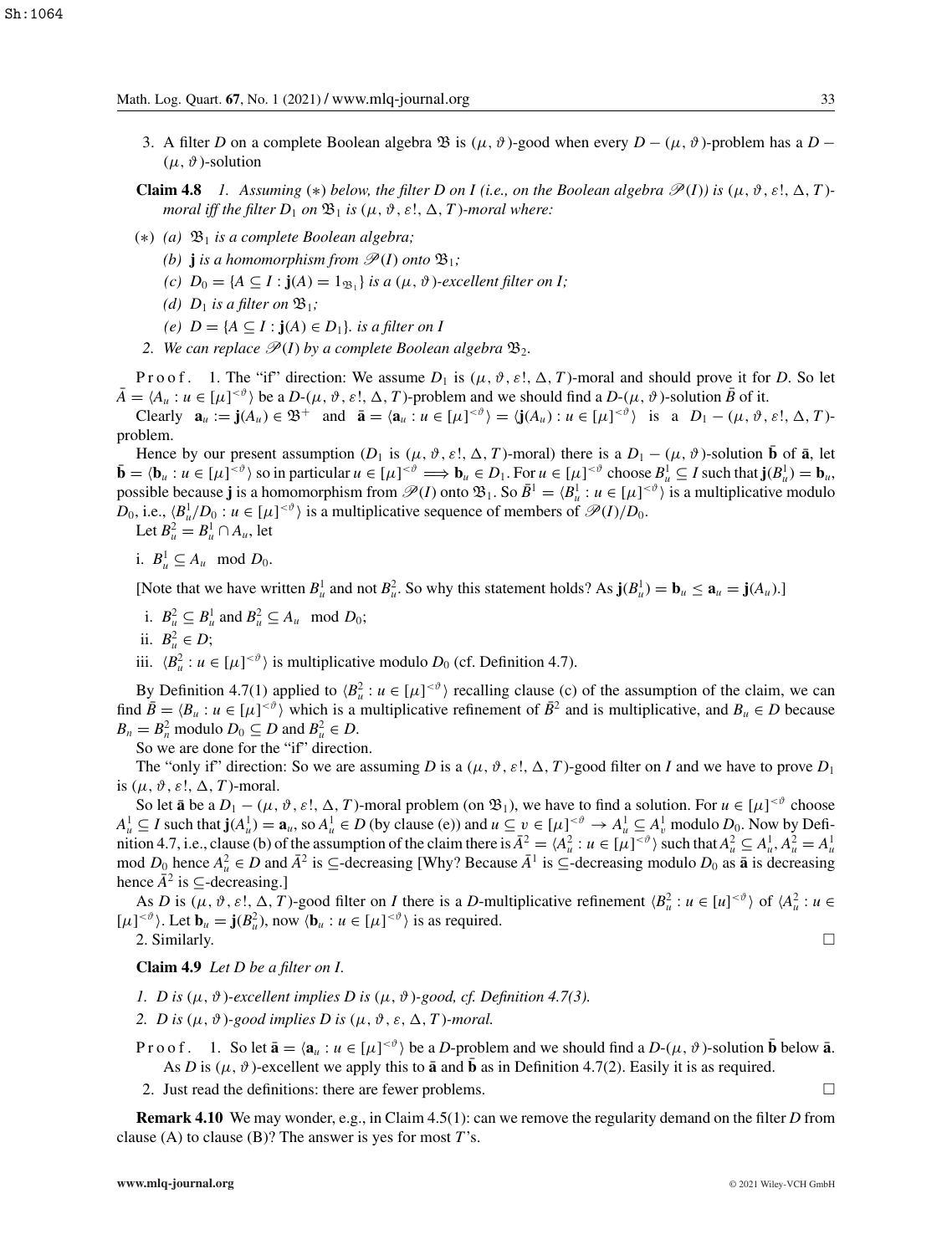3. A filter *D* on a complete Boolean algebra  $\mathfrak{B}$  is  $(\mu, \vartheta)$ -good when every  $D - (\mu, \vartheta)$ -problem has a  $D (\mu, \vartheta)$ -solution

**Claim 4.8** *1.* Assuming (\*) below, the filter D on I (i.e., on the Boolean algebra  $\mathcal{P}(I)$ ) is  $(\mu, \vartheta, \varepsilon!, \Delta, T)$ *moral iff the filter*  $D_1$  *on*  $\mathfrak{B}_1$  *is*  $(\mu, \vartheta, \varepsilon!, \Delta, T)$ *-moral where:* 

- (∗) *(a)* B<sup>1</sup> *is a complete Boolean algebra;*
	- *(b)* **j** *is a homomorphism from*  $\mathcal{P}(I)$  *<i>onto*  $\mathfrak{B}_1$ ;
	- *(c)*  $D_0 = \{A \subseteq I : \mathbf{j}(A) = 1_{\mathfrak{B}_1}\}$  *is a*  $(\mu, \vartheta)$ *-excellent filter on I;*
	- *(d)*  $D_1$  *is a filter on*  $\mathfrak{B}_1$ *;*
	- *(e)*  $D = {A ⊆ I : j(A) ∈ D₁}.$  *is a filter on I*
- 2. We can replace  $\mathcal{P}(I)$  by a complete Boolean algebra  $\mathfrak{B}_2$ .

P r o o f. 1. The "if" direction: We assume  $D_1$  is  $(\mu, \vartheta, \varepsilon, \Delta, T)$ -moral and should prove it for D. So let  $\bar{A} = \langle A_u : u \in [\mu]^{<\vartheta} \rangle$  be a *D*- $(\mu, \vartheta, \varepsilon!, \Delta, T)$ -problem and we should find a *D*- $(\mu, \vartheta)$ -solution  $\bar{B}$  of it.

Clearly  $\mathbf{a}_u := \mathbf{j}(A_u) \in \mathfrak{B}^+$  and  $\bar{\mathbf{a}} = \langle \mathbf{a}_u : u \in [\mu]^{<\vartheta} \rangle = \langle \mathbf{j}(A_u) : u \in [\mu]^{<\vartheta} \rangle$  is a  $D_1 - (\mu, \vartheta, \varepsilon!, \Delta, T)$ problem.

Hence by our present assumption  $(D_1 \text{ is } (\mu, \vartheta, \varepsilon!, \Delta, T)$ -moral) there is a  $D_1 - (\mu, \vartheta)$ -solution  $\bar{\mathbf{b}}$  of  $\bar{\mathbf{a}}$ , let  $\bar{\mathbf{b}} = \langle \mathbf{b}_u : u \in [\mu]^{<\vartheta} \rangle$  so in particular  $u \in [\mu]^{<\vartheta} \Longrightarrow \mathbf{b}_u \in D_1$ . For  $u \in [\mu]^{<\vartheta}$  choose  $B_u^1 \subseteq I$  such that  $\mathbf{j}(B_u^1) = \mathbf{b}_u$ , possible because **j** is a homomorphism from  $\mathscr{P}(I)$  onto  $\mathfrak{B}_1$ . So  $\bar{B}^1 = \langle B^1_u : u \in [\mu]^{<\vartheta} \rangle$  is a multiplicative modulo *D*<sub>0</sub>, i.e.,  $\langle B_u^1/D_0 : u \in [\mu]^{<\vartheta} \rangle$  is a multiplicative sequence of members of  $\mathcal{P}(I)/D_0$ .

Let  $B^2_u = B^1_u \cap A_u$ , let

i.  $B^1_u \subseteq A_u \mod D_0$ .

[Note that we have written  $B^1_u$  and not  $B^2_u$ . So why this statement holds? As  $\mathbf{j}(B^1_u) = \mathbf{b}_u \leq \mathbf{a}_u = \mathbf{j}(A_u)$ .]

- i.  $B_u^2 \subseteq B_u^1$  and  $B_u^2 \subseteq A_u$  mod  $D_0$ ;
- ii.  $B^2_u \in D$ ;
- iii.  $\langle B_u^2 : u \in [\mu]^{< \vartheta} \rangle$  is multiplicative modulo  $D_0$  (cf. Definition 4.7).

By Definition 4.7(1) applied to  $\langle B_u^2 : u \in [\mu]^{<\vartheta} \rangle$  recalling clause (c) of the assumption of the claim, we can find  $\bar{B} = \langle B_u : u \in [\mu]^{*\theta}* \rangle$  which is a multiplicative refinement of  $\bar{B}^2$  and is multiplicative, and  $B_u \in D$  because  $B_n = B_n^2$  modulo  $D_0 \subseteq D$  and  $B_u^2 \in D$ .

So we are done for the "if" direction.

The "only if" direction: So we are assuming *D* is a  $(\mu, \vartheta, \varepsilon!, \Delta, T)$ -good filter on *I* and we have to prove  $D_1$ is  $(\mu, \vartheta, \varepsilon!, \Delta, T)$ -moral.

So let  $\bar{a}$  be a  $D_1 - (\mu, \vartheta, \varepsilon!, \Delta, T)$ -moral problem (on  $\mathfrak{B}_1$ ), we have to find a solution. For  $u \in [\mu]^{< \vartheta}$  choose  $A_u^1 \subseteq I$  such that  $\mathbf{j}(A_u^1) = \mathbf{a}_u$ , so  $A_u^1 \in D$  (by clause (e)) and  $u \subseteq v \in [\mu]^{< \vartheta} \to A_u^1 \subseteq A_v^1$  modulo  $D_0$ . Now by Definition 4.7, i.e., clause (b) of the assumption of the claim there is  $\bar{A}^2 = \langle A_u^2 : u \in [\mu]^{<\vartheta} \rangle$  such that  $A_u^2 \subseteq A_u^1$ ,  $A_u^2 = A_u^1$ mod  $D_0$  hence  $A_u^2$  ∈ *D* and  $\bar{A}^2$  is ⊆-decreasing [Why? Because  $\bar{A}^1$  is ⊆-decreasing modulo  $D_0$  as **a** is decreasing hence  $\bar{A}^2$  is  $\subseteq$ -decreasing.]

As *D* is  $(\mu, \vartheta, \varepsilon!, \Delta, T)$ -good filter on *I* there is a *D*-multiplicative refinement  $\langle B_u^2 : u \in [u]^{<\vartheta} \rangle$  of  $\langle A_u^2 : u \in$  $[\mu]^{<\vartheta}$ . Let  $\mathbf{b}_u = \mathbf{j}(B_u^2)$ , now  $\langle \mathbf{b}_u : u \in [\mu]^{<\vartheta}$  is as required.

2. Similarly.  $\square$ 

**Claim 4.9** *Let D be a filter on I.*

- *1. D* is  $(\mu, \vartheta)$ -excellent implies *D* is  $(\mu, \vartheta)$ -good, *cf. Definition* 4.7(3).
- 2. *D* is  $(\mu, \vartheta)$ -good implies *D* is  $(\mu, \vartheta, \varepsilon, \Delta, T)$ -moral.
- P r o o f . 1. So let  $\bar{\mathbf{a}} = \langle \mathbf{a}_u : u \in [\mu]^{<\vartheta} \rangle$  be a *D*-problem and we should find a *D*-( $\mu$ ,  $\vartheta$ )-solution  $\bar{\mathbf{b}}$  below  $\bar{\mathbf{a}}$ . As *D* is ( $\mu$ ,  $\vartheta$ )-excellent we apply this to **a** and **b** as in Definition 4.7(2). Easily it is as required.

2. Just read the definitions: there are fewer problems.  $\Box$ 

**Remark 4.10** We may wonder, e.g., in Claim 4.5(1): can we remove the regularity demand on the filter *D* from clause (A) to clause (B)? The answer is yes for most *T*'s.

$$
\Box
$$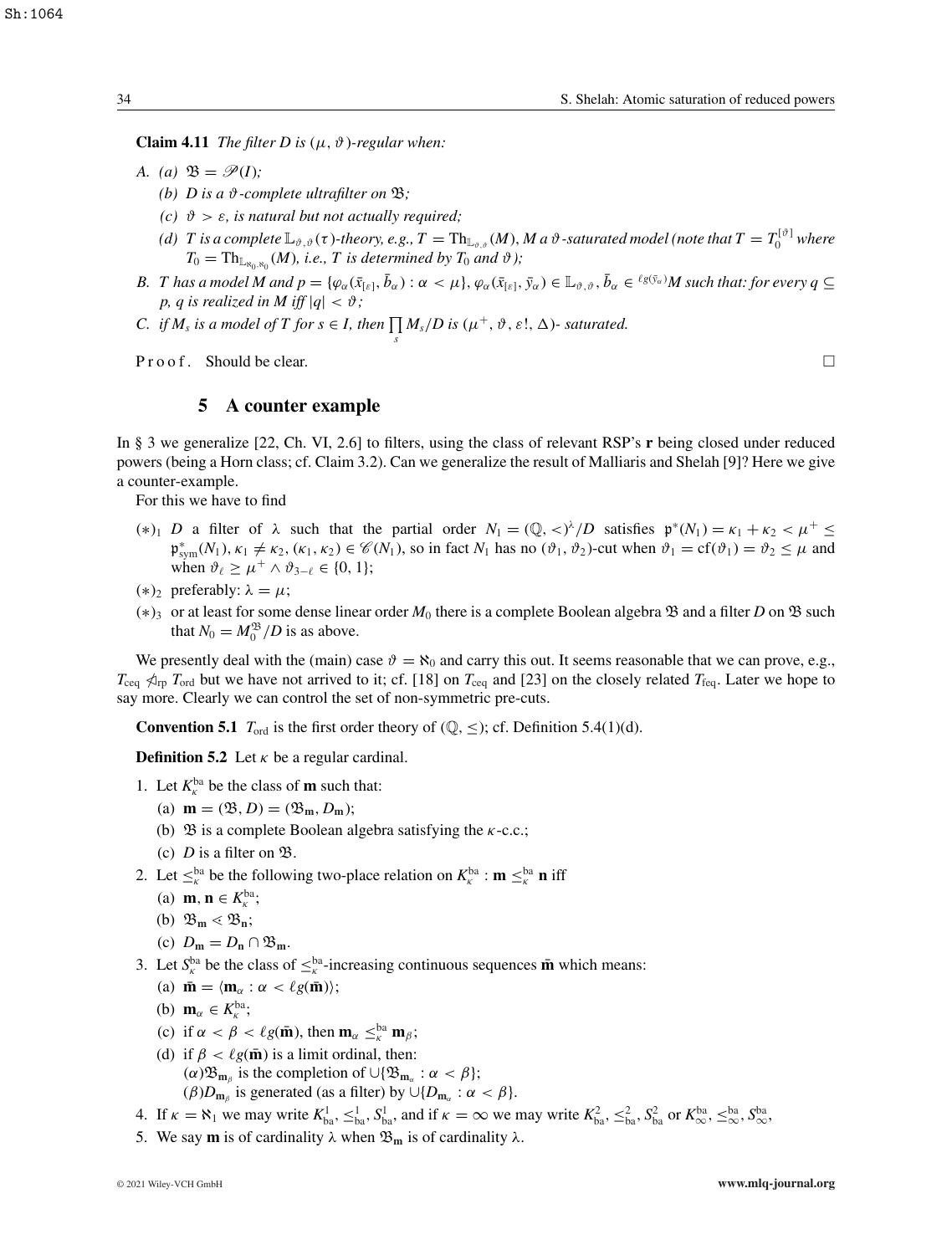**Claim 4.11** *The filter D is*  $(\mu, \vartheta)$ *-regular when:* 

- *A.* (a)  $\mathfrak{B} = \mathscr{P}(I)$ ;
	- *(b)*  $D$  is a  $\vartheta$ -complete ultrafilter on  $\mathfrak{B}$ ;
	- *(c)*  $\vartheta > \varepsilon$ *, is natural but not actually required*;
	- *(d)* T is a complete  $\mathbb{L}_{\vartheta,\vartheta}(\tau)$ -theory, e.g.,  $T = Th_{\mathbb{L}_{\vartheta,\vartheta}}(M)$ ,  $M$  a  $\vartheta$ -saturated model (note that  $T = T_0^{[\vartheta]}$  where  $T_0 = \text{Th}_{\mathbb{L}_{\aleph_0,\aleph_0}}(M)$ *, i.e., T is determined by*  $T_0$  *and*  $\vartheta$ *);*
- *B. T* has a model M and  $p = \{\varphi_\alpha(\bar{x}_{[\varepsilon]},\bar{b}_\alpha): \alpha < \mu\}, \varphi_\alpha(\bar{x}_{[\varepsilon]},\bar{y}_\alpha) \in \mathbb{L}_{\vartheta,\vartheta}, \bar{b}_\alpha \in {}^{\ell g(\bar{y}_\alpha)}M$  such that: for every  $q \subseteq$ *p*, *q* is realized in M iff  $|q| < \vartheta$ ;
- *C. if*  $M_s$  *is a model of*  $T$  *for*  $s \in I$ *, then*  $\prod M_s/D$  *is*  $(\mu^+, \vartheta, \varepsilon!, \Delta)$  *saturated.*

*s*

**Proof.** Should be clear.

# **5 A counter example**

In § 3 we generalize [22, Ch. VI, 2.6] to filters, using the class of relevant RSP's **r** being closed under reduced powers (being a Horn class; cf. Claim 3.2). Can we generalize the result of Malliaris and Shelah [9]? Here we give a counter-example.

For this we have to find

- (\*)<sub>1</sub> *D* a filter of  $\lambda$  such that the partial order  $N_1 = (\mathbb{Q}, \langle \rangle^{\lambda}/D)$  satisfies  $\mathfrak{p}^*(N_1) = \kappa_1 + \kappa_2 < \mu^+ \leq \mu^+$  $\mathfrak{p}_{sym}^*(N_1)$ ,  $\kappa_1 \neq \kappa_2$ ,  $(\kappa_1, \kappa_2) \in \mathcal{C}(N_1)$ , so in fact  $N_1$  has no  $(\vartheta_1, \vartheta_2)$ -cut when  $\vartheta_1 = \text{cf}(\vartheta_1) = \vartheta_2 \leq \mu$  and when  $\vartheta_\ell \geq \mu^+ \wedge \vartheta_{3-\ell} \in \{0, 1\};$
- (\*)<sub>2</sub> preferably:  $\lambda = \mu$ ;
- (∗)3 or at least for some dense linear order *M*<sup>0</sup> there is a complete Boolean algebra B and a filter *D* on B such that  $N_0 = M_0^{\mathfrak{B}} / D$  is as above.

We presently deal with the (main) case  $\vartheta = \aleph_0$  and carry this out. It seems reasonable that we can prove, e.g.,  $T_{\text{ceq}}$   $\phi_{\text{rp}}$  *T*<sub>ord</sub> but we have not arrived to it; cf. [18] on  $T_{\text{ceq}}$  and [23] on the closely related  $T_{\text{feq}}$ . Later we hope to say more. Clearly we can control the set of non-symmetric pre-cuts.

**Convention 5.1**  $T_{\text{ord}}$  is the first order theory of  $(\mathbb{Q}, \leq)$ ; cf. Definition 5.4(1)(d).

**Definition 5.2** Let  $\kappa$  be a regular cardinal.

- 1. Let  $K_{\kappa}^{\text{ba}}$  be the class of **m** such that:
	- (a)  $$
	- (b)  $\mathfrak{B}$  is a complete Boolean algebra satisfying the  $\kappa$ -c.c.;
	- (c)  $D$  is a filter on  $\mathfrak{B}$ .
- 2. Let  $\leq_{\kappa}^{\text{ba}}$  be the following two-place relation on  $K_{\kappa}^{\text{ba}}$  :  $\mathbf{m} \leq_{\kappa}^{\text{ba}} \mathbf{n}$  iff
	- (a) **m**, **n**  $\in K_{\kappa}^{\text{ba}}$ ;
	- (b)  $\mathfrak{B}_m \lessdot \mathfrak{B}_n;$

(c) 
$$
D_m = D_n \cap \mathfrak{B}_m
$$
.

- 3. Let  $S_k^{\text{ba}}$  be the class of  $\leq_k^{\text{ba}}$ -increasing continuous sequences **m** which means:
	- (a)  $\bar{\mathbf{m}} = \langle \mathbf{m}_{\alpha} : \alpha < \ell g(\bar{\mathbf{m}}) \rangle;$
	- (b)  $\mathbf{m}_{\alpha} \in K_{\kappa}^{\text{ba}};$
	- (c) if  $\alpha < \beta < \ell g(\mathbf{\bar{m}})$ , then  $\mathbf{m}_{\alpha} \leq_{\kappa}^{\beta} \mathbf{m}_{\beta}$ ;
	- (d) if  $\beta < \ell g(\mathbf{\bar{m}})$  is a limit ordinal, then:  $(\alpha) \mathfrak{B}_{m_0}$  is the completion of  $\cup {\mathfrak{B}_{m_0}} : \alpha < \beta$ ;  $(\beta)D_{\mathbf{m}_{\beta}}$  is generated (as a filter) by  $\cup \{D_{\mathbf{m}_{\alpha}} : \alpha < \beta\}.$

4. If  $\kappa = \aleph_1$  we may write  $K_{ba}^1$ ,  $\leq_{ba}^1$ ,  $S_{ba}^1$ , and if  $\kappa = \infty$  we may write  $K_{ba}^2$ ,  $\leq_{ba}^2$ ,  $S_{ba}^2$  or  $K_{\infty}^{ba}$ ,  $\leq_{\infty}^{ba}$ ,  $S_{\infty}^{ba}$ ,

5. We say **m** is of cardinality  $\lambda$  when  $\mathfrak{B}_{m}$  is of cardinality  $\lambda$ .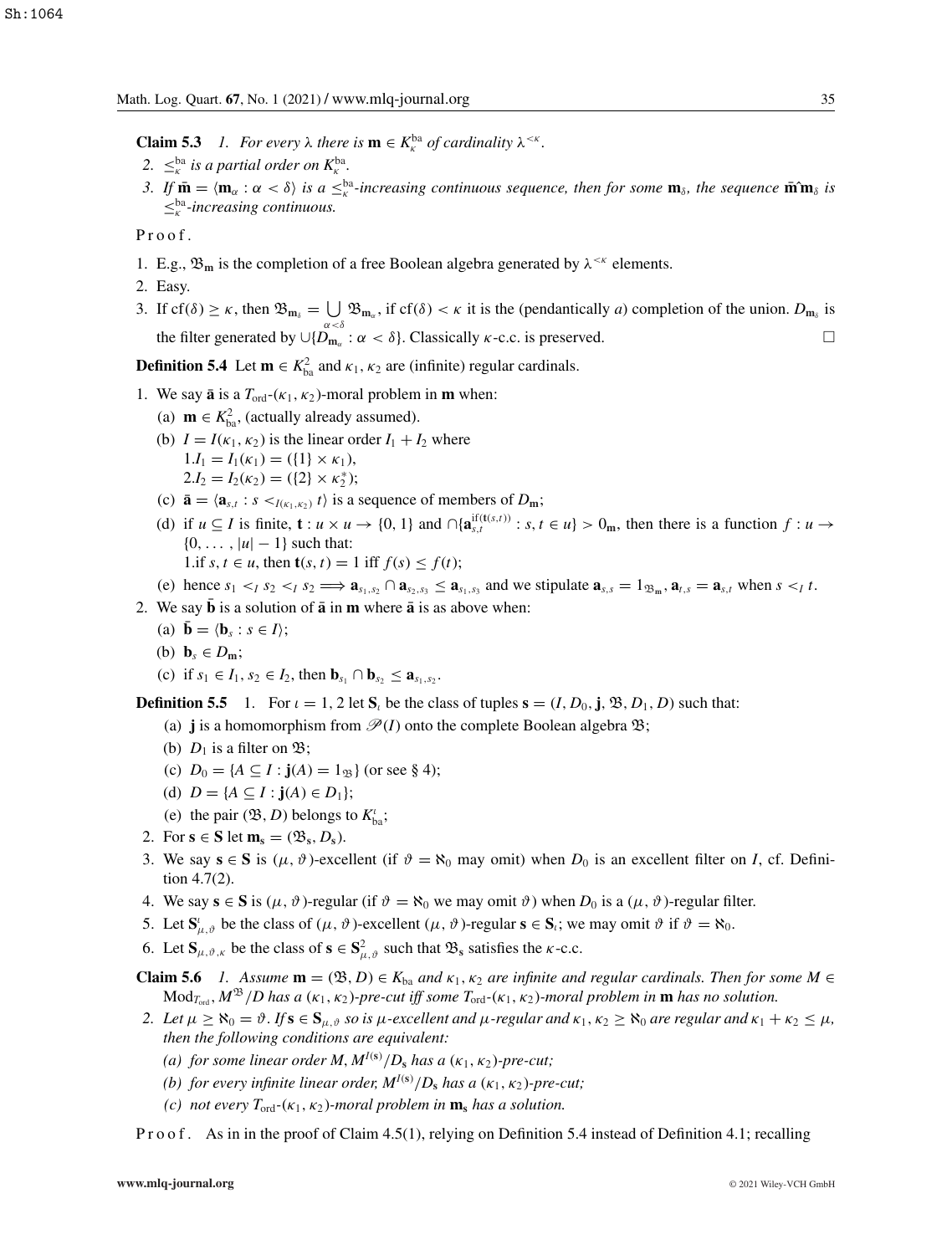**Claim 5.3** *1. For every*  $\lambda$  *there is*  $\mathbf{m} \in K_{\kappa}^{\text{ba}}$  *of cardinality*  $\lambda^{\leq \kappa}$ *.* 

- 2.  $\leq^{\text{ba}}_{\kappa}$  *is a partial order on*  $K_{\kappa}^{\text{ba}}$ *.*
- *3.* If  $\bar{m} = \langle m_{\alpha} : \alpha < \delta \rangle$  is a  $\leq_{\kappa}^{\text{ba}}$ -increasing continuous sequence, then for some  $m_{\delta}$ , the sequence  $\bar{m} \hat{m}_{\delta}$  is  $\leq_{\kappa}^{\text{ba}}$ *-increasing continuous.*

Proof.

- 1. E.g.,  $\mathfrak{B}_m$  is the completion of a free Boolean algebra generated by  $\lambda^{\leq \kappa}$  elements.
- 2. Easy.
- 3. If  $cf(\delta) \ge \kappa$ , then  $\mathfrak{B}_{m_\delta} = \bigcup \mathfrak{B}_{m_\alpha}$ , if  $cf(\delta) < \kappa$  it is the (pendantically *a*) completion of the union.  $D_{m_\delta}$  is the filter generated by  $\cup \{D_{m_{\alpha}} : \alpha < \delta\}$ . Classically *κ*-c.c. is preserved.

**Definition 5.4** Let  $\mathbf{m} \in K_{ba}^2$  and  $\kappa_1, \kappa_2$  are (infinite) regular cardinals.

- 1. We say  $\bar{a}$  is a  $T_{\text{ord}}-(\kappa_1, \kappa_2)$ -moral problem in **m** when:
	- (a) **m**  $\in K_{ba}^2$ , (actually already assumed).
	- (b)  $I = I(\kappa_1, \kappa_2)$  is the linear order  $I_1 + I_2$  where  $1.I_1 = I_1(\kappa_1) = (\{1\} \times \kappa_1),$  $2.I_2 = I_2(\kappa_2) = (\{2\} \times \kappa_2^*)$ ;
	- (c)  $\bar{\mathbf{a}} = \langle \mathbf{a}_{s,t} : s \prec_{I(\kappa_1,\kappa_2)} t \rangle$  is a sequence of members of  $D_m$ ;
	- (d) if  $u \subseteq I$  is finite,  $\mathbf{t} : u \times u \to \{0, 1\}$  and  $\bigcap \{\mathbf{a}_{s,t}^{if(t(s,t))} : s, t \in u\} > 0_m$ , then there is a function  $f : u \to$  ${0, \ldots, |u| - 1}$  such that: 1.if *s*, *t* ∈ *u*, then **t**(*s*, *t*) = 1 iff *f*(*s*) ≤ *f*(*t*);

(e) hence 
$$
s_1 <_I s_2 <_I s_2 \implies \mathbf{a}_{s_1, s_2} \cap \mathbf{a}_{s_2, s_3} \leq \mathbf{a}_{s_1, s_3}
$$
 and we stipulate  $\mathbf{a}_{s,s} = 1_{\mathfrak{B}_{\mathfrak{m}}}, \mathbf{a}_{t,s} = \mathbf{a}_{s,t}$  when  $s <_I t$ .

- 2. We say  $\overline{b}$  is a solution of  $\overline{a}$  in **m** where  $\overline{a}$  is as above when:
	- (a)  $\bar{\mathbf{b}} = \langle \mathbf{b}_s : s \in I \rangle$ ;
	- (b)  $\mathbf{b}_s \in D_m$ ;
	- (c) if  $s_1 \in I_1, s_2 \in I_2$ , then  $\mathbf{b}_{s_1} \cap \mathbf{b}_{s_2} \leq \mathbf{a}_{s_1, s_2}$ .

**Definition 5.5** 1. For  $\iota = 1, 2$  let  $S_i$  be the class of tuples  $\mathbf{s} = (I, D_0, \mathbf{j}, \mathcal{B}, D_1, D)$  such that:

(a) **j** is a homomorphism from  $\mathcal{P}(I)$  onto the complete Boolean algebra  $\mathfrak{B}$ ;

- (b)  $D_1$  is a filter on  $\mathfrak{B}$ ;
- (c)  $D_0 = \{A \subseteq I : j(A) = 1_{\mathfrak{B}}\}$  (or see § 4);
- (d)  $D = \{A \subseteq I : j(A) \in D_1\};$
- (e) the pair  $(\mathfrak{B}, D)$  belongs to  $K_{ba}^i$ ;
- 2. For  $\mathbf{s} \in \mathbf{S}$  let  $\mathbf{m}_s = (\mathfrak{B}_s, D_s)$ .
- 3. We say  $\mathbf{s} \in \mathbf{S}$  is ( $\mu$ ,  $\vartheta$ )-excellent (if  $\vartheta = \aleph_0$  may omit) when  $D_0$  is an excellent filter on *I*, cf. Definition 4.7(2).
- 4. We say  $\mathbf{s} \in \mathbf{S}$  is  $(\mu, \vartheta)$ -regular (if  $\vartheta = \aleph_0$  we may omit  $\vartheta$ ) when  $D_0$  is a  $(\mu, \vartheta)$ -regular filter.
- 5. Let  $\mathbf{S}_{\mu,\vartheta}^i$  be the class of  $(\mu, \vartheta)$ -excellent  $(\mu, \vartheta)$ -regular  $\mathbf{s} \in \mathbf{S}_i$ ; we may omit  $\vartheta$  if  $\vartheta = \aleph_0$ .
- 6. Let  $\mathbf{S}_{\mu,\vartheta,\kappa}$  be the class of  $\mathbf{s} \in \mathbf{S}^2_{\mu,\vartheta}$  such that  $\mathfrak{B}_s$  satisfies the  $\kappa$ -c.c.

**Claim 5.6** *1.* Assume  $\mathbf{m} = (\mathfrak{B}, D) \in K_{ba}$  and  $\kappa_1, \kappa_2$  are infinite and regular cardinals. Then for some  $M \in$  $Mod_{T_{\text{ord}}}$ ,  $M^{\mathfrak{B}}/D$  has a  $(\kappa_1, \kappa_2)$ *-pre-cut iff some*  $T_{\text{ord}}-(\kappa_1, \kappa_2)$ *-moral problem in* **m** has no solution.

- *2.* Let  $\mu \ge \aleph_0 = \vartheta$ . If  $s \in S_{\mu,\vartheta}$  so is  $\mu$ -excellent and  $\mu$ -regular and  $\kappa_1, \kappa_2 \ge \aleph_0$  are regular and  $\kappa_1 + \kappa_2 \le \mu$ , *then the following conditions are equivalent:*
	- *(a) for some linear order*  $M$ ,  $M^{I(s)}/D_s$  *has a* ( $\kappa_1$ ,  $\kappa_2$ )*-pre-cut;*
	- *(b) for every infinite linear order,*  $M^{I(s)}/D_s$  *has a* ( $\kappa_1$ ,  $\kappa_2$ )*-pre-cut;*
	- *(c) not every*  $T_{\text{ord}}$ -( $\kappa_1$ ,  $\kappa_2$ )*-moral problem in*  $\mathbf{m}_s$  *has a solution.*

P r o o f. As in in the proof of Claim 4.5(1), relying on Definition 5.4 instead of Definition 4.1; recalling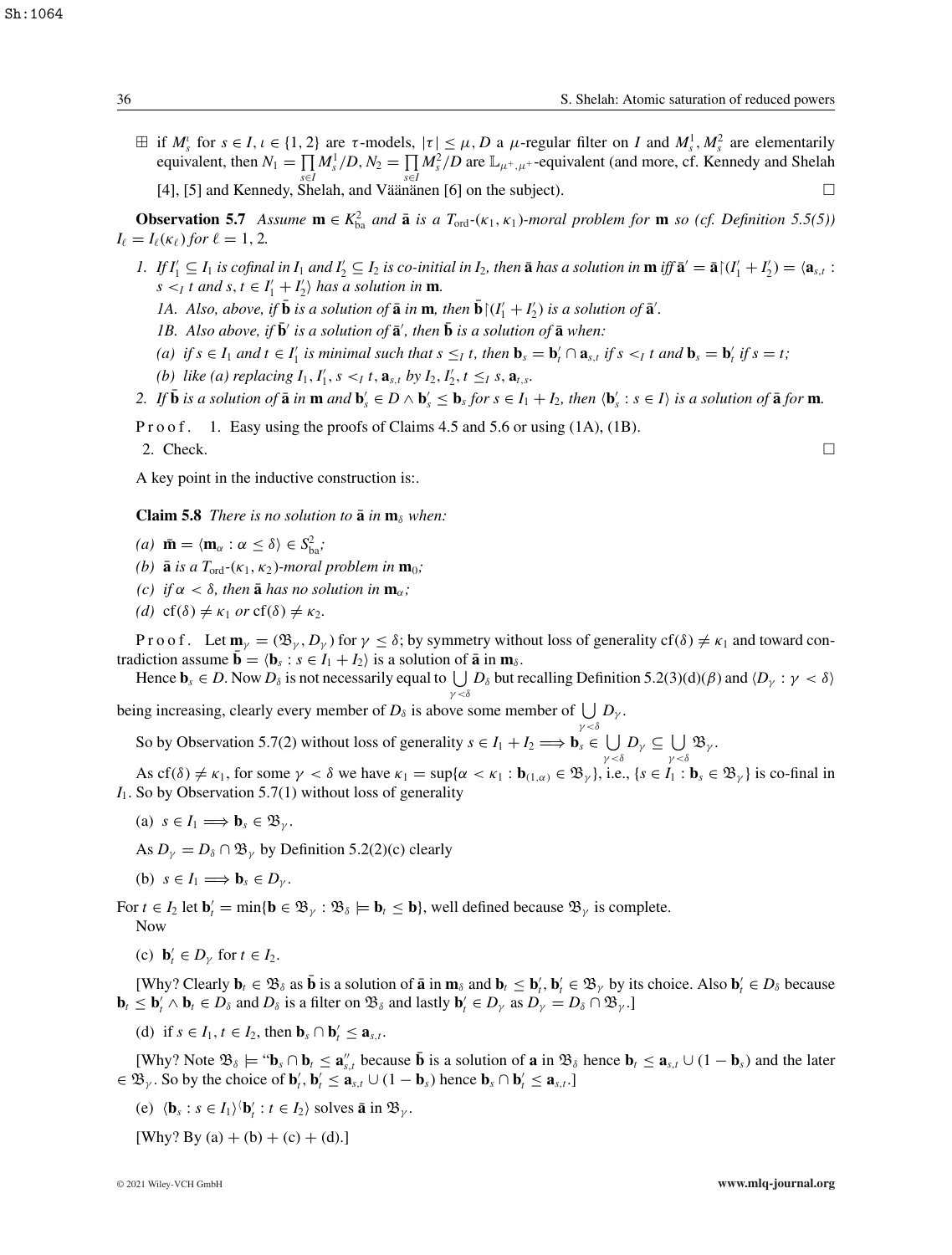$\exists$  if  $M_s^{\iota}$  for  $s \in I, \iota \in \{1, 2\}$  are  $\tau$ -models,  $|\tau| \leq \mu$ , *D* a  $\mu$ -regular filter on *I* and  $M_s^1, M_s^2$  are elementarily equivalent, then  $N_1 = \prod M_s^1/D$ ,  $N_2 = \prod M_s^2/D$  are  $\mathbb{L}_{\mu^+, \mu^+}$ -equivalent (and more, cf. Kennedy and Shelah *s*∈*I s*∈*I* [4], [5] and Kennedy, Shelah, and Väänänen [6] on the subject).

**Observation 5.7** *Assume*  $\mathbf{m} \in K_{ba}^2$  *and*  $\bar{\mathbf{a}}$  *is a*  $T_{ord}$ *-*( $\kappa_1, \kappa_1$ *)-moral problem for*  $\mathbf{m}$  *so* (*cf. Definition 5.5(5)*)  $I_{\ell} = I_{\ell}(\kappa_{\ell})$  *for*  $\ell = 1, 2$ *.* 

- 1. If  $I'_1 \subseteq I_1$  is cofinal in  $I_1$  and  $I'_2 \subseteq I_2$  is co-initial in  $I_2$ , then  $\bar{a}$  has a solution in  $\mathbf{m}$  iff  $\bar{a}' = \bar{a} | (I'_1 + I'_2) = \langle a_{s,t} : I_1 \rangle$  $s \leq I$  *t* and  $s, t \in I'_1 + I'_2$  has a solution in **m**.
	- *1A. Also, above, if*  $\bar{\mathbf{b}}$  *is a solution of*  $\bar{\mathbf{a}}$  *in* **m***, then*  $\bar{\mathbf{b}}$  $\upharpoonright$   $(I'_1 + I'_2)$  *is a solution of*  $\bar{\mathbf{a}}'$ *.*
	- *1B.* Also above, if  $\bar{\mathbf{b}}'$  is a solution of  $\bar{\mathbf{a}}'$ , then  $\bar{\mathbf{b}}$  is a solution of  $\bar{\mathbf{a}}$  when:
	- (a) if  $s \in I_1$  and  $t \in I'_1$  is minimal such that  $s \leq_1 t$ , then  $\mathbf{b}_s = \mathbf{b}'_t \cap \mathbf{a}_{s,t}$  if  $s <_1 t$  and  $\mathbf{b}_s = \mathbf{b}'_t$  if  $s = t$ ;
	- *(b) like (a) replacing*  $I_1, I'_1, s <_I t$ ,  $\mathbf{a}_{s,t}$  *by*  $I_2, I'_2, t \leq_I s$ ,  $\mathbf{a}_{t,s}$ .
- 2. If  $\bar{\mathbf{b}}$  is a solution of  $\bar{\mathbf{a}}$  in  $\mathbf{m}$  and  $\mathbf{b}'_s \in D \wedge \mathbf{b}'_s \leq \mathbf{b}_s$  for  $s \in I_1 + I_2$ , then  $\langle \mathbf{b}'_s : s \in I \rangle$  is a solution of  $\bar{\mathbf{a}}$  for  $\mathbf{m}$ .

P r o o f. 1. Easy using the proofs of Claims 4.5 and 5.6 or using (1A), (1B).

2. Check.  $\Box$ 

A key point in the inductive construction is:.

**Claim 5.8** *There is no solution to*  $\bar{a}$  *in*  $\mathbf{m}_{\delta}$  *when:* 

- $(a)$  **m** =  $\langle \mathbf{m}_{\alpha} : \alpha \leq \delta \rangle \in S_{ba}^2;$
- *(b)* **a** *is a*  $T_{\text{ord}}$ *-*( $\kappa_1$ *,*  $\kappa_2$ *)-moral problem in*  $\mathbf{m}_0$ *;*
- *(c) if*  $\alpha < \delta$ *, then* **a** *has no solution in* **m**<sub>α</sub>*;*
- *(d)* cf( $\delta$ )  $\neq$   $\kappa_1$  *or* cf( $\delta$ )  $\neq$   $\kappa_2$ .

P r o o f. Let  $\mathbf{m}_{\gamma} = (\mathfrak{B}_{\gamma}, D_{\gamma})$  for  $\gamma \leq \delta$ ; by symmetry without loss of generality cf( $\delta$ )  $\neq \kappa_1$  and toward contradiction assume  $\mathbf{b} = \langle \mathbf{b}_s : s \in I_1 + I_2 \rangle$  is a solution of  $\mathbf{\bar{a}}$  in  $\mathbf{m}_{\delta}$ .

Hence  $\mathbf{b}_s \in D$ . Now  $D_\delta$  is not necessarily equal to  $\bigcup D_\delta$  but recalling Definition 5.2(3)(d)( $\beta$ ) and  $\langle D_\gamma : \gamma < \delta \rangle$  $\gamma < \delta$ 

being increasing, clearly every member of  $D_{\delta}$  is above some member of  $\bigcup D_{\gamma}$ .  $\gamma < \delta$ 

So by Observation 5.7(2) without loss of generality  $s \in I_1 + I_2 \Longrightarrow \mathbf{b}_s \in \bigcup D_\gamma \subseteq \bigcup \mathfrak{B}_\gamma$ .

As cf( $\delta$ )  $\neq \kappa_1$ , for some  $\gamma < \delta$  we have  $\kappa_1 = \sup{\{\alpha < \kappa_1 : \mathbf{b}_{(1,\alpha)} \in \mathfrak{B}_\gamma\}}$ , i.e.,  $\{s \in I_1 : \mathbf{b}_s \in \mathfrak{B}_\gamma\}$  is co-final in *I*1. So by Observation 5.7(1) without loss of generality

(a)  $s \in I_1 \Longrightarrow \mathbf{b}_s \in \mathfrak{B}_{\nu}$ .

As  $D_{\nu} = D_{\delta} \cap \mathfrak{B}_{\nu}$  by Definition 5.2(2)(c) clearly

(b)  $s \in I_1 \Longrightarrow \mathbf{b}_s \in D_{\gamma}$ .

For  $t \in I_2$  let  $\mathbf{b}'_t = \min{\{\mathbf{b} \in \mathfrak{B}_\gamma : \mathfrak{B}_\delta \models \mathbf{b}_t \leq \mathbf{b}\}}$ , well defined because  $\mathfrak{B}_\gamma$  is complete. Now

(c)  $\mathbf{b}'_t \in D_\gamma$  for  $t \in I_2$ .

[Why? Clearly  $\mathbf{b}_t \in \mathfrak{B}_{\delta}$  as  $\bar{\mathbf{b}}$  is a solution of  $\bar{\mathbf{a}}$  in  $\mathbf{m}_{\delta}$  and  $\mathbf{b}_t \leq \mathbf{b}'_t$ ,  $\mathbf{b}'_t \in \mathfrak{B}_{\gamma}$  by its choice. Also  $\mathbf{b}'_t \in D_{\delta}$  because  $\mathbf{b}_t \leq \mathbf{b}'_t \wedge \mathbf{b}_t \in D_\delta$  and  $D_\delta$  is a filter on  $\mathfrak{B}_\delta$  and lastly  $\mathbf{b}'_t \in D_\gamma$  as  $D_\gamma = D_\delta \cap \mathfrak{B}_\gamma$ .

(d) if  $s \in I_1, t \in I_2$ , then  $\mathbf{b}_s \cap \mathbf{b}'_t \leq \mathbf{a}_{s,t}$ .

[Why? Note  $\mathfrak{B}_{\delta} \models \mathbf{B}_{\delta} \cap \mathbf{b}_{t} \leq \mathbf{a}_{s,t}^{\prime}$  because  $\bar{\mathbf{b}}$  is a solution of  $\mathbf{a}$  in  $\mathfrak{B}_{\delta}$  hence  $\mathbf{b}_{t} \leq \mathbf{a}_{s,t} \cup (1 - \mathbf{b}_{s})$  and the later  $\in \mathfrak{B}_{\gamma}$ . So by the choice of  $\mathbf{b}'_t$ ,  $\mathbf{b}'_t \leq \mathbf{a}_{s,t} \cup (1 - \mathbf{b}_s)$  hence  $\mathbf{b}_s \cap \mathbf{b}'_t \leq \mathbf{a}_{s,t}$ .]

- (e)  $\langle \mathbf{b}_s : s \in I_1 \rangle \langle \mathbf{b}'_t : t \in I_2 \rangle$  solves **a** in  $\mathfrak{B}_{\gamma}$ .
- [Why? By (a) + (b) + (c) + (d).]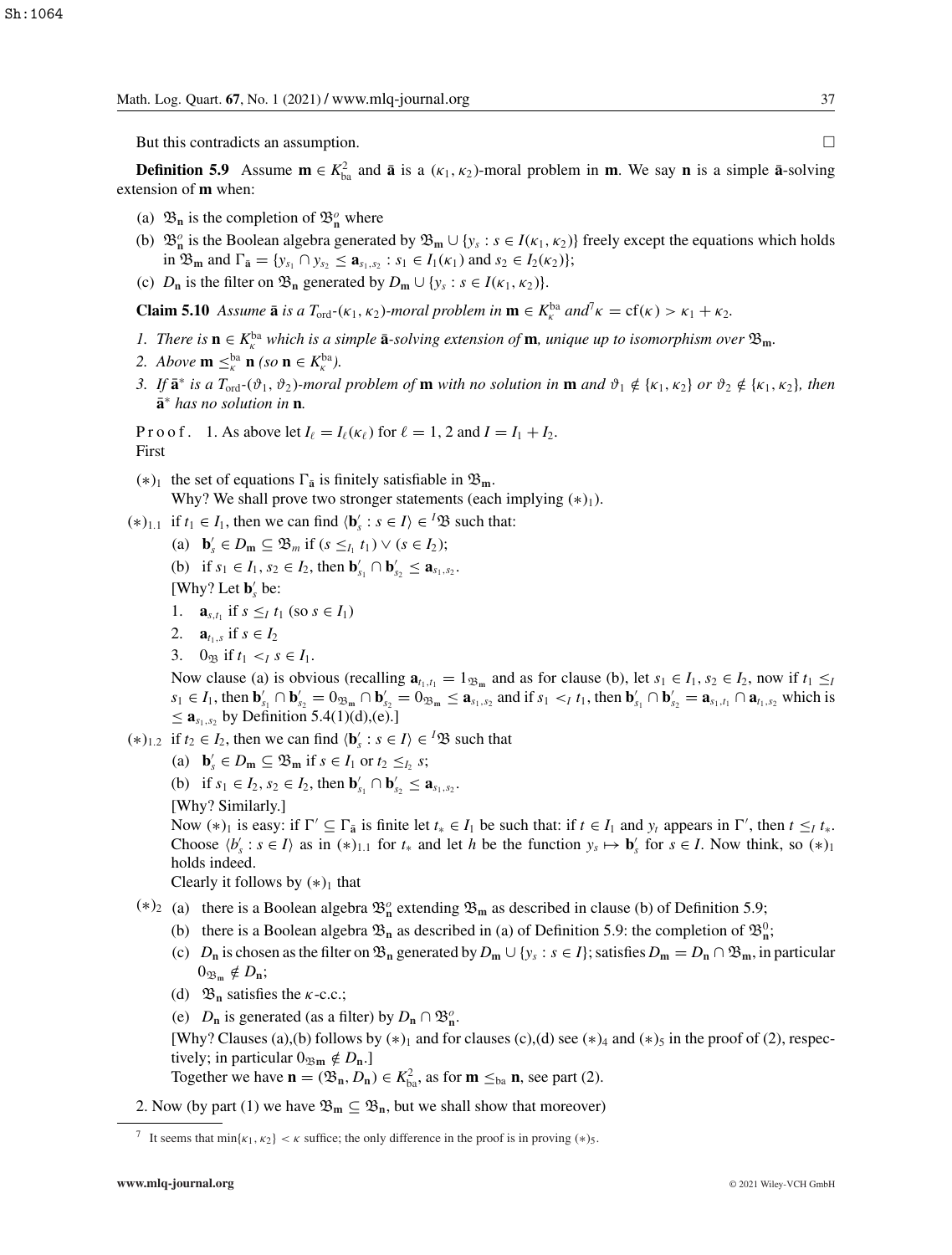But this contradicts an assumption.

**Definition 5.9** Assume  $\mathbf{m} \in K_{ba}^2$  and  $\bar{\mathbf{a}}$  is a ( $\kappa_1, \kappa_2$ )-moral problem in **m**. We say **n** is a simple  $\bar{\mathbf{a}}$ -solving extension of **m** when:

- (a)  $\mathfrak{B}_n$  is the completion of  $\mathfrak{B}_n^o$  where
- (b)  $\mathfrak{B}_{n}^{\circ}$  is the Boolean algebra generated by  $\mathfrak{B}_{m} \cup \{y_{s} : s \in I(\kappa_{1}, \kappa_{2})\}$  freely except the equations which holds in  $\mathfrak{B}_{\mathbf{m}}$  and  $\Gamma_{\bar{\mathbf{a}}} = \{y_{s_1} \cap y_{s_2} \leq \mathbf{a}_{s_1,s_2} : s_1 \in I_1(\kappa_1) \text{ and } s_2 \in I_2(\kappa_2)\};$
- (c)  $D_n$  is the filter on  $\mathfrak{B}_n$  generated by  $D_m \cup \{y_s : s \in I(\kappa_1, \kappa_2)\}.$

**Claim 5.10** *Assume*  $\bar{\mathbf{a}}$  *is a*  $T_{\text{ord}}$  $-(\kappa_1, \kappa_2)$ *-moral problem in*  $\mathbf{m} \in K_{\kappa}^{\text{ba}}$  *and*<sup>7</sup> $\kappa = \text{cf}(\kappa) > \kappa_1 + \kappa_2$ *.* 

- *1.* There is  $\mathbf{n} \in K_{\kappa}^{\text{ba}}$  which is a simple  $\bar{\mathbf{a}}$ -solving extension of  $\mathbf{m}$ *, unique up to isomorphism over*  $\mathfrak{B}_{\mathbf{m}}$ *.*
- 2. *Above* **m**  $\leq_{\kappa}^{\text{ba}}$  **n** *(so* **n**  $\in K_{\kappa}^{\text{ba}}$ *).*
- *3.* If  $\bar{\mathbf{a}}^*$  *is a*  $T_{\text{ord}}$  $\cdot$ ( $\vartheta_1$ ,  $\vartheta_2$ )*-moral problem of* **m** *with no solution in* **m** *and*  $\vartheta_1 \notin \{\kappa_1, \kappa_2\}$  *or*  $\vartheta_2 \notin \{\kappa_1, \kappa_2\}$ , *then* **a**¯<sup>∗</sup> *has no solution in* **n***.*

P r o o f. 1. As above let  $I_\ell = I_\ell(\kappa_\ell)$  for  $\ell = 1, 2$  and  $I = I_1 + I_2$ . First

- $(*)_1$  the set of equations  $\Gamma_{\bar{a}}$  is finitely satisfiable in  $\mathfrak{B}_m$ . Why? We shall prove two stronger statements (each implying  $(*)_1$ ).
- $(*)$ <sub>1.1</sub> if *t*<sub>1</sub> ∈ *I*<sub>1</sub>, then we can find  $\langle \mathbf{b}'_s : s \in I \rangle \in {}^I \mathfrak{B}$  such that:
	- (a)  $\mathbf{b}'_s \in D_\mathbf{m} \subseteq \mathfrak{B}_m$  if  $(s \leq_{I_1} t_1) \vee (s \in I_2);$
	- (b) if  $s_1 \in I_1$ ,  $s_2 \in I_2$ , then  $\mathbf{b}'_{s_1} \cap \mathbf{b}'_{s_2} \le \mathbf{a}_{s_1, s_2}$ .

[Why? Let  $\mathbf{b}'_s$  be:

- 1. **a**<sub>*s*,*t*<sub>1</sub></sub> if  $s \leq I$  *t*<sub>1</sub> (so  $s \in I$ <sub>1</sub>)
- 2. **a**<sub>*t*1,*s*</sub> if  $s \in I_2$
- 3.  $0_{\mathfrak{B}}$  if  $t_1 < I \leq I_1$ .

Now clause (a) is obvious (recalling  $\mathbf{a}_{t_1,t_1} = 1_{\mathfrak{B}_m}$  and as for clause (b), let  $s_1 \in I_1$ ,  $s_2 \in I_2$ , now if  $t_1 \leq t_1$  $s_1 \in I_1$ , then  $\mathbf{b}'_{s_1} \cap \mathbf{b}'_{s_2} = 0_{\mathfrak{B}_{\mathfrak{m}}} \cap \mathbf{b}'_{s_2} = 0_{\mathfrak{B}_{\mathfrak{m}}} \le \mathbf{a}_{s_1, s_2}$  and if  $s_1 \le t_1$ , then  $\mathbf{b}'_{s_1} \cap \mathbf{b}'_{s_2} = \mathbf{a}_{s_1, t_1} \cap \mathbf{a}_{t_1, s_2}$  which is ≤  $\mathbf{a}_{s_1,s_2}$  by Definition 5.4(1)(d),(e).]

- $(*)_{1,2}$  if *t*<sub>2</sub> ∈ *I*<sub>2</sub>, then we can find  $\langle \mathbf{b}'_s : s \in I \rangle$  ∈ <sup>*I*</sup> $\mathfrak{B}$  such that
	- (a)  $\mathbf{b}'_s \in D_\mathbf{m} \subseteq \mathfrak{B}_\mathbf{m}$  if  $s \in I_1$  or  $t_2 \leq t_2$  *s*;
	- (b) if  $s_1 \in I_2$ ,  $s_2 \in I_2$ , then  $\mathbf{b}'_{s_1} \cap \mathbf{b}'_{s_2} \le \mathbf{a}_{s_1, s_2}$ .
	- [Why? Similarly.]

Now  $(*)_1$  is easy: if  $\Gamma' \subseteq \Gamma_{\bar{a}}$  is finite let  $t_* \in I_1$  be such that: if  $t \in I_1$  and  $y_t$  appears in  $\Gamma'$ , then  $t \leq t_*$ . Choose  $\langle b'_s : s \in I \rangle$  as in  $(*)_{1,1}$  for  $t_*$  and let *h* be the function  $y_s \mapsto b'_s$  for  $s \in I$ . Now think, so  $(*)_1$ holds indeed.

Clearly it follows by  $(*)_1$  that

- $(*)_2$  (a) there is a Boolean algebra  $\mathfrak{B}_n^o$  extending  $\mathfrak{B}_m$  as described in clause (b) of Definition 5.9;
	- (b) there is a Boolean algebra  $\mathfrak{B}_n$  as described in (a) of Definition 5.9: the completion of  $\mathfrak{B}_n^0$ ;
	- (c)  $D_n$  is chosen as the filter on  $\mathfrak{B}_n$  generated by  $D_m \cup \{y_s : s \in I\}$ ; satisfies  $D_m = D_n \cap \mathfrak{B}_m$ , in particular  $0_{\mathfrak{B}_m} \notin D_n;$
	- (d)  $\mathfrak{B}_n$  satisfies the *k*-c.c.;
	- (e) *D*<sub>n</sub> is generated (as a filter) by  $D_n \cap \mathfrak{B}_n^o$ .

[Why? Clauses (a),(b) follows by  $(*)_1$  and for clauses (c),(d) see  $(*)_4$  and  $(*)_5$  in the proof of (2), respectively; in particular  $0_{\mathfrak{Bm}} \notin D_{\mathbf{n}}$ .]

Together we have  $\mathbf{n} = (\mathfrak{B}_n, D_n) \in K^2_{ba}$ , as for  $\mathbf{m} \leq_{ba} \mathbf{n}$ , see part (2).

2. Now (by part (1) we have  $\mathfrak{B}_m \subseteq \mathfrak{B}_n$ , but we shall show that moreover)

<sup>&</sup>lt;sup>7</sup> It seems that  $\min\{\kappa_1, \kappa_2\} < \kappa$  suffice; the only difference in the proof is in proving  $(*)_5$ .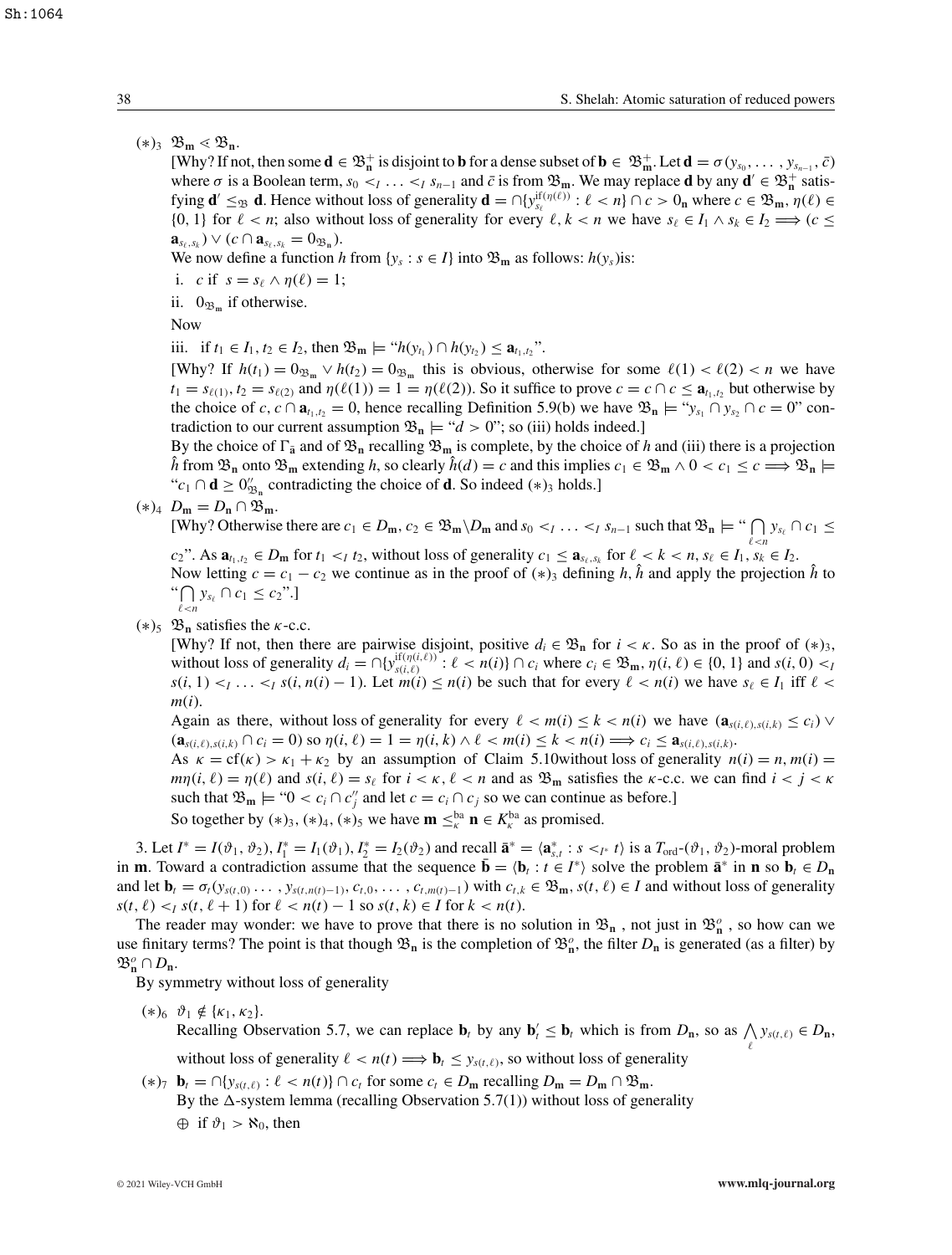## $(*)_3 \mathfrak{B}_m \lessdot \mathfrak{B}_n.$

[Why? If not, then some  $\mathbf{d} \in \mathfrak{B}_n^+$  is disjoint to **b** for a dense subset of  $\mathbf{b} \in \mathfrak{B}_m^+$ . Let  $\mathbf{d} = \sigma(y_{s_0}, \dots, y_{s_{n-1}}, \bar{c})$ where  $\sigma$  is a Boolean term,  $s_0 <_I \ldots <_I s_{n-1}$  and  $\bar{c}$  is from  $\mathfrak{B}_m$ . We may replace **d** by any  $\mathbf{d}' \in \mathfrak{B}_n^+$  satisfying  $\mathbf{d}' \leq_{\mathfrak{B}} \mathbf{d}$ . Hence without loss of generality  $\mathbf{d} = \bigcap \{y_{s_\ell}^{\text{if}(\eta(\ell))} : \ell < n\} \cap c > 0_n$  where  $c \in \mathfrak{B}_m$ ,  $\eta(\ell) \in$ {0, 1} for  $\ell < n$ ; also without loss of generality for every  $\ell, k < n$  we have  $s_{\ell} \in I_1 \wedge s_k \in I_2 \Longrightarrow (c \leq n)$  $\mathbf{a}_{s_{\ell},s_{k}}$ )  $\vee$  (*c*  $\cap$   $\mathbf{a}_{s_{\ell},s_{k}}$  = 0<sub> $\mathfrak{B}_{n}$ </sub>).

We now define a function *h* from {*y<sub>s</sub>* : *s*  $\in$  *I*} into  $\mathfrak{B}_{\mathbf{m}}$  as follows: *h*(*y<sub>s</sub>*)is:

- i. *c* if  $s = s_\ell \wedge \eta(\ell) = 1$ ;
- ii.  $0_{\mathfrak{B}_m}$  if otherwise.

Now

iii. if *t*<sub>1</sub> ∈ *I*<sub>1</sub>, *t*<sub>2</sub> ∈ *I*<sub>2</sub>, then  $\mathfrak{B}_m \models ``h(y_{t_1}) \cap h(y_{t_2}) \leq a_{t_1,t_2}$ ".

[Why? If  $h(t_1) = 0_{\mathfrak{B}_m} \vee h(t_2) = 0_{\mathfrak{B}_m}$  this is obvious, otherwise for some  $\ell(1) < \ell(2) < n$  we have  $t_1 = s_{\ell(1)}$ ,  $t_2 = s_{\ell(2)}$  and  $\eta(\ell(1)) = 1 = \eta(\ell(2))$ . So it suffice to prove  $c = c \cap c \le a_{t_1, t_2}$  but otherwise by the choice of *c*,  $c \cap \mathbf{a}_{t_1,t_2} = 0$ , hence recalling Definition 5.9(b) we have  $\mathfrak{B}_n \models ``y_{s_1} \cap y_{s_2} \cap c = 0"$  contradiction to our current assumption  $\mathfrak{B}_n \models \mathcal{A} > 0$ "; so (iii) holds indeed.]

By the choice of  $\Gamma_{\bar{a}}$  and of  $\mathfrak{B}_{n}$  recalling  $\mathfrak{B}_{m}$  is complete, by the choice of *h* and (iii) there is a projection  $\hat{h}$  from  $\mathfrak{B}_n$  onto  $\mathfrak{B}_m$  extending *h*, so clearly  $\hat{h}(d) = c$  and this implies  $c_1 \in \mathfrak{B}_m \wedge 0 < c_1 \leq c \implies \mathfrak{B}_n \models$ " $c_1$  ∩ **d** ≥  $0''_{\mathfrak{B}_n}$  contradicting the choice of **d**. So indeed (\*)<sub>3</sub> holds.]

 $(*)_4$   $D_m = D_n \cap \mathfrak{B}_m$ .

[Why? Otherwise there are  $c_1 \in D_m$ ,  $c_2 \in \mathfrak{B}_m \setminus D_m$  and  $s_0 <_I \ldots <_I s_{n-1}$  such that  $\mathfrak{B}_n \models ``\bigcap y_{s_\ell} \cap c_1 \leq$  $c_2$ ". As  $\mathbf{a}_{t_1,t_2} \in D_m$  for  $t_1 < t_1$ , without loss of generality  $c_1 \leq \mathbf{a}_{s_\ell,s_k}$  for  $\ell < k < n$ ,  $s_\ell \in I_1$ ,  $s_k \in I_2$ .

Now letting  $c = c_1 - c_2$  we continue as in the proof of  $(*)_3$  defining *h*, *h*<sup> $\dagger$ </sup> and apply the projection *h*<sup> $\dagger$ </sup> to "∩  $\bigcap_{\ell < n} y_{s_\ell} \cap c_1 \leq c_2".$ 

 $(*)_5$   $\mathfrak{B}_n$  satisfies the *k*-c.c.

[Why? If not, then there are pairwise disjoint, positive  $d_i \in \mathfrak{B}_n$  for  $i < \kappa$ . So as in the proof of  $(*)_3$ , without loss of generality  $d_i = \bigcap \{y_{s(i,\ell)}^{if(\eta(i,\ell))} : \ell < n(i)\} \cap c_i$  where  $c_i \in \mathfrak{B}_m$ ,  $\eta(i,\ell) \in \{0,1\}$  and  $s(i,0) < p$  $s(i, 1) *1* < \ldots *1 s*(*i*, *n*(*i*) - 1).$  Let  $m(i) \leq n(i)$  be such that for every  $\ell < n(i)$  we have  $s_{\ell} \in I_1$  iff  $\ell < i$ *m*(*i*).

Again as there, without loss of generality for every  $\ell < m(i) \leq k < n(i)$  we have  $(\mathbf{a}_{s(i,\ell),s(i,k)} \leq c_i)$  $(\mathbf{a}_{s(i,\ell),s(i,k)} \cap c_i = 0)$  so  $\eta(i,\ell) = 1 = \eta(i,k) \land \ell < m(i) \leq k < n(i) \Longrightarrow c_i \leq \mathbf{a}_{s(i,\ell),s(i,k)}$ .

As  $\kappa = cf(\kappa) > \kappa_1 + \kappa_2$  by an assumption of Claim 5.10 without loss of generality  $n(i) = n$ ,  $m(i) =$  $mn(i, \ell) = \eta(\ell)$  and  $s(i, \ell) = s_{\ell}$  for  $i < \kappa, \ell < n$  and as  $\mathfrak{B}_{m}$  satisfies the  $\kappa$ -c.c. we can find  $i < j < \kappa$ such that  $\mathfrak{B}_{\mathfrak{m}} \models$  " $0 < c_i \cap c''_j$  and let  $c = c_i \cap c_j$  so we can continue as before.]

So together by  $(*)_3$ ,  $(*)_4$ ,  $(*)_5$  we have  $\mathbf{m} \leq_k^{\text{ba}} \mathbf{n} \in K_k^{\text{ba}}$  as promised.

3. Let  $I^* = I(\vartheta_1, \vartheta_2), I_1^* = I_1(\vartheta_1), I_2^* = I_2(\vartheta_2)$  and recall  $\bar{\mathbf{a}}^* = \langle \mathbf{a}_{s,t}^* : s <_{I^*} t \rangle$  is a  $T_{\text{ord}}(\vartheta_1, \vartheta_2)$ -moral problem in **m**. Toward a contradiction assume that the sequence  $\mathbf{b} = \langle \mathbf{b}_t : t \in I^* \rangle$  solve the problem  $\mathbf{a}^*$  in **n** so  $\mathbf{b}_t \in D_n$ and let  $\mathbf{b}_t = \sigma_t(y_{s(t,0)}, \dots, y_{s(t,n(t)-1)}, c_{t,0}, \dots, c_{t,m(t)-1})$  with  $c_{t,k} \in \mathfrak{B}_{\mathbf{m}}, s(t,\ell) \in I$  and without loss of generality  $s(t, \ell) < I \leq t$ ,  $s(t, \ell + 1)$  for  $\ell < n(t) - 1$  so  $s(t, k) \in I$  for  $k < n(t)$ .

The reader may wonder: we have to prove that there is no solution in  $\mathfrak{B}_n$ , not just in  $\mathfrak{B}_n^o$ , so how can we use finitary terms? The point is that though  $\mathfrak{B}_n$  is the completion of  $\mathfrak{B}_n^o$ , the filter  $D_n$  is generated (as a filter) by  $\mathfrak{B}_{\mathbf{n}}^o \cap D_{\mathbf{n}}.$ 

By symmetry without loss of generality

 $(*)_6 \ \vartheta_1 \notin {\kappa_1, \kappa_2}.$ 

Recalling Observation 5.7, we can replace  $\mathbf{b}_t$  by any  $\mathbf{b}_t' \leq \mathbf{b}_t$  which is from  $D_n$ , so as  $\bigwedge y_{s(t,\ell)} \in D_n$ ,

without loss of generality  $\ell < n(t) \Longrightarrow \mathbf{b}_t \leq y_{s(t,\ell)}$ , so without loss of generality

 $(\ast)$ <sup>7</sup>  $\mathbf{b}_t = \bigcap \{y_{s(t,\ell)} : \ell < n(t)\} \cap c_t$  for some  $c_t \in D_m$  recalling  $D_m = D_m \cap \mathfrak{B}_m$ . By the  $\Delta$ -system lemma (recalling Observation 5.7(1)) without loss of generality  $\oplus$  if  $\vartheta_1 > \aleph_0$ , then

 $\ell$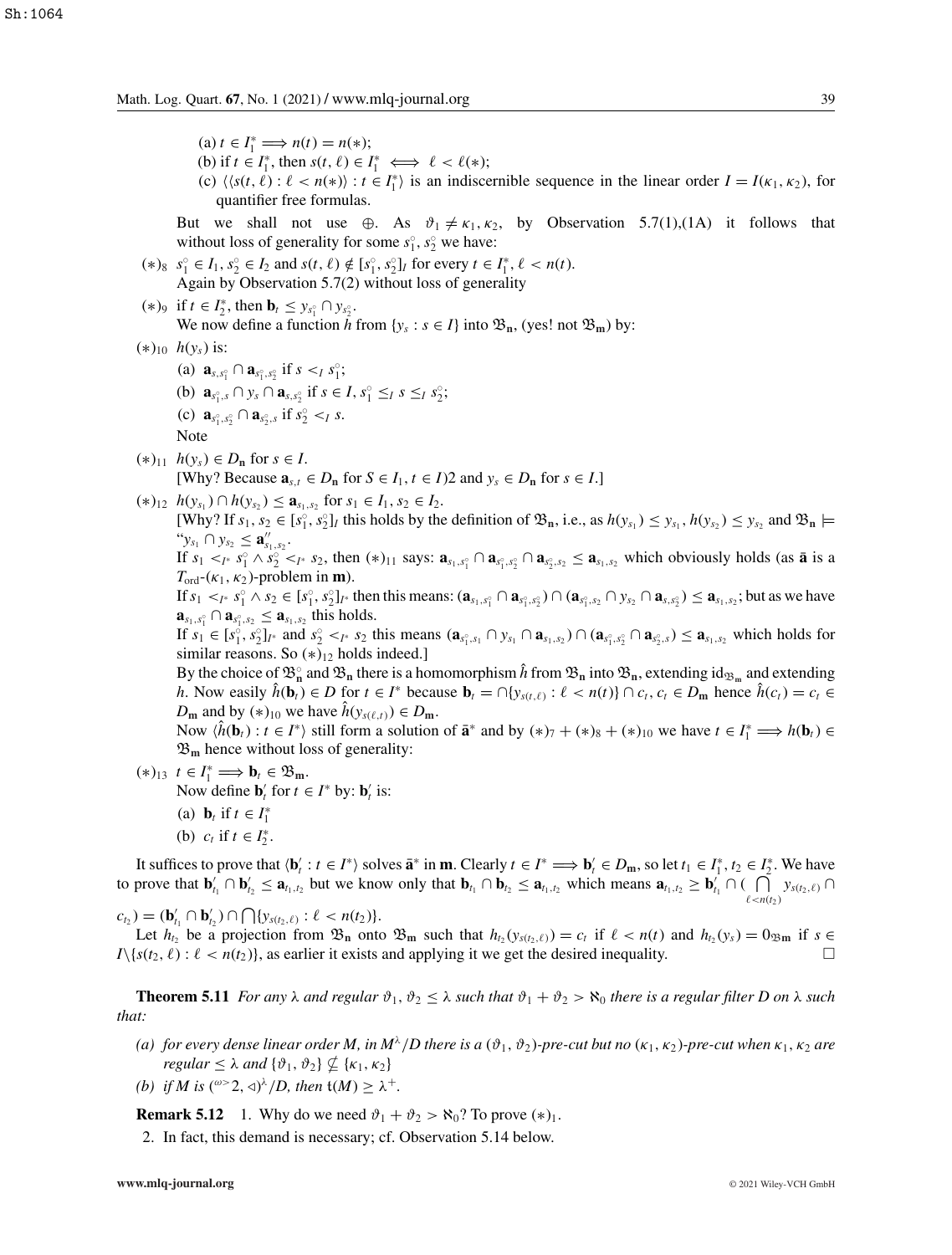$(a) t \in I_1^* \Longrightarrow n(t) = n(*);$ 

- (b) if  $t \in I_1^*$ , then  $s(t, \ell) \in I_1^* \iff \ell < \ell(*)$ ;
- (c)  $\langle \langle s(t, \ell) : \ell < n(*) \rangle : t \in I_1^* \rangle$  is an indiscernible sequence in the linear order  $I = I(\kappa_1, \kappa_2)$ , for quantifier free formulas.

But we shall not use ⊕. As  $\vartheta_1 \neq \kappa_1, \kappa_2$ , by Observation 5.7(1),(1A) it follows that without loss of generality for some  $s_1^{\circ}$ ,  $s_2^{\circ}$  we have:

- $(s^6)$   $s^6$   $\in I_1$ ,  $s^6$   $\in I_2$  and  $s(t, \ell) \notin [s^6]$ ,  $s^6$ <sub>2</sub> $]$ *I* for every  $t \in I_1^*, \ell < n(t)$ . Again by Observation 5.7(2) without loss of generality
- $(*)$ <sup>9</sup> if  $t \in I_2^*$ , then  $\mathbf{b}_t \leq y_{s_1^{\circ}} \cap y_{s_2^{\circ}}$ . We now define a function h from  $\{y_s : s \in I\}$  into  $\mathfrak{B}_n$ , (yes! not  $\mathfrak{B}_m$ ) by:
- (∗)10 *h*(*ys*) is:
	- (a)  $\mathbf{a}_{s,s_1^{\circ}} \cap \mathbf{a}_{s_1^{\circ},s_2^{\circ}}$  if  $s <_I s_1^{\circ}$ ; (b)  $\mathbf{a}_{s_1^{\circ},s} \cap y_s \cap \mathbf{a}_{s,s_2^{\circ}}$  if  $s \in I, s_1^{\circ} \leq_I s \leq_I s_2^{\circ}$ ; (c)  $\mathbf{a}_{s_1^{\circ}, s_2^{\circ}} \cap \mathbf{a}_{s_2^{\circ}, s}$  if  $s_2^{\circ} \leq_I s$ . Note

 $(*)_{11}$  *h*( $y_s$ ) ∈ *D*<sub>n</sub> for *s* ∈ *I*. [Why? Because  $\mathbf{a}_{s,t} \in D_n$  for  $S \in I_1, t \in I$ )2 and  $y_s \in D_n$  for  $s \in I$ .]

 $(k)_{12}$   $h(y_{s_1}) \cap h(y_{s_2}) \le a_{s_1,s_2}$  for  $s_1 \in I_1, s_2 \in I_2$ .

 $[Why?$  If  $s_1, s_2 \in [s_1^{\circ}, s_2^{\circ}]$ *I* this holds by the definition of  $\mathfrak{B}_n$ , i.e., as  $h(y_{s_1}) \leq y_{s_1}, h(y_{s_2}) \leq y_{s_2}$  and  $\mathfrak{B}_n \models$  $``y_{s_1} \cap y_{s_2} \leq \mathbf{a}''_{s_1,s_2}.$ 

If  $s_1 <_{I^*} s_1^{\circ} \wedge s_2^{\circ} <_{I^*} s_2$ , then  $(*)_{11}$  says:  $\mathbf{a}_{s_1, s_1^{\circ}} \cap \mathbf{a}_{s_1^{\circ}, s_2^{\circ}} \cap \mathbf{a}_{s_2^{\circ}, s_2} \leq \mathbf{a}_{s_1, s_2}$  which obviously holds (as  $\overline{\mathbf{a}}$  is a  $T_{\text{ord}}$ -( $\kappa_1$ ,  $\kappa_2$ )-problem in **m**).

If  $s_1 <_{I^*} s_1^{\circ} \wedge s_2 \in [s_1^{\circ}, s_2^{\circ}]_{I^*}$  then this means:  $(\mathbf{a}_{s_1, s_1^{\circ}} \cap \mathbf{a}_{s_1^{\circ}, s_2^{\circ}}) \cap (\mathbf{a}_{s_1^{\circ}, s_2} \cap y_{s_2} \cap \mathbf{a}_{s_1, s_2}) \leq \mathbf{a}_{s_1, s_2}$ ; but as we have  $\mathbf{a}_{s_1,s_1} \cap \mathbf{a}_{s_1^{\circ},s_2} \leq \mathbf{a}_{s_1,s_2}$  this holds.

If  $s_1 \in [s_1^{\circ}, s_2^{\circ}]_{I^*}$  and  $s_2^{\circ} <_{I^*} s_2$  this means  $(\mathbf{a}_{s_1^{\circ}, s_1} \cap y_{s_1} \cap \mathbf{a}_{s_1, s_2}) \cap (\mathbf{a}_{s_1^{\circ}, s_2^{\circ}} \cap \mathbf{a}_{s_2^{\circ}, s}) \leq \mathbf{a}_{s_1, s_2}$  which holds for similar reasons. So  $(*)_{12}$  holds indeed.]

By the choice of  $\mathfrak{B}_n^{\circ}$  and  $\mathfrak{B}_n$  there is a homomorphism  $\hat{h}$  from  $\mathfrak{B}_n$  into  $\mathfrak{B}_n$ , extending id<sub> $\mathfrak{B}_m$ </sub> and extending h. Now easily  $\hat{h}(\mathbf{b}_t) \in D$  for  $t \in I^*$  because  $\mathbf{b}_t = \bigcap \{y_{s(t,\ell)} : \ell < n(t)\} \cap c_t, c_t \in D_m$  hence  $\hat{h}(c_t) = c_t \in D_m$ *D***m** and by  $(*)_{10}$  we have  $\hat{h}(y_{s(\ell,t)}) \in D_{\mathbf{m}}$ .

Now  $\langle \hat{h}(\mathbf{b}_t) : t \in I^* \rangle$  still form a solution of  $\mathbf{\bar{a}}^*$  and by  $(*)_7 + (*)_8 + (*)_1$  we have  $t \in I_1^* \implies h(\mathbf{b}_t) \in$  $\mathfrak{B}_m$  hence without loss of generality:

- $(*)_{13}$   $t \in I_1^* \Longrightarrow \mathbf{b}_t \in \mathfrak{B}_m.$ Now define  $\mathbf{b}'_t$  for  $t \in I^*$  by:  $\mathbf{b}'_t$  is: (a) **b**<sub>*t*</sub> if  $t \in I_1^*$ 
	- (b)  $c_t$  if  $t \in I_2^*$ .

It suffices to prove that  $\langle \mathbf{b}'_t : t \in I^* \rangle$  solves  $\bar{\mathbf{a}}^*$  in **m**. Clearly  $t \in I^* \Longrightarrow \mathbf{b}'_t \in D_m$ , so let  $t_1 \in I_1^*, t_2 \in I_2^*.$  We have to prove that  $\mathbf{b}'_{t_1} \cap \mathbf{b}'_{t_2} \leq \mathbf{a}_{t_1,t_2}$  but we know only that  $\mathbf{b}_{t_1} \cap \mathbf{b}_{t_2} \leq \mathbf{a}_{t_1,t_2}$  which means  $\mathbf{a}_{t_1,t_2} \geq \mathbf{b}'_{t_1} \cap (\bigcap_{i=1}^{t_1} \bigcap_{i=1}^{t_2} \bigcap_{i=1}^{t_2} \bigcap_{i=1}^{t_1} \bigcap_{i=1$  $\bigcap_{\ell \, < n(t_2)} y_{s(t_2,\ell)} \cap$ 

 $c_{t_2}$  ) = (**b**<sub>t<sub>1</sub></sub>  $\cap$  **b**<sub>t<sub>2</sub></sub>)  $\cap$   $\bigcap$ {*y<sub>s(t<sub>2</sub>, e<sub>)</sub>* :  $\ell$  < *n*(t<sub>2</sub>)}.</sub>

Let  $h_{t_2}$  be a projection from  $\mathfrak{B}_n$  onto  $\mathfrak{B}_m$  such that  $h_{t_2}(y_{s(t_2,\ell)}) = c_t$  if  $\ell < n(t)$  and  $h_{t_2}(y_s) = 0_{\mathfrak{B}_m}$  if  $s \in$  $I\setminus\{s(t_2,\ell):\ell < n(t_2)\}\)$ , as earlier it exists and applying it we get the desired inequality.

**Theorem 5.11** *For any*  $\lambda$  *and regular*  $\vartheta_1$ ,  $\vartheta_2 \leq \lambda$  *such that*  $\vartheta_1 + \vartheta_2 > \aleph_0$  *there is a regular filter D on*  $\lambda$  *such that:*

- (a) for every dense linear order M, in  $M^{\lambda}/D$  there is a  $(\vartheta_1, \vartheta_2)$ *-pre-cut but no*  $(\kappa_1, \kappa_2)$ *-pre-cut when*  $\kappa_1, \kappa_2$  are *regular*  $\leq \lambda$  *and*  $\{\vartheta_1, \vartheta_2\} \nsubseteq {\kappa_1, \kappa_2}$
- *(b)* if *M* is  $({}^{\omega>2}, \triangleleft)^{\lambda}/D$ , then  $\mathfrak{t}(M) \geq \lambda^+$ .

**Remark 5.12** 1. Why do we need  $\vartheta_1 + \vartheta_2 > \aleph_0$ ? To prove  $(*)_1$ . 2. In fact, this demand is necessary; cf. Observation 5.14 below.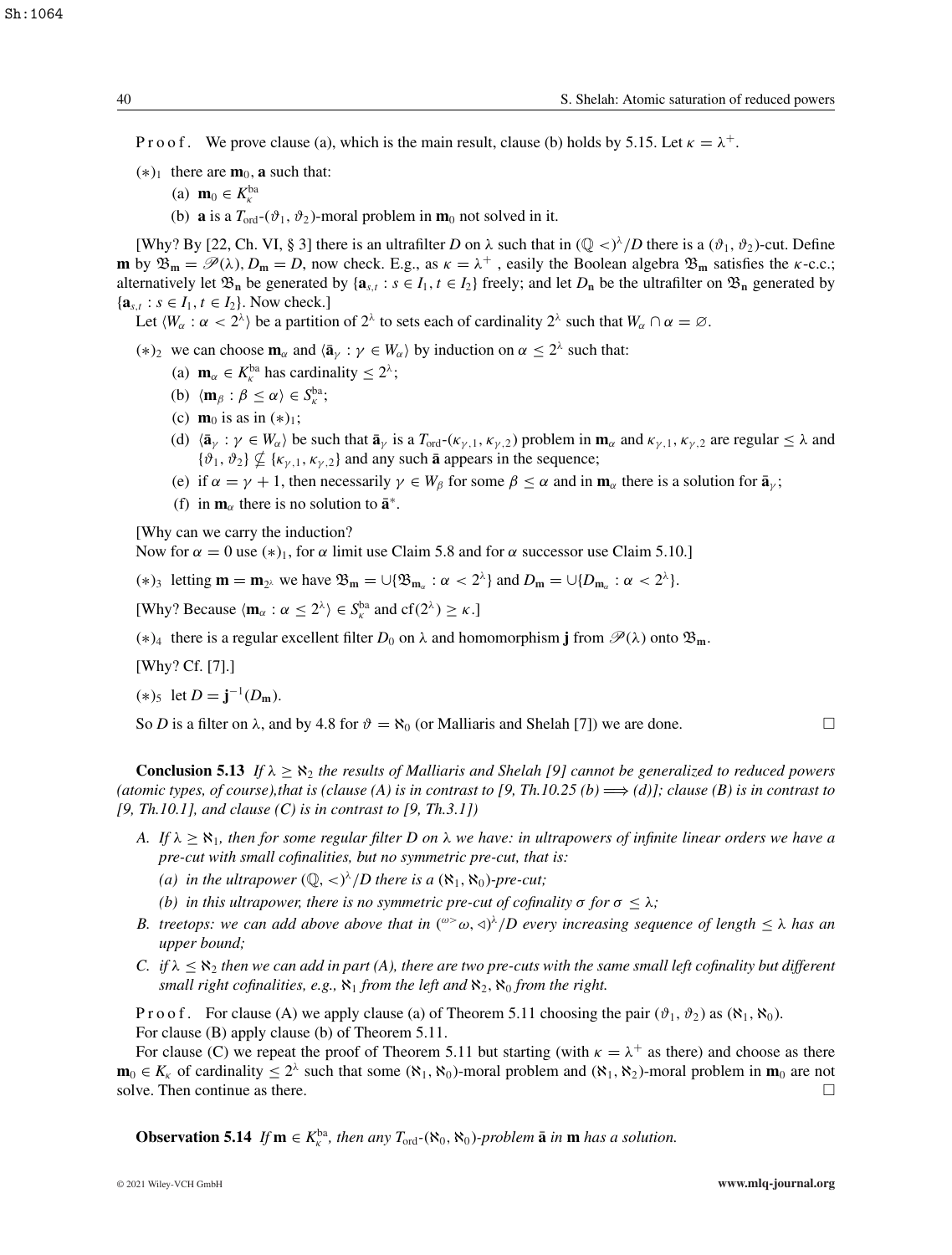P r o o f. We prove clause (a), which is the main result, clause (b) holds by 5.15. Let  $\kappa = \lambda^+$ .

- $(*)_1$  there are  $m_0$ , **a** such that:
	- (a) **m**<sub>0</sub>  $\in K_{\kappa}^{\text{ba}}$
	- (b) **a** is a  $T_{\text{ord}}(\vartheta_1, \vartheta_2)$ -moral problem in **m**<sub>0</sub> not solved in it.

[Why? By [22, Ch. VI, § 3] there is an ultrafilter *D* on  $\lambda$  such that in  $(\mathbb{Q} <)^\lambda/D$  there is a  $(\vartheta_1, \vartheta_2)$ -cut. Define **m** by  $\mathfrak{B}_m = \mathcal{P}(\lambda)$ ,  $D_m = D$ , now check. E.g., as  $\kappa = \lambda^+$ , easily the Boolean algebra  $\mathfrak{B}_m$  satisfies the  $\kappa$ -c.c.; alternatively let  $\mathfrak{B}_n$  be generated by { $\mathbf{a}_{s,t}$  :  $s \in I_1$ ,  $t \in I_2$ } freely; and let  $D_n$  be the ultrafilter on  $\mathfrak{B}_n$  generated by  ${a_{s,t} : s \in I_1, t \in I_2}.$  Now check.]

Let  $\langle W_\alpha : \alpha < 2^\lambda \rangle$  be a partition of  $2^\lambda$  to sets each of cardinality  $2^\lambda$  such that  $W_\alpha \cap \alpha = \emptyset$ .

(\*)<sub>2</sub> we can choose  $\mathbf{m}_{\alpha}$  and  $\langle \bar{\mathbf{a}}_{\gamma} : \gamma \in W_{\alpha} \rangle$  by induction on  $\alpha \leq 2^{\lambda}$  such that:

- (a) **m**<sub>α</sub>  $\in K_{\kappa}^{ba}$  has cardinality  $\leq 2^{\lambda}$ ;
- (b)  $\langle \mathbf{m}_{\beta} : \beta \leq \alpha \rangle \in S_{\kappa}^{\text{ba}};$
- (c) **m**<sub>0</sub> is as in  $(*)_1$ ;
- (d)  $\langle \bar{\mathbf{a}}_{\gamma} : \gamma \in W_{\alpha} \rangle$  be such that  $\bar{\mathbf{a}}_{\gamma}$  is a  $T_{\text{ord}}(\kappa_{\gamma,1}, \kappa_{\gamma,2})$  problem in  $\mathbf{m}_{\alpha}$  and  $\kappa_{\gamma,1}, \kappa_{\gamma,2}$  are regular  $\leq \lambda$  and  ${\vartheta_1, \vartheta_2} \nsubseteq {\kappa_{\gamma,1}, \kappa_{\gamma,2}}$  and any such **a** appears in the sequence;
- (e) if  $\alpha = \gamma + 1$ , then necessarily  $\gamma \in W_\beta$  for some  $\beta \leq \alpha$  and in  $\mathbf{m}_\alpha$  there is a solution for  $\bar{\mathbf{a}}_\gamma$ ;
- (f) in  $\mathbf{m}_{\alpha}$  there is no solution to  $\bar{\mathbf{a}}^*$ .

[Why can we carry the induction?

Now for  $\alpha = 0$  use  $(*)_1$ , for  $\alpha$  limit use Claim 5.8 and for  $\alpha$  successor use Claim 5.10.]

(\*)<sub>3</sub> letting  $\mathbf{m} = \mathbf{m}_{2\lambda}$  we have  $\mathfrak{B}_{\mathbf{m}} = \bigcup \{ \mathfrak{B}_{\mathbf{m}\alpha} : \alpha < 2^{\lambda} \}$  and  $D_{\mathbf{m}} = \bigcup \{ D_{\mathbf{m}\alpha} : \alpha < 2^{\lambda} \}.$ 

[Why? Because  $\langle \mathbf{m}_{\alpha} : \alpha \leq 2^{\lambda} \rangle \in S_{\kappa}^{\text{ba}}$  and  $cf(2^{\lambda}) \geq \kappa$ .]

 $(*)_4$  there is a regular excellent filter *D*<sub>0</sub> on λ and homomorphism **j** from  $\mathcal{P}(λ)$  onto  $\mathfrak{B}_m$ .

[Why? Cf. [7].]

$$
(*)_5 \ \text{ let } D = \mathbf{j}^{-1}(D_{\mathbf{m}}).
$$

So *D* is a filter on  $\lambda$ , and by 4.8 for  $\vartheta = \aleph_0$  (or Malliaris and Shelah [7]) we are done.

**Conclusion 5.13** *If*  $\lambda \ge \aleph_2$  *the results of Malliaris and Shelah [9] cannot be generalized to reduced powers (atomic types, of course),that is (clause (A) is in contrast to [9, Th.10.25 (b)*  $\Longrightarrow$  *(d)]; clause (B) is in contrast to [9, Th.10.1], and clause (C) is in contrast to [9, Th.3.1])*

- *A.* If  $\lambda \geq \aleph_1$ , then for some regular filter D on  $\lambda$  we have: in ultrapowers of infinite linear orders we have a *pre-cut with small cofinalities, but no symmetric pre-cut, that is:*
	- *(a)* in the ultrapower  $(Q, \langle \rangle^{\lambda}/D)$  there is a  $(\aleph_1, \aleph_0)$ -pre-cut;
	- *(b)* in this ultrapower, there is no symmetric pre-cut of cofinality  $\sigma$  for  $\sigma \leq \lambda$ ;
- *B. treetops: we can add above above that in*  $({}^{\omega>} \omega, \triangleleft)^{\lambda}/D$  every increasing sequence of length  $\leq \lambda$  has an *upper bound;*
- *C.* if  $\lambda \leq \aleph_2$  then we can add in part (A), there are two pre-cuts with the same small left cofinality but different *small right cofinalities, e.g.,*  $\aleph_1$  *from the left and*  $\aleph_2$ ,  $\aleph_0$  *from the right.*

P r o o f. For clause (A) we apply clause (a) of Theorem 5.11 choosing the pair  $(\vartheta_1, \vartheta_2)$  as  $(\aleph_1, \aleph_0)$ . For clause (B) apply clause (b) of Theorem 5.11.

For clause (C) we repeat the proof of Theorem 5.11 but starting (with  $\kappa = \lambda^+$  as there) and choose as there **m**<sub>0</sub> ∈  $K_k$  of cardinality ≤ 2<sup>λ</sup> such that some  $(\aleph_1, \aleph_0)$ -moral problem and  $(\aleph_1, \aleph_2)$ -moral problem in **m**<sub>0</sub> are not solve. Then continue as there.  $\Box$ 

**Observation 5.14** *If*  $\mathbf{m} \in K_{\kappa}^{\text{ba}}$ , then any  $T_{\text{ord}}(\aleph_0, \aleph_0)$ *-problem*  $\bar{\mathbf{a}}$  *in*  $\mathbf{m}$  *has a solution.*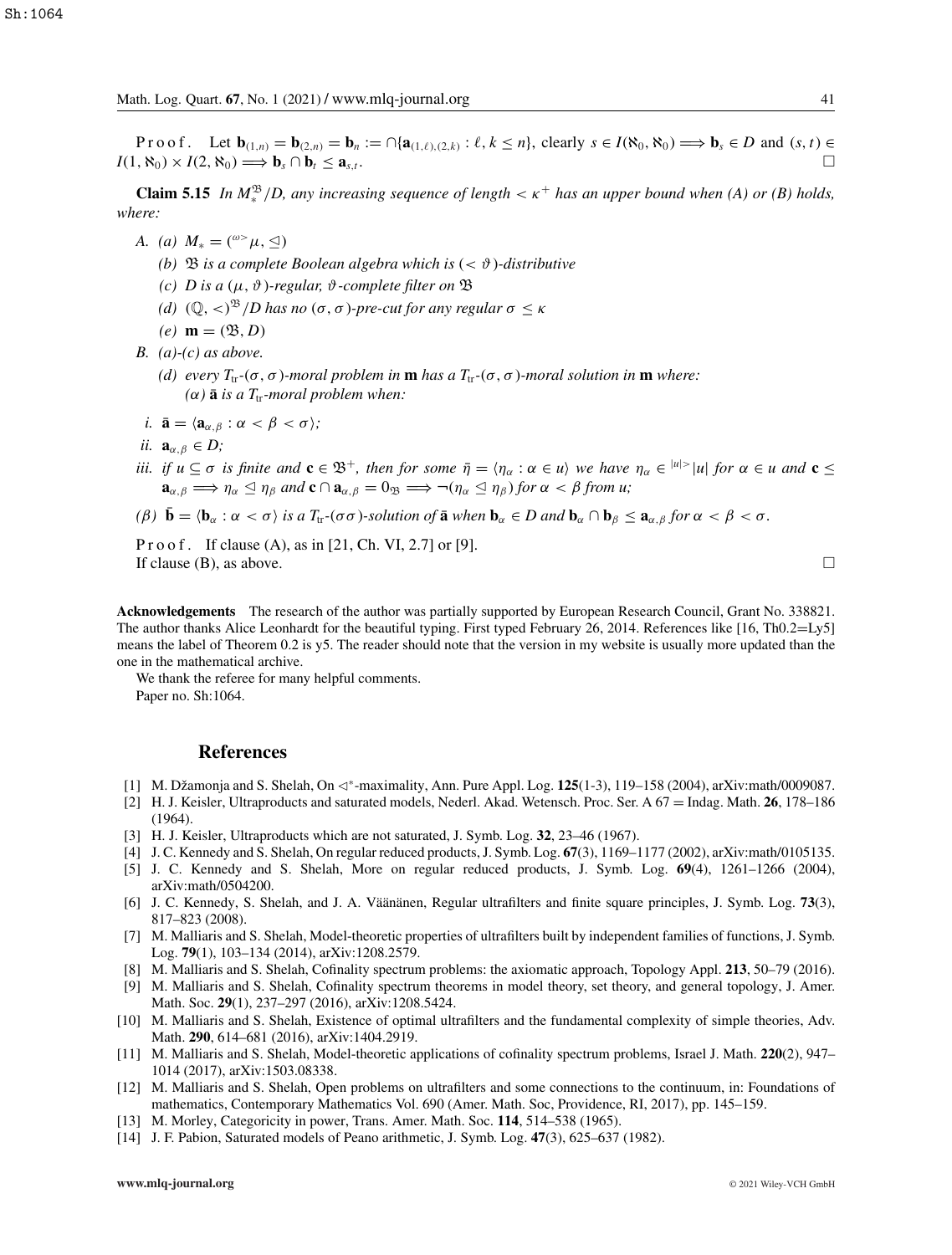Proof. Let  $\mathbf{b}_{(1,n)} = \mathbf{b}_{(2,n)} = \mathbf{b}_n := \bigcap \{ \mathbf{a}_{(1,\ell),(2,k)} : \ell, k \leq n \}$ , clearly  $s \in I(\aleph_0, \aleph_0) \Longrightarrow \mathbf{b}_s \in D$  and  $(s, t) \in I(\aleph_0, \aleph_0)$  $I(1, \aleph_0) \times I(2, \aleph_0) \Longrightarrow \mathbf{b}_s \cap \mathbf{b}_t \leq \mathbf{a}_{s,t}$ .

**Claim 5.15** *In*  $M_*^{\mathfrak{B}}/D$ , any increasing sequence of length  $\lt \kappa^+$  has an upper bound when (A) or (B) holds, *where:*

- *A.* (*a*)  $M_* = ({}^{\omega} \Sigma \mu, \Delta)$ 
	- *(b)*  $\mathfrak{B}$  *is a complete Boolean algebra which is*  $( $\vartheta$ )-distributive$
	- *(c) D is a* (μ, ϑ)*-regular,* ϑ*-complete filter on* B
	- *(d)*  $(\mathbb{Q}, <)^{\mathfrak{B}}$  */D has no*  $(\sigma, \sigma)$ *-pre-cut for any regular*  $\sigma \leq \kappa$
	- $(e)$ **m** =  $(\mathfrak{B}, D)$
- *B. (a)-(c) as above.*
	- *(d) every*  $T_{tr}$ <sup>-</sup>(σ, σ)*-moral problem in* **m** *has a*  $T_{tr}$ -(σ, σ)*-moral solution in* **m** *where:*  $(\alpha)$  **ā** *is a*  $T_{tr}$ *-moral problem when:*
- *i.*  $\bar{\mathbf{a}} = \langle \mathbf{a}_{\alpha, \beta} : \alpha < \beta < \sigma \rangle$ ;
- *ii.*  $\mathbf{a}_{\alpha,\beta} \in D$ ;
- *iii. if*  $u \subseteq \sigma$  *is finite and*  $\mathbf{c} \in \mathbb{B}^+$ , *then for some*  $\bar{\eta} = \langle \eta_\alpha : \alpha \in u \rangle$  *we have*  $\eta_\alpha \in |u| > |u|$  *for*  $\alpha \in u$  *and*  $\mathbf{c} \leq u$  $\mathbf{a}_{\alpha,\beta} \Longrightarrow \eta_\alpha \leq \eta_\beta$  and  $\mathbf{c} \cap \mathbf{a}_{\alpha,\beta} = 0$   $\Rightarrow \neg(\eta_\alpha \leq \eta_\beta)$  for  $\alpha < \beta$  from u;

$$
(\beta) \ \bar{\mathbf{b}} = \langle \mathbf{b}_{\alpha} : \alpha < \sigma \rangle \ \text{is a } T_{tr}(\sigma \sigma) \text{-solution of } \bar{\mathbf{a}} \text{ when } \mathbf{b}_{\alpha} \in D \text{ and } \mathbf{b}_{\alpha} \cap \mathbf{b}_{\beta} \leq \mathbf{a}_{\alpha,\beta} \text{ for } \alpha < \beta < \sigma.
$$

P r o o f. If clause  $(A)$ , as in [21, Ch. VI, 2.7] or [9]. If clause (B), as above.  $\Box$ 

**Acknowledgements** The research of the author was partially supported by European Research Council, Grant No. 338821. The author thanks Alice Leonhardt for the beautiful typing. First typed February 26, 2014. References like [16, Th0.2=Ly5] means the label of Theorem 0.2 is y5. The reader should note that the version in my website is usually more updated than the one in the mathematical archive.

We thank the referee for many helpful comments. Paper no. Sh:1064.

#### **References**

- [1] M. Džamonja and S. Shelah, On <sup>∗</sup>-maximality, Ann. Pure Appl. Log. **125**(1-3), 119–158 (2004), arXiv:math/0009087.
- [2] H. J. Keisler, Ultraproducts and saturated models, Nederl. Akad. Wetensch. Proc. Ser. A 67 = Indag. Math. **26**, 178–186 (1964).
- [3] H. J. Keisler, Ultraproducts which are not saturated, J. Symb. Log. **32**, 23–46 (1967).
- [4] J. C. Kennedy and S. Shelah, On regular reduced products, J. Symb. Log. **67**(3), 1169–1177 (2002), arXiv:math/0105135.
- [5] J. C. Kennedy and S. Shelah, More on regular reduced products, J. Symb. Log. **69**(4), 1261–1266 (2004), arXiv:math/0504200.
- [6] J. C. Kennedy, S. Shelah, and J. A. Väänänen, Regular ultrafilters and finite square principles, J. Symb. Log. **73**(3), 817–823 (2008).
- [7] M. Malliaris and S. Shelah, Model-theoretic properties of ultrafilters built by independent families of functions, J. Symb. Log. **79**(1), 103–134 (2014), arXiv:1208.2579.
- [8] M. Malliaris and S. Shelah, Cofinality spectrum problems: the axiomatic approach, Topology Appl. **213**, 50–79 (2016).
- [9] M. Malliaris and S. Shelah, Cofinality spectrum theorems in model theory, set theory, and general topology, J. Amer. Math. Soc. **29**(1), 237–297 (2016), arXiv:1208.5424.
- [10] M. Malliaris and S. Shelah, Existence of optimal ultrafilters and the fundamental complexity of simple theories, Adv. Math. **290**, 614–681 (2016), arXiv:1404.2919.
- [11] M. Malliaris and S. Shelah, Model-theoretic applications of cofinality spectrum problems, Israel J. Math. **220**(2), 947– 1014 (2017), arXiv:1503.08338.
- [12] M. Malliaris and S. Shelah, Open problems on ultrafilters and some connections to the continuum, in: Foundations of mathematics, Contemporary Mathematics Vol. 690 (Amer. Math. Soc, Providence, RI, 2017), pp. 145–159.
- [13] M. Morley, Categoricity in power, Trans. Amer. Math. Soc. **114**, 514–538 (1965).
- [14] J. F. Pabion, Saturated models of Peano arithmetic, J. Symb. Log. **47**(3), 625–637 (1982).